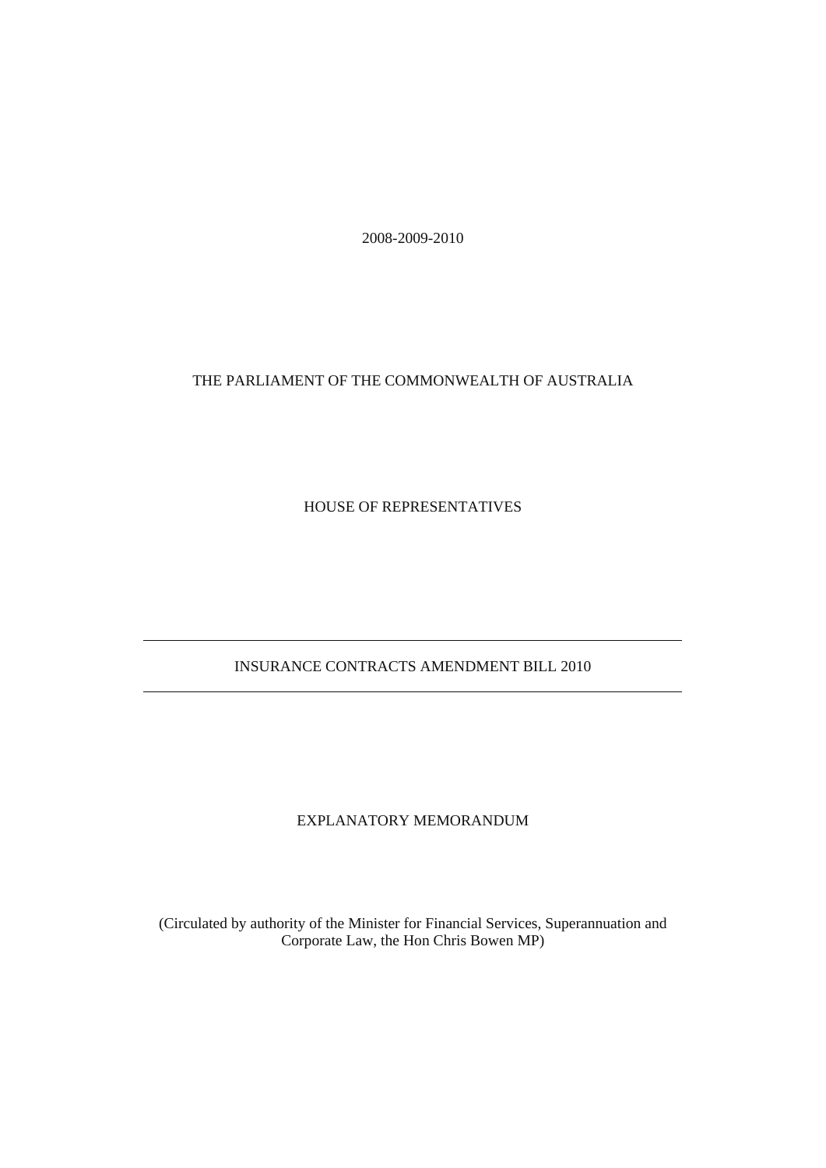2008-2009-2010

## THE PARLIAMENT OF THE COMMONWEALTH OF AUSTRALIA

HOUSE OF REPRESENTATIVES

## INSURANCE CONTRACTS AMENDMENT BILL 2010

## EXPLANATORY MEMORANDUM

(Circulated by authority of the Minister for Financial Services, Superannuation and Corporate Law, the Hon Chris Bowen MP)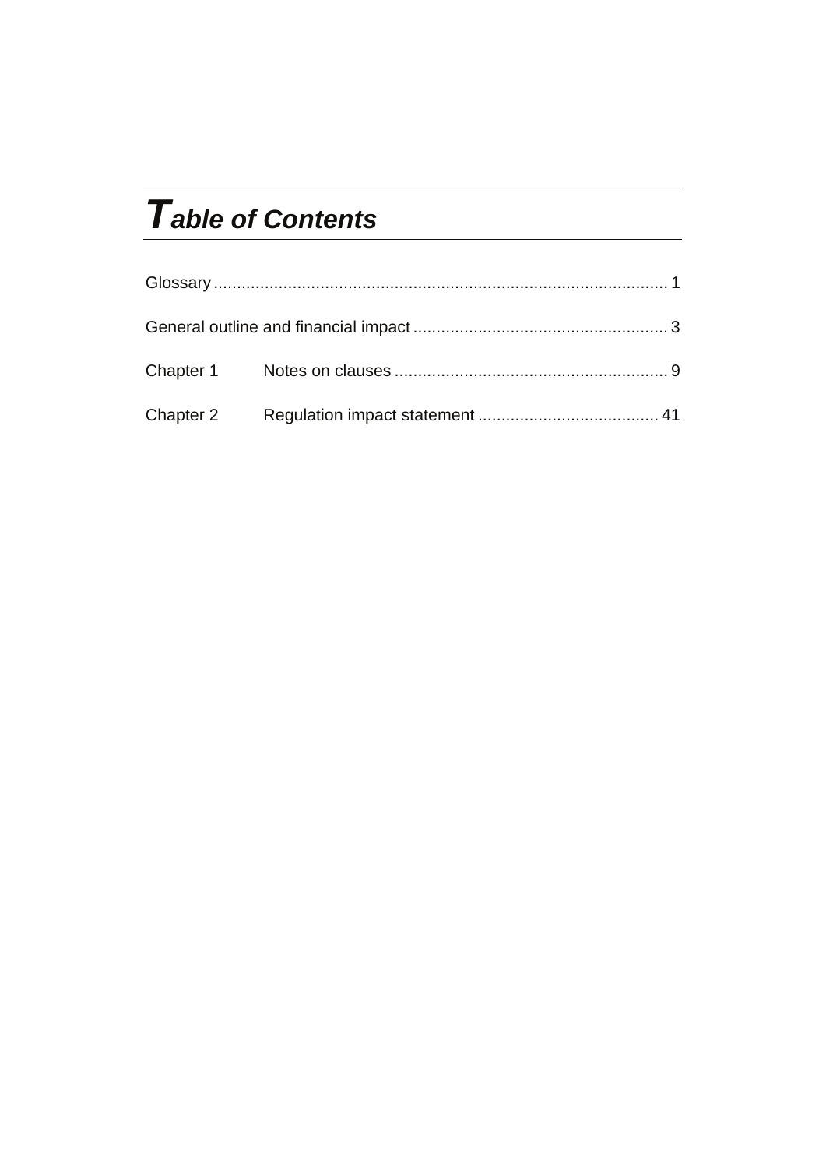# *Table of Contents*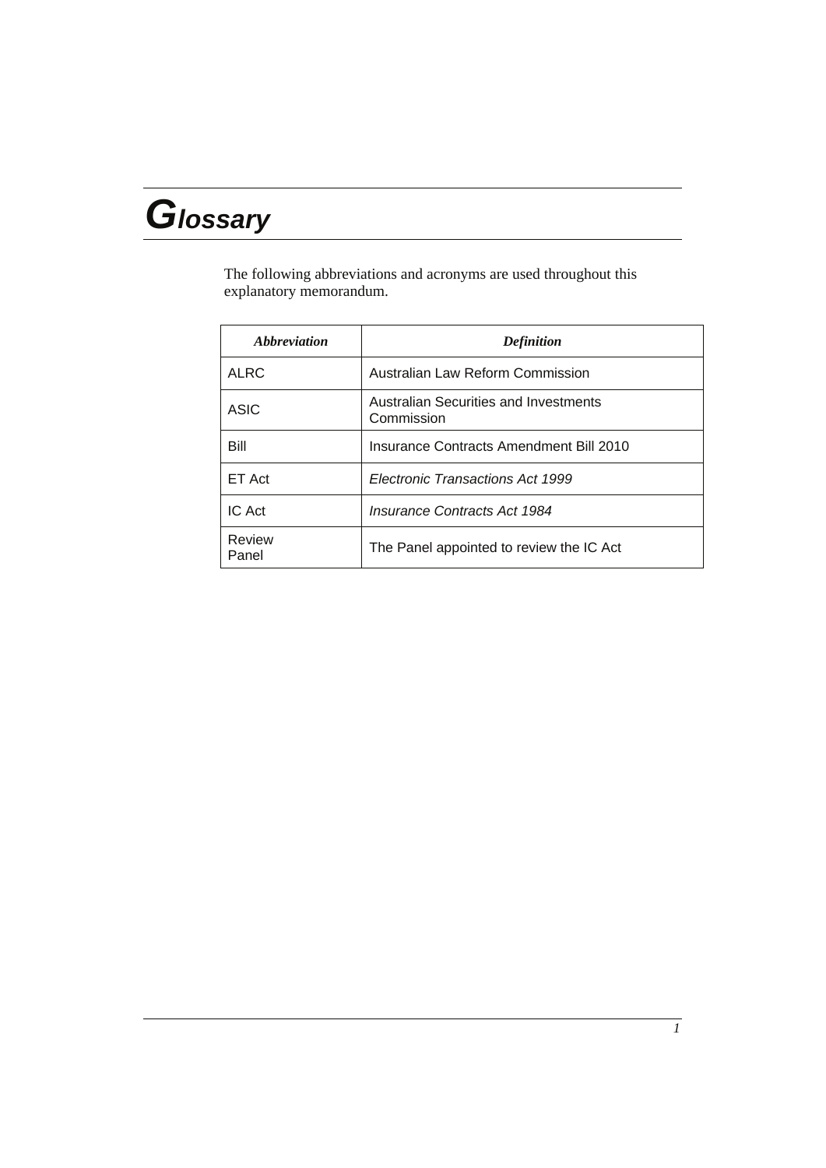# *Glossary*

The following abbreviations and acronyms are used throughout this explanatory memorandum.

| Abbreviation    | <b>Definition</b>                                   |
|-----------------|-----------------------------------------------------|
| <b>ALRC</b>     | Australian Law Reform Commission                    |
| ASIC            | Australian Securities and Investments<br>Commission |
| Bill            | Insurance Contracts Amendment Bill 2010             |
| ET Act          | Electronic Transactions Act 1999                    |
| IC Act          | <b>Insurance Contracts Act 1984</b>                 |
| Review<br>Panel | The Panel appointed to review the IC Act            |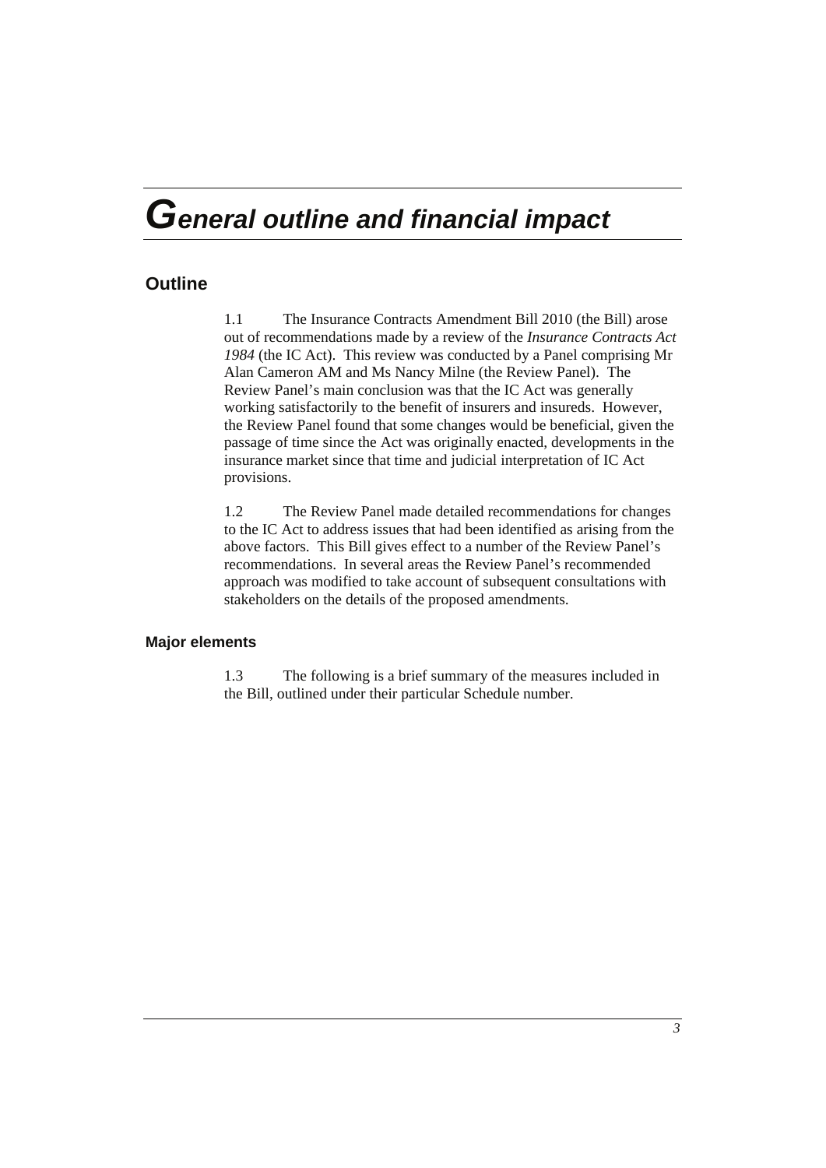## *General outline and financial impact*

## **Outline**

1.1 The Insurance Contracts Amendment Bill 2010 (the Bill) arose out of recommendations made by a review of the *Insurance Contracts Act 1984* (the IC Act). This review was conducted by a Panel comprising Mr Alan Cameron AM and Ms Nancy Milne (the Review Panel). The Review Panel's main conclusion was that the IC Act was generally working satisfactorily to the benefit of insurers and insureds. However, the Review Panel found that some changes would be beneficial, given the passage of time since the Act was originally enacted, developments in the insurance market since that time and judicial interpretation of IC Act provisions.

1.2 The Review Panel made detailed recommendations for changes to the IC Act to address issues that had been identified as arising from the above factors. This Bill gives effect to a number of the Review Panel's recommendations. In several areas the Review Panel's recommended approach was modified to take account of subsequent consultations with stakeholders on the details of the proposed amendments.

## **Major elements**

1.3 The following is a brief summary of the measures included in the Bill, outlined under their particular Schedule number.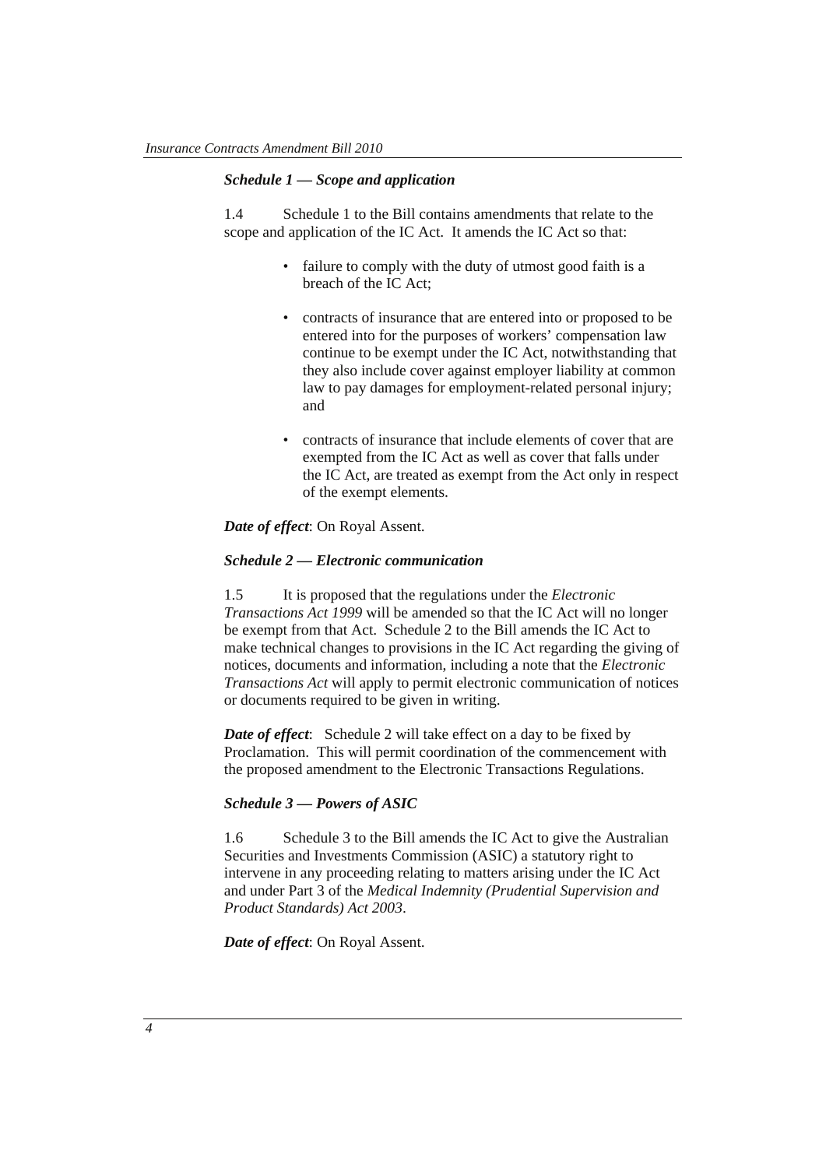## *Schedule 1 — Scope and application*

1.4 Schedule 1 to the Bill contains amendments that relate to the scope and application of the IC Act. It amends the IC Act so that:

- failure to comply with the duty of utmost good faith is a breach of the IC Act;
- contracts of insurance that are entered into or proposed to be entered into for the purposes of workers' compensation law continue to be exempt under the IC Act, notwithstanding that they also include cover against employer liability at common law to pay damages for employment-related personal injury; and
- contracts of insurance that include elements of cover that are exempted from the IC Act as well as cover that falls under the IC Act, are treated as exempt from the Act only in respect of the exempt elements.

*Date of effect*: On Royal Assent.

## *Schedule 2 — Electronic communication*

1.5 It is proposed that the regulations under the *Electronic Transactions Act 1999* will be amended so that the IC Act will no longer be exempt from that Act. Schedule 2 to the Bill amends the IC Act to make technical changes to provisions in the IC Act regarding the giving of notices, documents and information, including a note that the *Electronic Transactions Act* will apply to permit electronic communication of notices or documents required to be given in writing.

*Date of effect*: Schedule 2 will take effect on a day to be fixed by Proclamation. This will permit coordination of the commencement with the proposed amendment to the Electronic Transactions Regulations.

## *Schedule 3 — Powers of ASIC*

1.6 Schedule 3 to the Bill amends the IC Act to give the Australian Securities and Investments Commission (ASIC) a statutory right to intervene in any proceeding relating to matters arising under the IC Act and under Part 3 of the *Medical Indemnity (Prudential Supervision and Product Standards) Act 2003*.

*Date of effect*: On Royal Assent.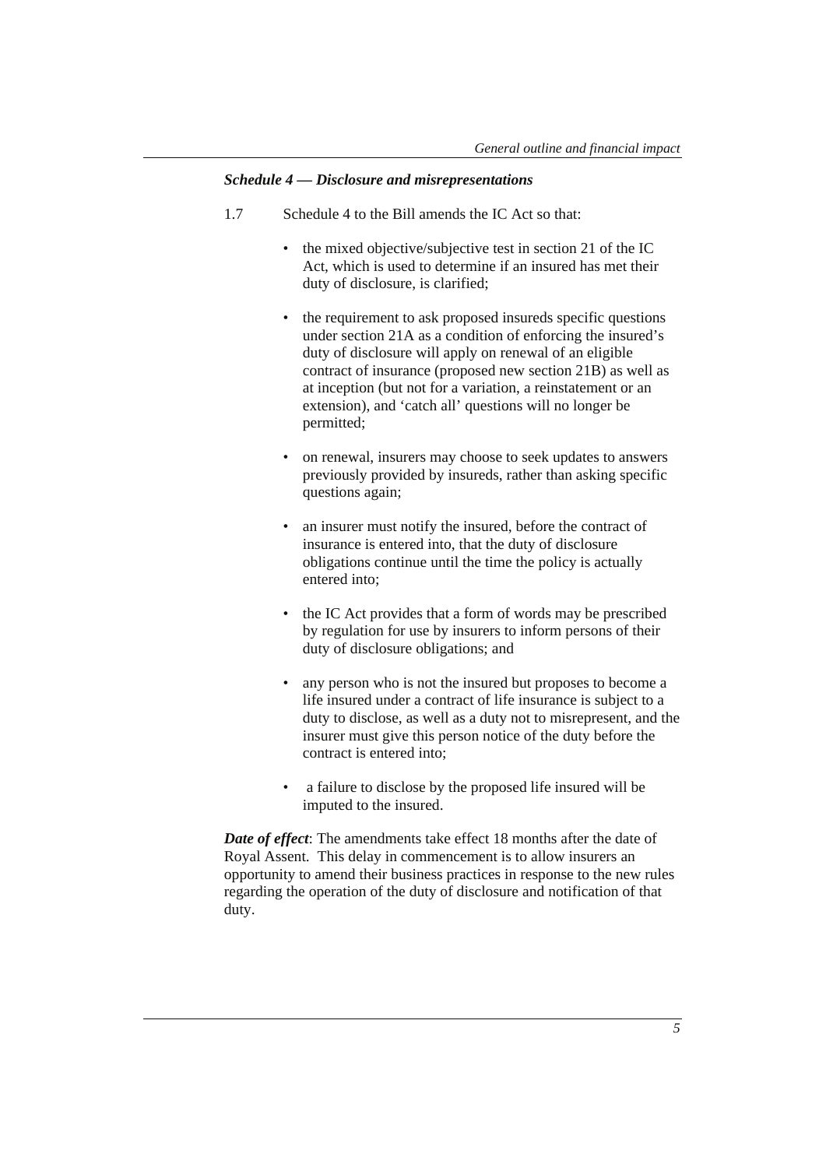## *Schedule 4 — Disclosure and misrepresentations*

- 1.7 Schedule 4 to the Bill amends the IC Act so that:
	- the mixed objective/subjective test in section 21 of the IC Act, which is used to determine if an insured has met their duty of disclosure, is clarified;
	- the requirement to ask proposed insureds specific questions under section 21A as a condition of enforcing the insured's duty of disclosure will apply on renewal of an eligible contract of insurance (proposed new section 21B) as well as at inception (but not for a variation, a reinstatement or an extension), and 'catch all' questions will no longer be permitted;
	- on renewal, insurers may choose to seek updates to answers previously provided by insureds, rather than asking specific questions again;
	- an insurer must notify the insured, before the contract of insurance is entered into, that the duty of disclosure obligations continue until the time the policy is actually entered into;
	- the IC Act provides that a form of words may be prescribed by regulation for use by insurers to inform persons of their duty of disclosure obligations; and
	- any person who is not the insured but proposes to become a life insured under a contract of life insurance is subject to a duty to disclose, as well as a duty not to misrepresent, and the insurer must give this person notice of the duty before the contract is entered into;
	- a failure to disclose by the proposed life insured will be imputed to the insured.

*Date of effect*: The amendments take effect 18 months after the date of Royal Assent. This delay in commencement is to allow insurers an opportunity to amend their business practices in response to the new rules regarding the operation of the duty of disclosure and notification of that duty.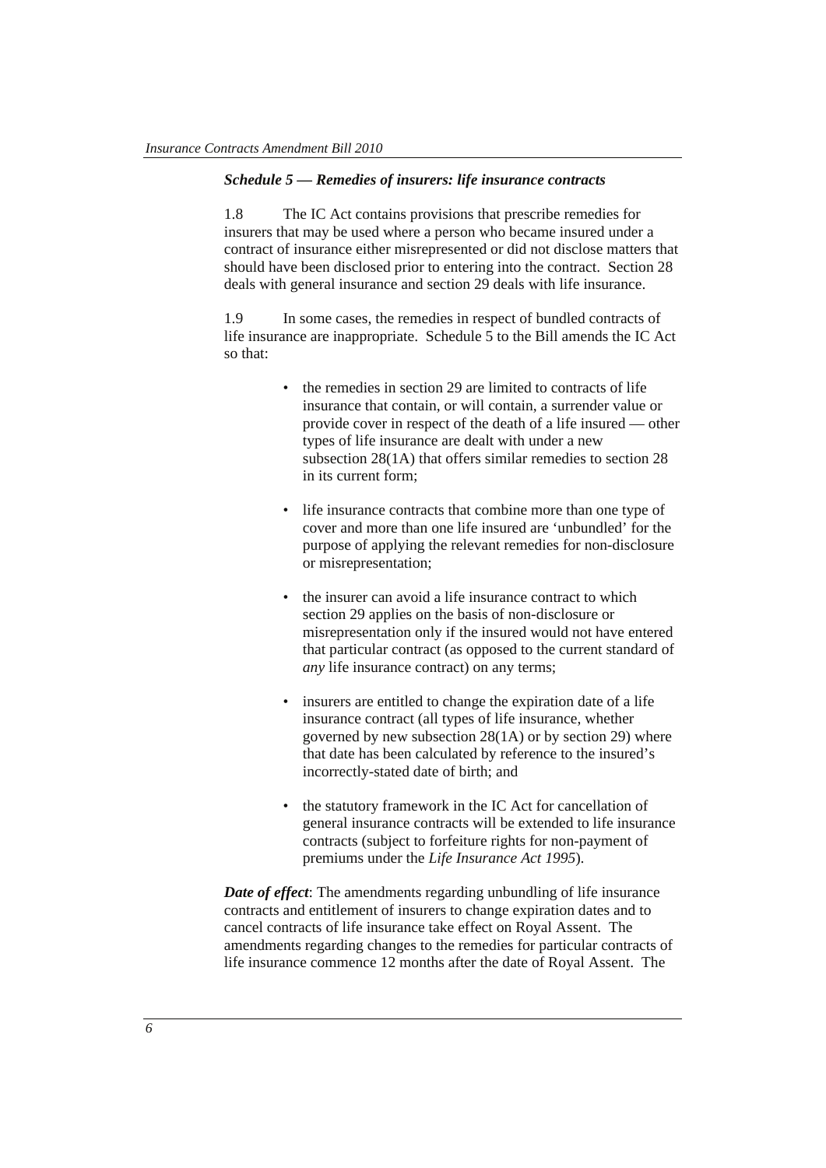## *Schedule 5 — Remedies of insurers: life insurance contracts*

1.8 The IC Act contains provisions that prescribe remedies for insurers that may be used where a person who became insured under a contract of insurance either misrepresented or did not disclose matters that should have been disclosed prior to entering into the contract. Section 28 deals with general insurance and section 29 deals with life insurance.

1.9 In some cases, the remedies in respect of bundled contracts of life insurance are inappropriate. Schedule 5 to the Bill amends the IC Act so that:

- the remedies in section 29 are limited to contracts of life insurance that contain, or will contain, a surrender value or provide cover in respect of the death of a life insured — other types of life insurance are dealt with under a new subsection 28(1A) that offers similar remedies to section 28 in its current form;
- life insurance contracts that combine more than one type of cover and more than one life insured are 'unbundled' for the purpose of applying the relevant remedies for non-disclosure or misrepresentation;
- the insurer can avoid a life insurance contract to which section 29 applies on the basis of non-disclosure or misrepresentation only if the insured would not have entered that particular contract (as opposed to the current standard of *any* life insurance contract) on any terms;
- insurers are entitled to change the expiration date of a life insurance contract (all types of life insurance, whether governed by new subsection 28(1A) or by section 29) where that date has been calculated by reference to the insured's incorrectly-stated date of birth; and
- the statutory framework in the IC Act for cancellation of general insurance contracts will be extended to life insurance contracts (subject to forfeiture rights for non-payment of premiums under the *Life Insurance Act 1995*)*.*

*Date of effect*: The amendments regarding unbundling of life insurance contracts and entitlement of insurers to change expiration dates and to cancel contracts of life insurance take effect on Royal Assent. The amendments regarding changes to the remedies for particular contracts of life insurance commence 12 months after the date of Royal Assent. The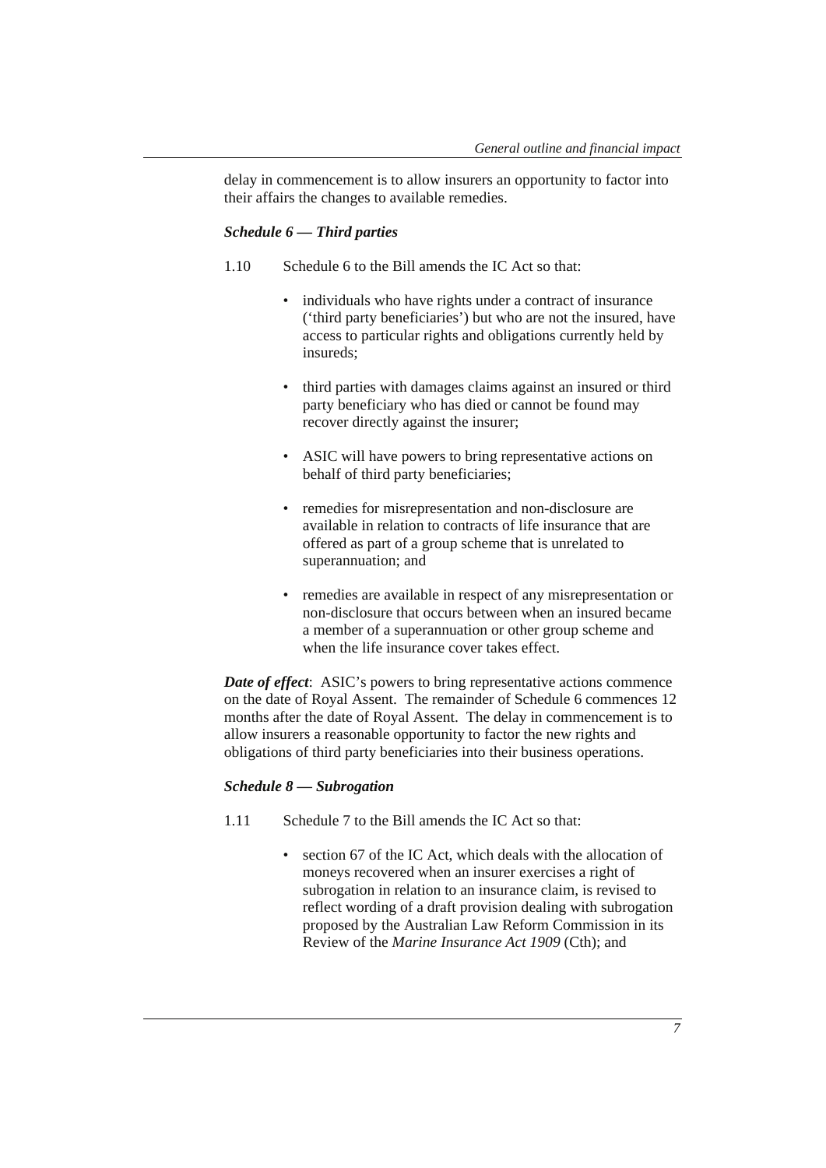delay in commencement is to allow insurers an opportunity to factor into their affairs the changes to available remedies.

#### *Schedule 6 — Third parties*

- 1.10 Schedule 6 to the Bill amends the IC Act so that:
	- individuals who have rights under a contract of insurance ('third party beneficiaries') but who are not the insured, have access to particular rights and obligations currently held by insureds;
	- third parties with damages claims against an insured or third party beneficiary who has died or cannot be found may recover directly against the insurer;
	- ASIC will have powers to bring representative actions on behalf of third party beneficiaries;
	- remedies for misrepresentation and non-disclosure are available in relation to contracts of life insurance that are offered as part of a group scheme that is unrelated to superannuation; and
	- remedies are available in respect of any misrepresentation or non-disclosure that occurs between when an insured became a member of a superannuation or other group scheme and when the life insurance cover takes effect.

*Date of effect*: ASIC's powers to bring representative actions commence on the date of Royal Assent. The remainder of Schedule 6 commences 12 months after the date of Royal Assent. The delay in commencement is to allow insurers a reasonable opportunity to factor the new rights and obligations of third party beneficiaries into their business operations.

## *Schedule 8 — Subrogation*

- 1.11 Schedule 7 to the Bill amends the IC Act so that:
	- section 67 of the IC Act, which deals with the allocation of moneys recovered when an insurer exercises a right of subrogation in relation to an insurance claim, is revised to reflect wording of a draft provision dealing with subrogation proposed by the Australian Law Reform Commission in its Review of the *Marine Insurance Act 1909* (Cth); and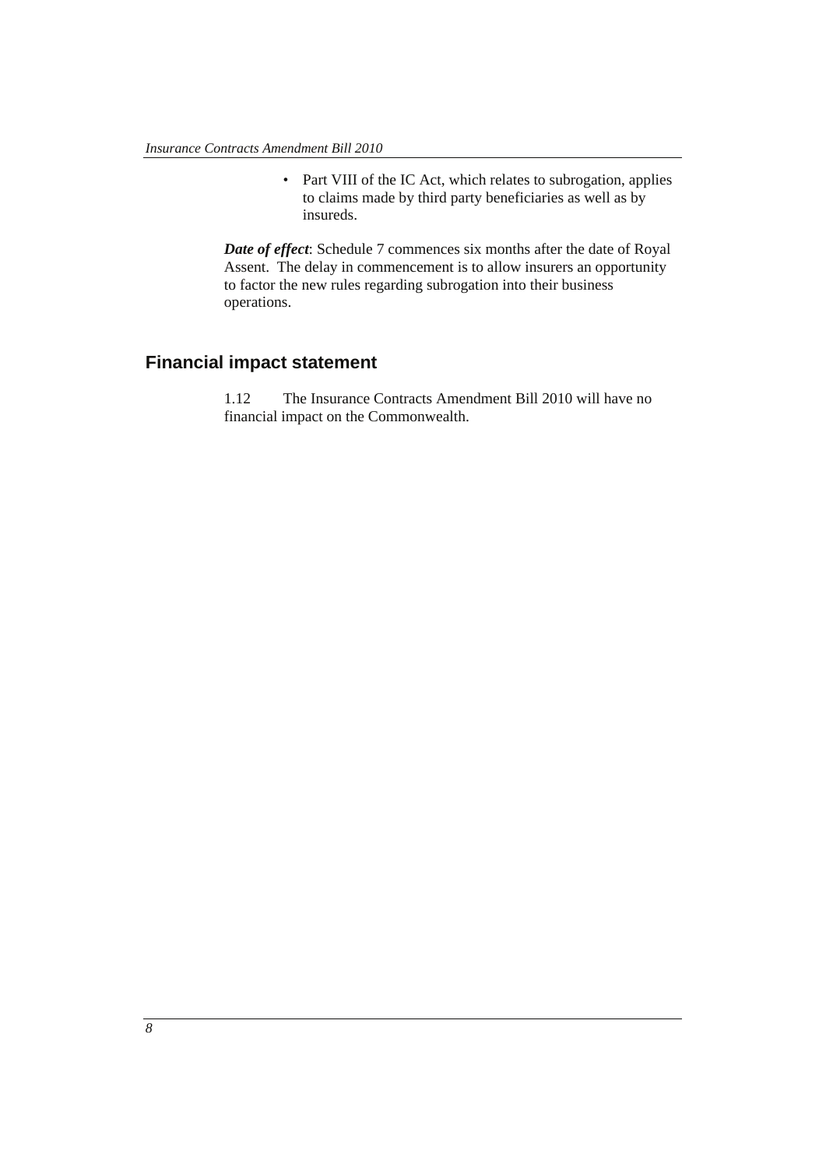• Part VIII of the IC Act, which relates to subrogation, applies to claims made by third party beneficiaries as well as by insureds.

*Date of effect*: Schedule 7 commences six months after the date of Royal Assent. The delay in commencement is to allow insurers an opportunity to factor the new rules regarding subrogation into their business operations.

## **Financial impact statement**

1.12 The Insurance Contracts Amendment Bill 2010 will have no financial impact on the Commonwealth.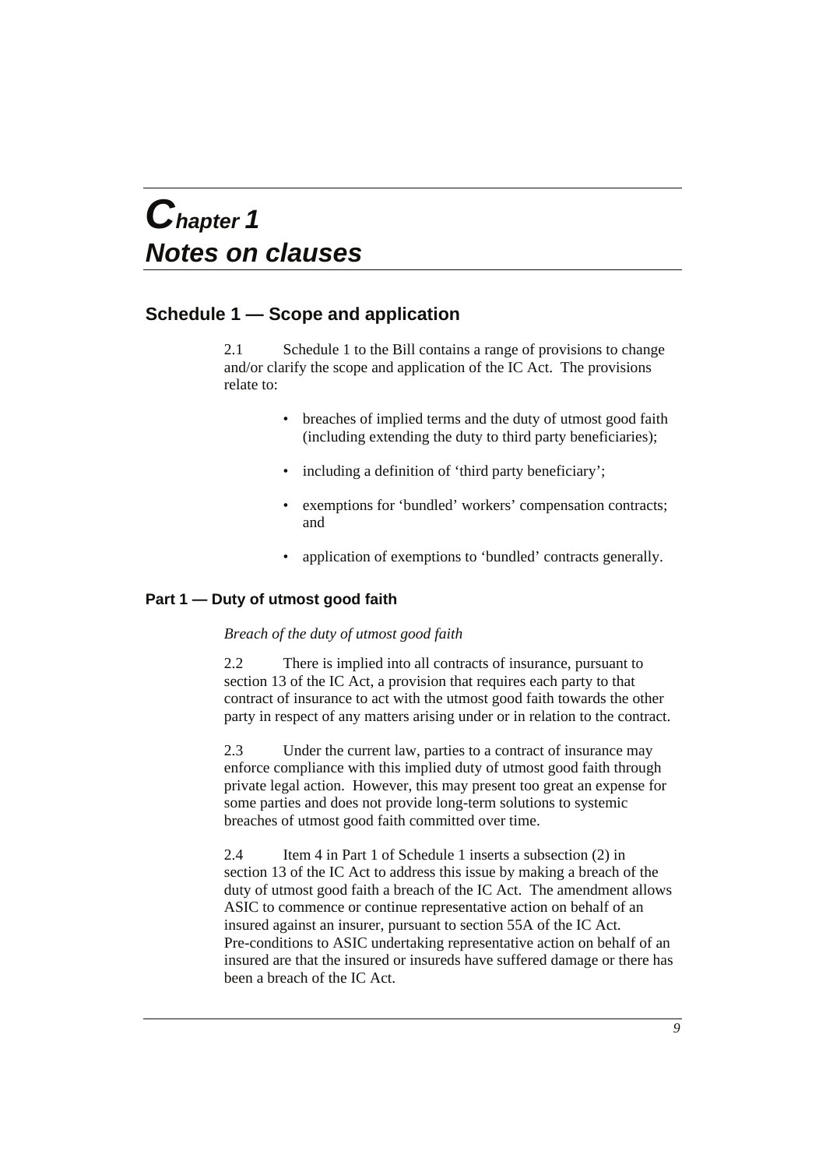## *Chapter 1 Notes on clauses*

## **Schedule 1 — Scope and application**

2.1 Schedule 1 to the Bill contains a range of provisions to change and/or clarify the scope and application of the IC Act. The provisions relate to:

- breaches of implied terms and the duty of utmost good faith (including extending the duty to third party beneficiaries);
- including a definition of 'third party beneficiary';
- exemptions for 'bundled' workers' compensation contracts; and
- application of exemptions to 'bundled' contracts generally.

## **Part 1 — Duty of utmost good faith**

## *Breach of the duty of utmost good faith*

2.2 There is implied into all contracts of insurance, pursuant to section 13 of the IC Act, a provision that requires each party to that contract of insurance to act with the utmost good faith towards the other party in respect of any matters arising under or in relation to the contract.

2.3 Under the current law, parties to a contract of insurance may enforce compliance with this implied duty of utmost good faith through private legal action. However, this may present too great an expense for some parties and does not provide long-term solutions to systemic breaches of utmost good faith committed over time.

2.4 Item 4 in Part 1 of Schedule 1 inserts a subsection (2) in section 13 of the IC Act to address this issue by making a breach of the duty of utmost good faith a breach of the IC Act. The amendment allows ASIC to commence or continue representative action on behalf of an insured against an insurer, pursuant to section 55A of the IC Act. Pre-conditions to ASIC undertaking representative action on behalf of an insured are that the insured or insureds have suffered damage or there has been a breach of the IC Act.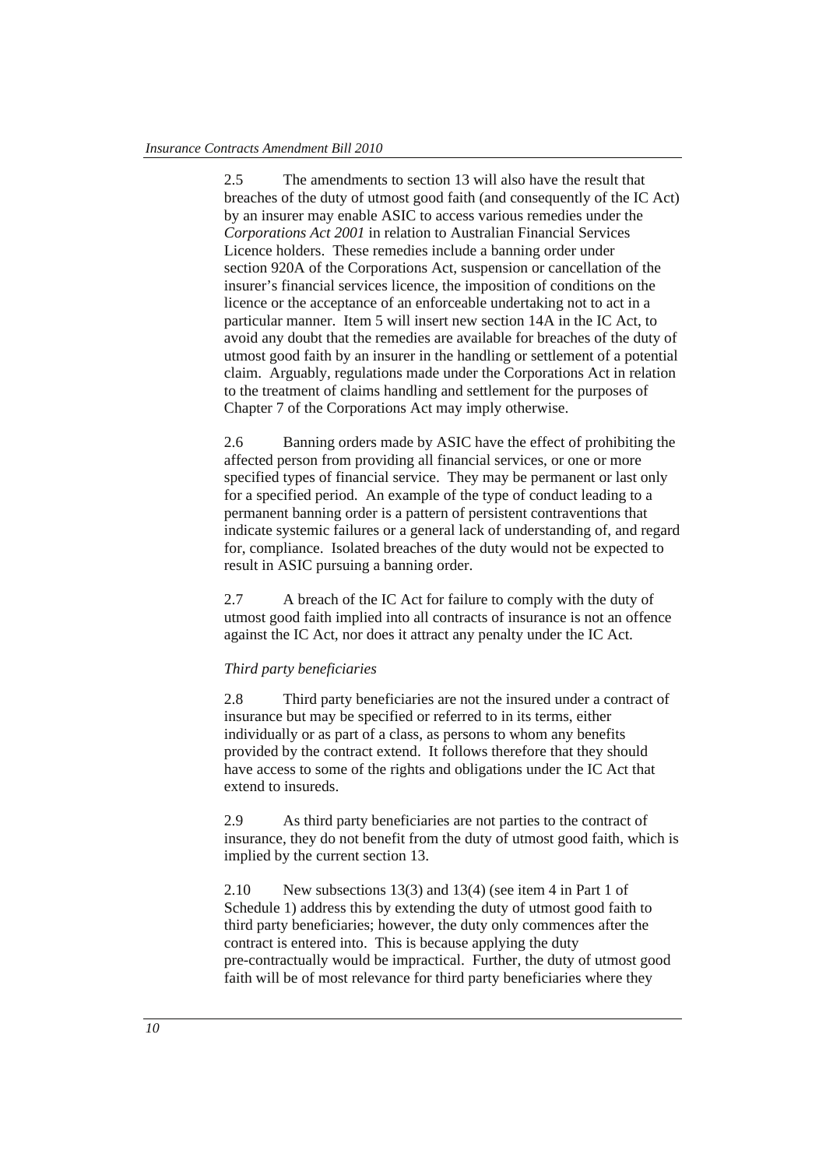2.5 The amendments to section 13 will also have the result that breaches of the duty of utmost good faith (and consequently of the IC Act) by an insurer may enable ASIC to access various remedies under the *Corporations Act 2001* in relation to Australian Financial Services Licence holders. These remedies include a banning order under section 920A of the Corporations Act, suspension or cancellation of the insurer's financial services licence, the imposition of conditions on the licence or the acceptance of an enforceable undertaking not to act in a particular manner. Item 5 will insert new section 14A in the IC Act, to avoid any doubt that the remedies are available for breaches of the duty of utmost good faith by an insurer in the handling or settlement of a potential claim. Arguably, regulations made under the Corporations Act in relation to the treatment of claims handling and settlement for the purposes of Chapter 7 of the Corporations Act may imply otherwise.

2.6 Banning orders made by ASIC have the effect of prohibiting the affected person from providing all financial services, or one or more specified types of financial service. They may be permanent or last only for a specified period. An example of the type of conduct leading to a permanent banning order is a pattern of persistent contraventions that indicate systemic failures or a general lack of understanding of, and regard for, compliance. Isolated breaches of the duty would not be expected to result in ASIC pursuing a banning order.

2.7 A breach of the IC Act for failure to comply with the duty of utmost good faith implied into all contracts of insurance is not an offence against the IC Act, nor does it attract any penalty under the IC Act.

#### *Third party beneficiaries*

2.8 Third party beneficiaries are not the insured under a contract of insurance but may be specified or referred to in its terms, either individually or as part of a class, as persons to whom any benefits provided by the contract extend. It follows therefore that they should have access to some of the rights and obligations under the IC Act that extend to insureds.

2.9 As third party beneficiaries are not parties to the contract of insurance, they do not benefit from the duty of utmost good faith, which is implied by the current section 13.

2.10 New subsections 13(3) and 13(4) (see item 4 in Part 1 of Schedule 1) address this by extending the duty of utmost good faith to third party beneficiaries; however, the duty only commences after the contract is entered into. This is because applying the duty pre-contractually would be impractical. Further, the duty of utmost good faith will be of most relevance for third party beneficiaries where they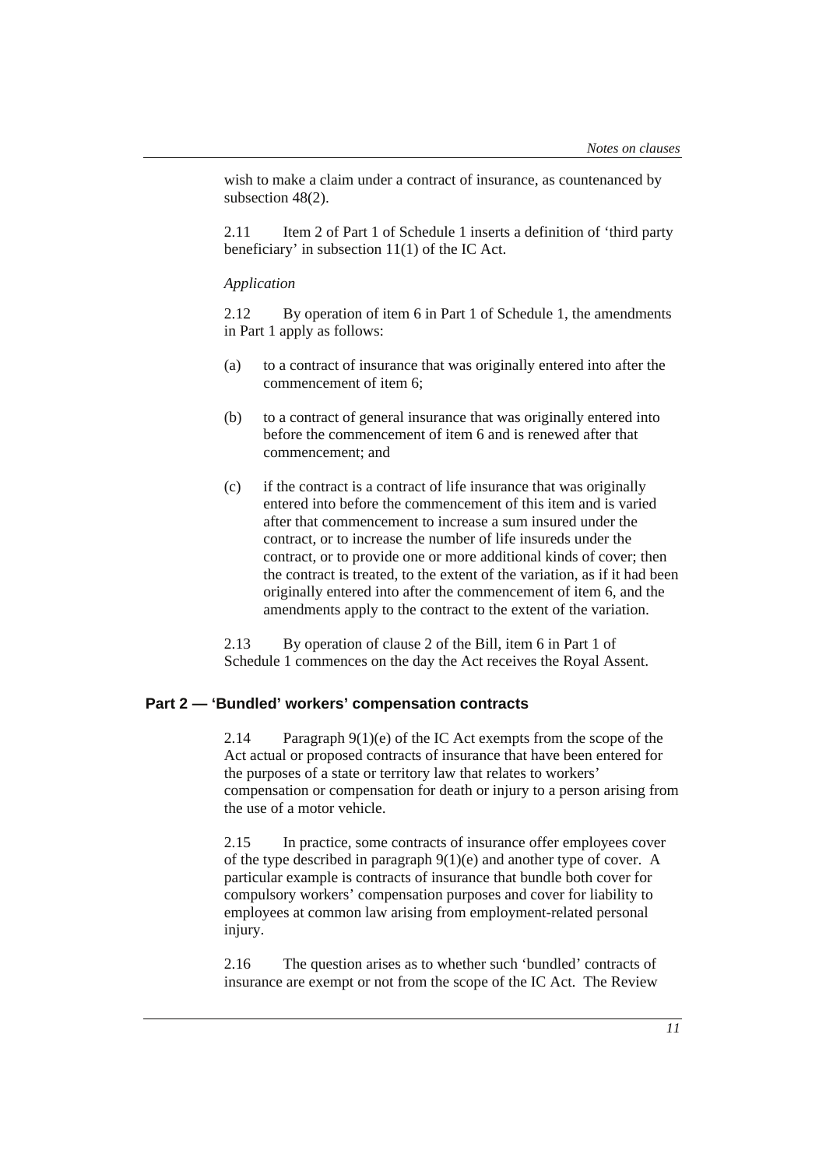wish to make a claim under a contract of insurance, as countenanced by subsection 48(2).

2.11 Item 2 of Part 1 of Schedule 1 inserts a definition of 'third party' beneficiary' in subsection 11(1) of the IC Act.

#### *Application*

2.12 By operation of item 6 in Part 1 of Schedule 1, the amendments in Part 1 apply as follows:

- (a) to a contract of insurance that was originally entered into after the commencement of item 6;
- (b) to a contract of general insurance that was originally entered into before the commencement of item 6 and is renewed after that commencement; and
- (c) if the contract is a contract of life insurance that was originally entered into before the commencement of this item and is varied after that commencement to increase a sum insured under the contract, or to increase the number of life insureds under the contract, or to provide one or more additional kinds of cover; then the contract is treated, to the extent of the variation, as if it had been originally entered into after the commencement of item 6, and the amendments apply to the contract to the extent of the variation.

2.13 By operation of clause 2 of the Bill, item 6 in Part 1 of Schedule 1 commences on the day the Act receives the Royal Assent.

## **Part 2 — 'Bundled' workers' compensation contracts**

2.14 Paragraph 9(1)(e) of the IC Act exempts from the scope of the Act actual or proposed contracts of insurance that have been entered for the purposes of a state or territory law that relates to workers' compensation or compensation for death or injury to a person arising from the use of a motor vehicle.

2.15 In practice, some contracts of insurance offer employees cover of the type described in paragraph 9(1)(e) and another type of cover. A particular example is contracts of insurance that bundle both cover for compulsory workers' compensation purposes and cover for liability to employees at common law arising from employment-related personal injury.

2.16 The question arises as to whether such 'bundled' contracts of insurance are exempt or not from the scope of the IC Act. The Review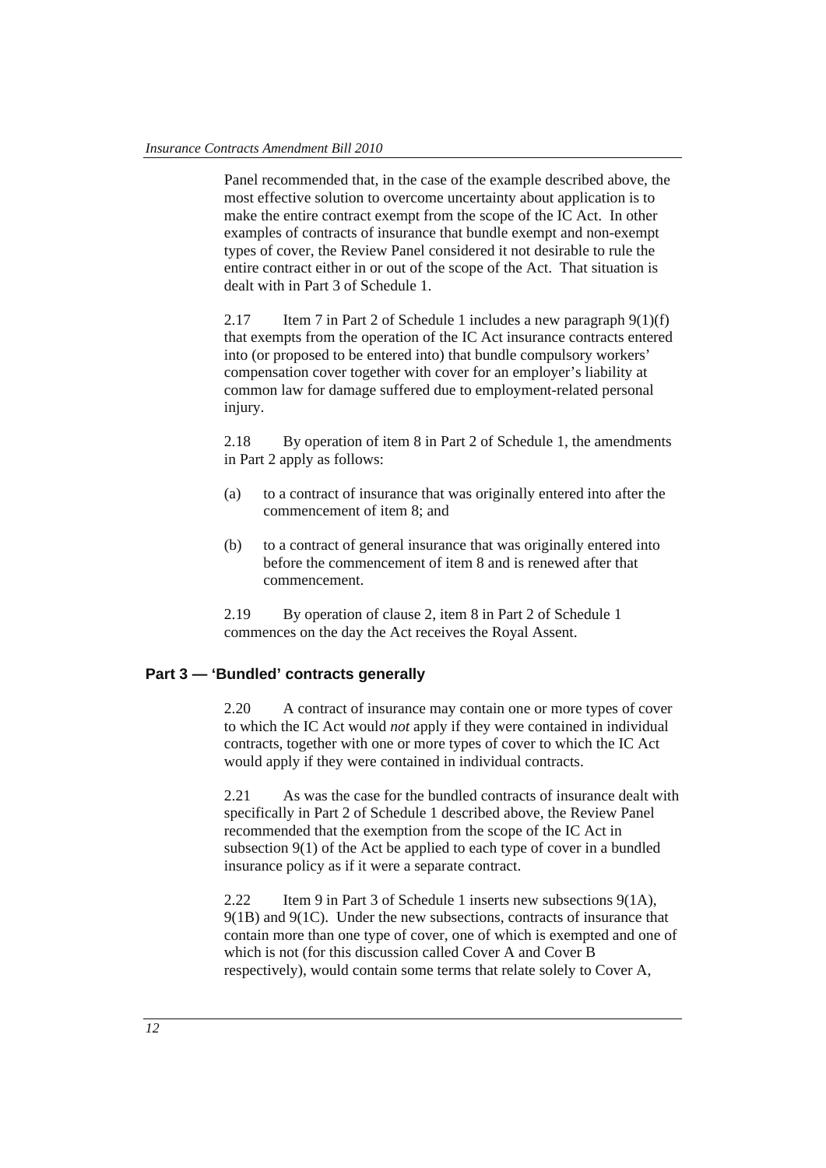Panel recommended that, in the case of the example described above, the most effective solution to overcome uncertainty about application is to make the entire contract exempt from the scope of the IC Act. In other examples of contracts of insurance that bundle exempt and non-exempt types of cover, the Review Panel considered it not desirable to rule the entire contract either in or out of the scope of the Act. That situation is dealt with in Part 3 of Schedule 1.

2.17 Item 7 in Part 2 of Schedule 1 includes a new paragraph  $9(1)(f)$ that exempts from the operation of the IC Act insurance contracts entered into (or proposed to be entered into) that bundle compulsory workers' compensation cover together with cover for an employer's liability at common law for damage suffered due to employment-related personal injury.

2.18 By operation of item 8 in Part 2 of Schedule 1, the amendments in Part 2 apply as follows:

- (a) to a contract of insurance that was originally entered into after the commencement of item 8; and
- (b) to a contract of general insurance that was originally entered into before the commencement of item 8 and is renewed after that commencement.

2.19 By operation of clause 2, item 8 in Part 2 of Schedule 1 commences on the day the Act receives the Royal Assent.

## **Part 3 — 'Bundled' contracts generally**

2.20 A contract of insurance may contain one or more types of cover to which the IC Act would *not* apply if they were contained in individual contracts, together with one or more types of cover to which the IC Act would apply if they were contained in individual contracts.

2.21 As was the case for the bundled contracts of insurance dealt with specifically in Part 2 of Schedule 1 described above, the Review Panel recommended that the exemption from the scope of the IC Act in subsection 9(1) of the Act be applied to each type of cover in a bundled insurance policy as if it were a separate contract.

2.22 Item 9 in Part 3 of Schedule 1 inserts new subsections 9(1A), 9(1B) and 9(1C). Under the new subsections, contracts of insurance that contain more than one type of cover, one of which is exempted and one of which is not (for this discussion called Cover A and Cover B respectively), would contain some terms that relate solely to Cover A,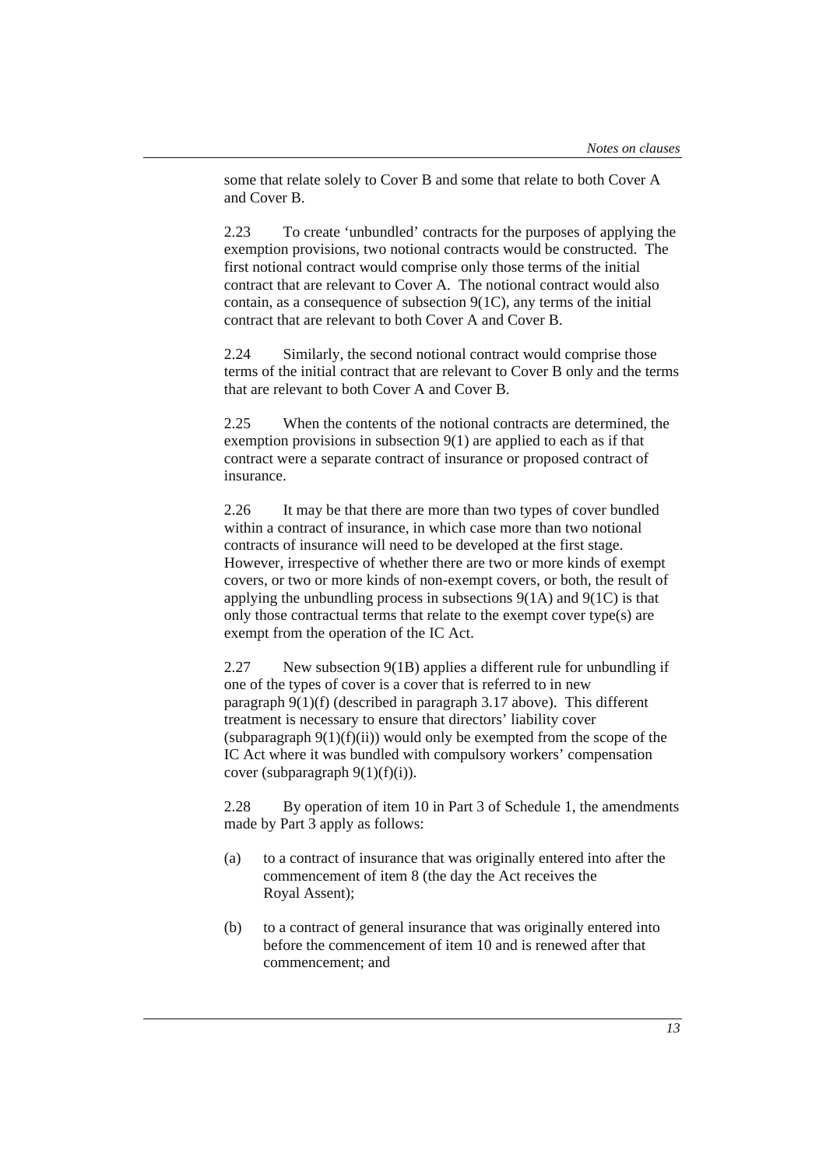some that relate solely to Cover B and some that relate to both Cover A and Cover B.

2.23 To create 'unbundled' contracts for the purposes of applying the exemption provisions, two notional contracts would be constructed. The first notional contract would comprise only those terms of the initial contract that are relevant to Cover A. The notional contract would also contain, as a consequence of subsection 9(1C), any terms of the initial contract that are relevant to both Cover A and Cover B.

2.24 Similarly, the second notional contract would comprise those terms of the initial contract that are relevant to Cover B only and the terms that are relevant to both Cover A and Cover B.

2.25 When the contents of the notional contracts are determined, the exemption provisions in subsection  $9(1)$  are applied to each as if that contract were a separate contract of insurance or proposed contract of insurance.

2.26 It may be that there are more than two types of cover bundled within a contract of insurance, in which case more than two notional contracts of insurance will need to be developed at the first stage. However, irrespective of whether there are two or more kinds of exempt covers, or two or more kinds of non-exempt covers, or both, the result of applying the unbundling process in subsections  $9(1A)$  and  $9(1C)$  is that only those contractual terms that relate to the exempt cover type(s) are exempt from the operation of the IC Act.

2.27 New subsection 9(1B) applies a different rule for unbundling if one of the types of cover is a cover that is referred to in new paragraph 9(1)(f) (described in paragraph 3.17 above). This different treatment is necessary to ensure that directors' liability cover (subparagraph  $9(1)(f)(ii)$ ) would only be exempted from the scope of the IC Act where it was bundled with compulsory workers' compensation cover (subparagraph  $9(1)(f)(i)$ ).

2.28 By operation of item 10 in Part 3 of Schedule 1, the amendments made by Part 3 apply as follows:

- (a) to a contract of insurance that was originally entered into after the commencement of item 8 (the day the Act receives the Royal Assent);
- (b) to a contract of general insurance that was originally entered into before the commencement of item 10 and is renewed after that commencement; and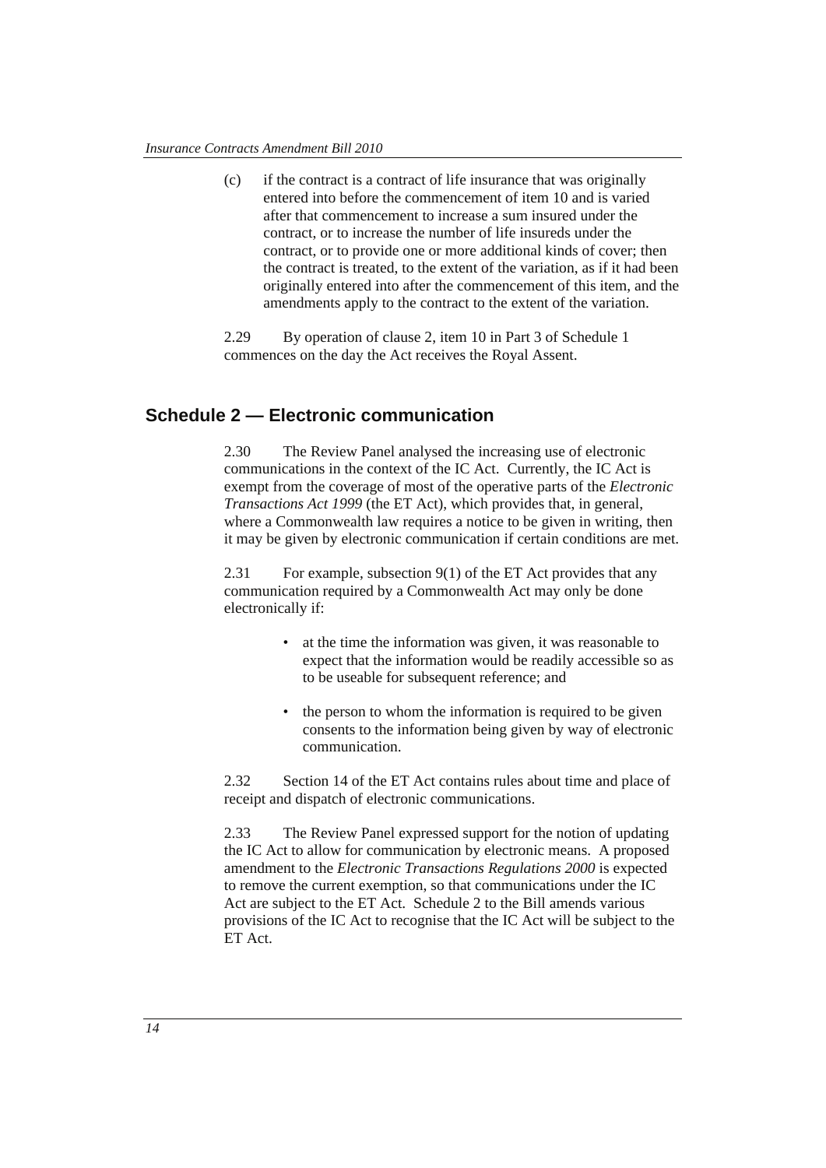(c) if the contract is a contract of life insurance that was originally entered into before the commencement of item 10 and is varied after that commencement to increase a sum insured under the contract, or to increase the number of life insureds under the contract, or to provide one or more additional kinds of cover; then the contract is treated, to the extent of the variation, as if it had been originally entered into after the commencement of this item, and the amendments apply to the contract to the extent of the variation.

2.29 By operation of clause 2, item 10 in Part 3 of Schedule 1 commences on the day the Act receives the Royal Assent.

## **Schedule 2 — Electronic communication**

2.30 The Review Panel analysed the increasing use of electronic communications in the context of the IC Act. Currently, the IC Act is exempt from the coverage of most of the operative parts of the *Electronic Transactions Act 1999* (the ET Act), which provides that, in general, where a Commonwealth law requires a notice to be given in writing, then it may be given by electronic communication if certain conditions are met.

2.31 For example, subsection 9(1) of the ET Act provides that any communication required by a Commonwealth Act may only be done electronically if:

- at the time the information was given, it was reasonable to expect that the information would be readily accessible so as to be useable for subsequent reference; and
- the person to whom the information is required to be given consents to the information being given by way of electronic communication.

2.32 Section 14 of the ET Act contains rules about time and place of receipt and dispatch of electronic communications.

2.33 The Review Panel expressed support for the notion of updating the IC Act to allow for communication by electronic means. A proposed amendment to the *Electronic Transactions Regulations 2000* is expected to remove the current exemption, so that communications under the IC Act are subject to the ET Act. Schedule 2 to the Bill amends various provisions of the IC Act to recognise that the IC Act will be subject to the ET Act.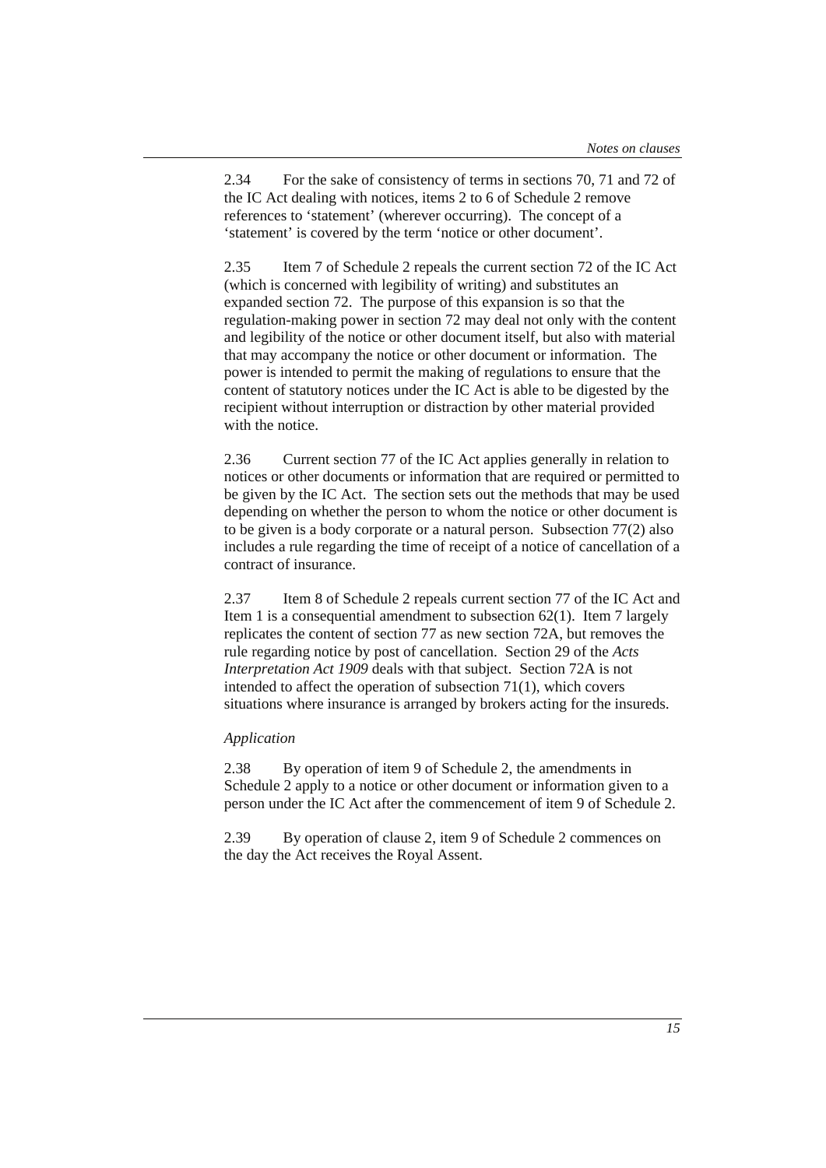2.34 For the sake of consistency of terms in sections 70, 71 and 72 of the IC Act dealing with notices, items 2 to 6 of Schedule 2 remove references to 'statement' (wherever occurring). The concept of a 'statement' is covered by the term 'notice or other document'.

2.35 Item 7 of Schedule 2 repeals the current section 72 of the IC Act (which is concerned with legibility of writing) and substitutes an expanded section 72. The purpose of this expansion is so that the regulation-making power in section 72 may deal not only with the content and legibility of the notice or other document itself, but also with material that may accompany the notice or other document or information. The power is intended to permit the making of regulations to ensure that the content of statutory notices under the IC Act is able to be digested by the recipient without interruption or distraction by other material provided with the notice.

2.36 Current section 77 of the IC Act applies generally in relation to notices or other documents or information that are required or permitted to be given by the IC Act. The section sets out the methods that may be used depending on whether the person to whom the notice or other document is to be given is a body corporate or a natural person. Subsection 77(2) also includes a rule regarding the time of receipt of a notice of cancellation of a contract of insurance.

2.37 Item 8 of Schedule 2 repeals current section 77 of the IC Act and Item 1 is a consequential amendment to subsection 62(1). Item 7 largely replicates the content of section 77 as new section 72A, but removes the rule regarding notice by post of cancellation. Section 29 of the *Acts Interpretation Act 1909* deals with that subject. Section 72A is not intended to affect the operation of subsection 71(1), which covers situations where insurance is arranged by brokers acting for the insureds.

## *Application*

2.38 By operation of item 9 of Schedule 2, the amendments in Schedule 2 apply to a notice or other document or information given to a person under the IC Act after the commencement of item 9 of Schedule 2.

2.39 By operation of clause 2, item 9 of Schedule 2 commences on the day the Act receives the Royal Assent.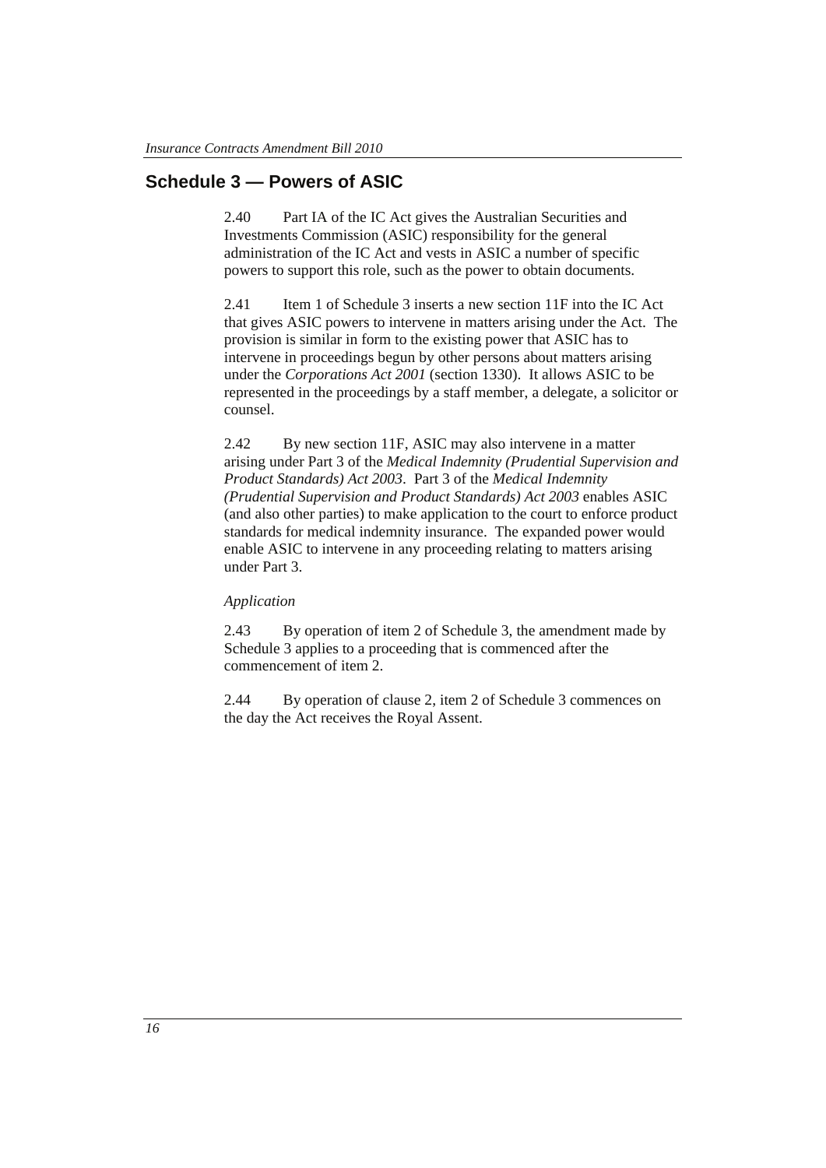## **Schedule 3 — Powers of ASIC**

2.40 Part IA of the IC Act gives the Australian Securities and Investments Commission (ASIC) responsibility for the general administration of the IC Act and vests in ASIC a number of specific powers to support this role, such as the power to obtain documents.

2.41 Item 1 of Schedule 3 inserts a new section 11F into the IC Act that gives ASIC powers to intervene in matters arising under the Act. The provision is similar in form to the existing power that ASIC has to intervene in proceedings begun by other persons about matters arising under the *Corporations Act 2001* (section 1330). It allows ASIC to be represented in the proceedings by a staff member, a delegate, a solicitor or counsel.

2.42 By new section 11F, ASIC may also intervene in a matter arising under Part 3 of the *Medical Indemnity (Prudential Supervision and Product Standards) Act 2003*. Part 3 of the *Medical Indemnity (Prudential Supervision and Product Standards) Act 2003* enables ASIC (and also other parties) to make application to the court to enforce product standards for medical indemnity insurance. The expanded power would enable ASIC to intervene in any proceeding relating to matters arising under Part 3.

## *Application*

2.43 By operation of item 2 of Schedule 3, the amendment made by Schedule 3 applies to a proceeding that is commenced after the commencement of item 2.

2.44 By operation of clause 2, item 2 of Schedule 3 commences on the day the Act receives the Royal Assent.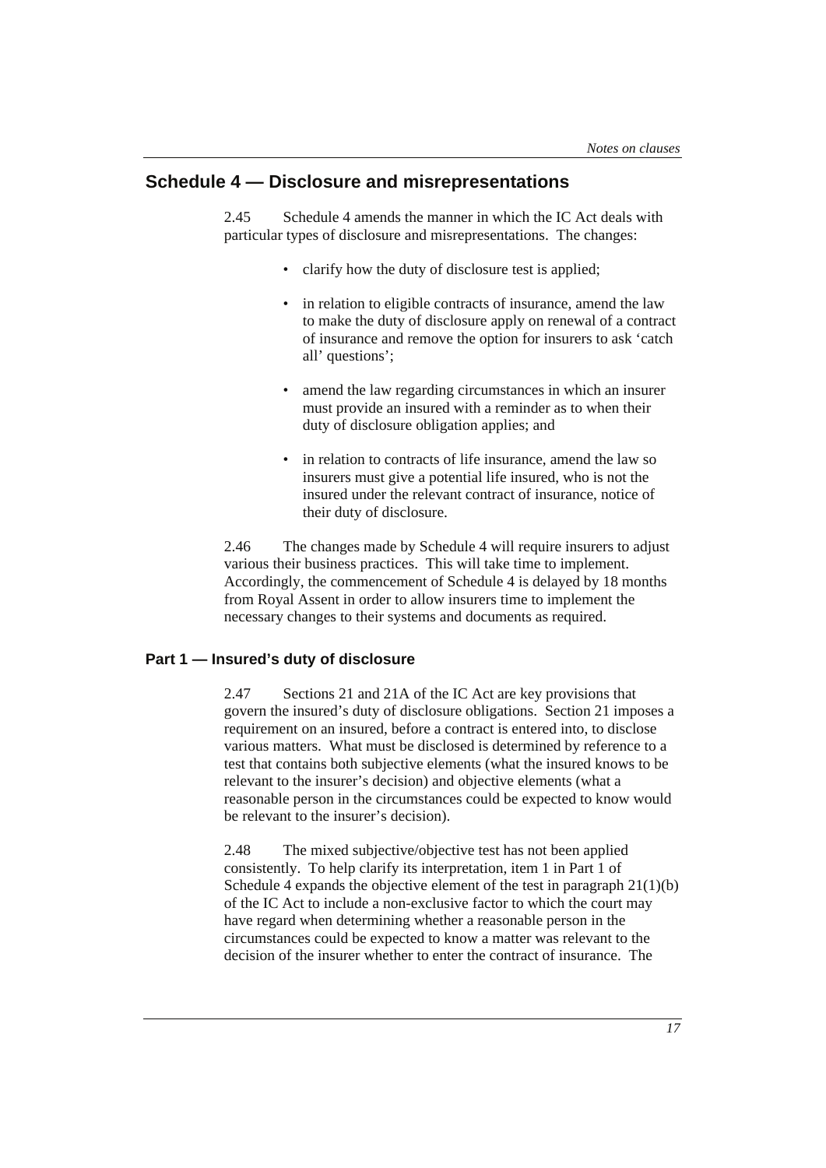## **Schedule 4 — Disclosure and misrepresentations**

2.45 Schedule 4 amends the manner in which the IC Act deals with particular types of disclosure and misrepresentations. The changes:

- clarify how the duty of disclosure test is applied;
- in relation to eligible contracts of insurance, amend the law to make the duty of disclosure apply on renewal of a contract of insurance and remove the option for insurers to ask 'catch all' questions';
- amend the law regarding circumstances in which an insurer must provide an insured with a reminder as to when their duty of disclosure obligation applies; and
- in relation to contracts of life insurance, amend the law so insurers must give a potential life insured, who is not the insured under the relevant contract of insurance, notice of their duty of disclosure.

2.46 The changes made by Schedule 4 will require insurers to adjust various their business practices. This will take time to implement. Accordingly, the commencement of Schedule 4 is delayed by 18 months from Royal Assent in order to allow insurers time to implement the necessary changes to their systems and documents as required.

## **Part 1 — Insured's duty of disclosure**

2.47 Sections 21 and 21A of the IC Act are key provisions that govern the insured's duty of disclosure obligations. Section 21 imposes a requirement on an insured, before a contract is entered into, to disclose various matters. What must be disclosed is determined by reference to a test that contains both subjective elements (what the insured knows to be relevant to the insurer's decision) and objective elements (what a reasonable person in the circumstances could be expected to know would be relevant to the insurer's decision).

2.48 The mixed subjective/objective test has not been applied consistently. To help clarify its interpretation, item 1 in Part 1 of Schedule 4 expands the objective element of the test in paragraph  $21(1)(b)$ of the IC Act to include a non-exclusive factor to which the court may have regard when determining whether a reasonable person in the circumstances could be expected to know a matter was relevant to the decision of the insurer whether to enter the contract of insurance. The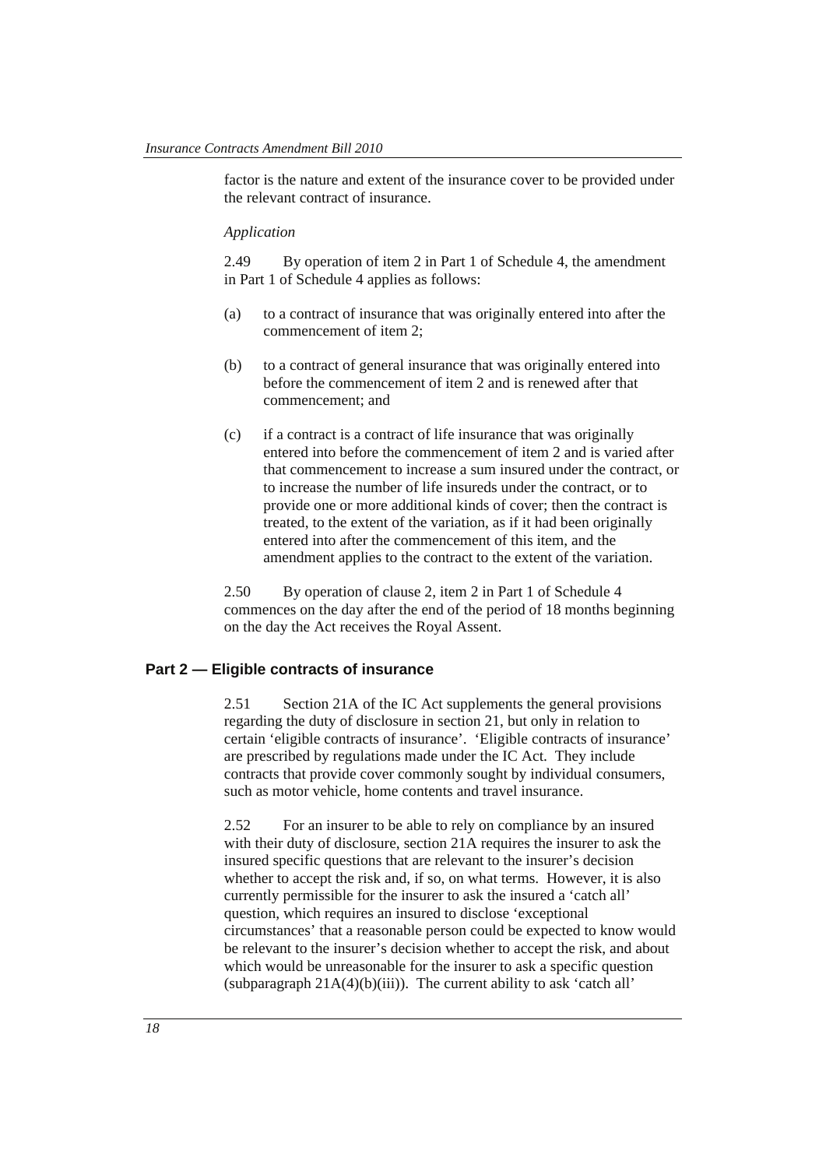factor is the nature and extent of the insurance cover to be provided under the relevant contract of insurance.

#### *Application*

2.49 By operation of item 2 in Part 1 of Schedule 4, the amendment in Part 1 of Schedule 4 applies as follows:

- (a) to a contract of insurance that was originally entered into after the commencement of item 2;
- (b) to a contract of general insurance that was originally entered into before the commencement of item 2 and is renewed after that commencement; and
- (c) if a contract is a contract of life insurance that was originally entered into before the commencement of item 2 and is varied after that commencement to increase a sum insured under the contract, or to increase the number of life insureds under the contract, or to provide one or more additional kinds of cover; then the contract is treated, to the extent of the variation, as if it had been originally entered into after the commencement of this item, and the amendment applies to the contract to the extent of the variation.

2.50 By operation of clause 2, item 2 in Part 1 of Schedule 4 commences on the day after the end of the period of 18 months beginning on the day the Act receives the Royal Assent.

## **Part 2 — Eligible contracts of insurance**

2.51 Section 21A of the IC Act supplements the general provisions regarding the duty of disclosure in section 21, but only in relation to certain 'eligible contracts of insurance'. 'Eligible contracts of insurance' are prescribed by regulations made under the IC Act. They include contracts that provide cover commonly sought by individual consumers, such as motor vehicle, home contents and travel insurance.

2.52 For an insurer to be able to rely on compliance by an insured with their duty of disclosure, section 21A requires the insurer to ask the insured specific questions that are relevant to the insurer's decision whether to accept the risk and, if so, on what terms. However, it is also currently permissible for the insurer to ask the insured a 'catch all' question, which requires an insured to disclose 'exceptional circumstances' that a reasonable person could be expected to know would be relevant to the insurer's decision whether to accept the risk, and about which would be unreasonable for the insurer to ask a specific question (subparagraph  $21A(4)(b)(iii)$ ). The current ability to ask 'catch all'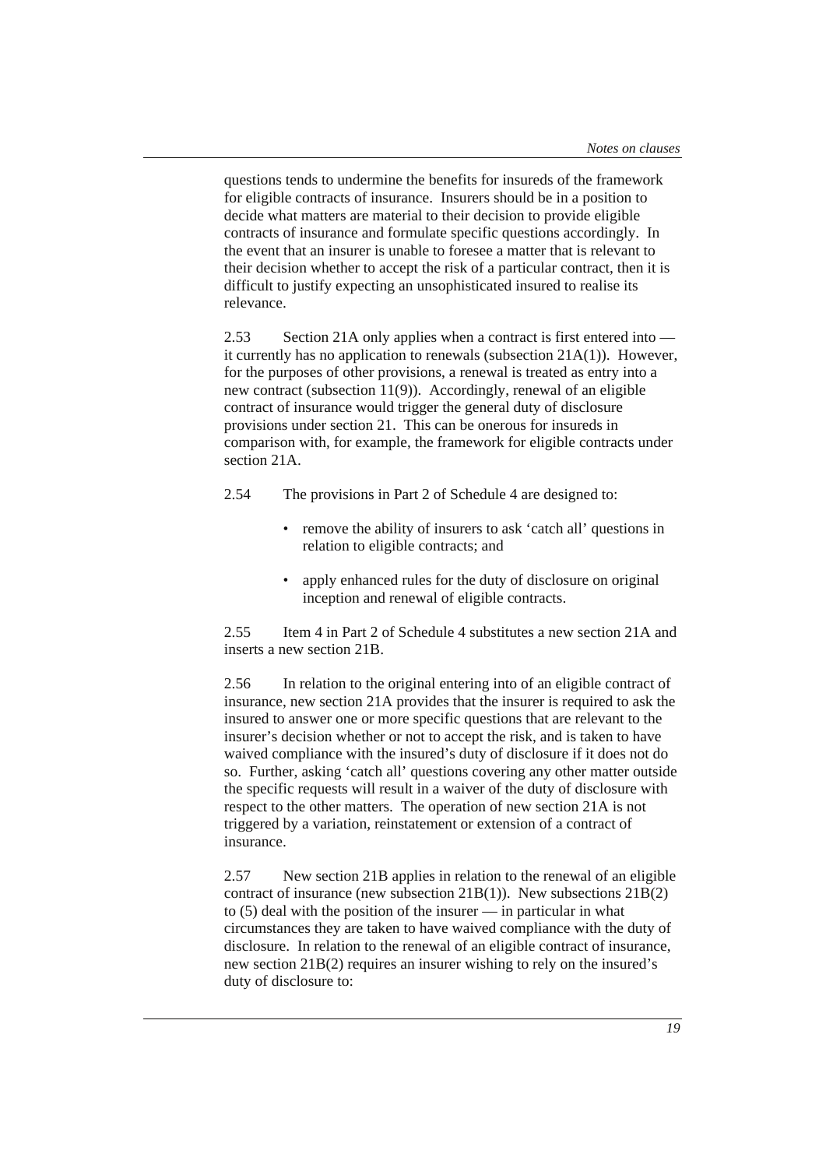questions tends to undermine the benefits for insureds of the framework for eligible contracts of insurance. Insurers should be in a position to decide what matters are material to their decision to provide eligible contracts of insurance and formulate specific questions accordingly. In the event that an insurer is unable to foresee a matter that is relevant to their decision whether to accept the risk of a particular contract, then it is difficult to justify expecting an unsophisticated insured to realise its relevance.

2.53 Section 21A only applies when a contract is first entered into it currently has no application to renewals (subsection 21A(1)). However, for the purposes of other provisions, a renewal is treated as entry into a new contract (subsection 11(9)). Accordingly, renewal of an eligible contract of insurance would trigger the general duty of disclosure provisions under section 21. This can be onerous for insureds in comparison with, for example, the framework for eligible contracts under section 21A.

2.54 The provisions in Part 2 of Schedule 4 are designed to:

- remove the ability of insurers to ask 'catch all' questions in relation to eligible contracts; and
- apply enhanced rules for the duty of disclosure on original inception and renewal of eligible contracts.

2.55 Item 4 in Part 2 of Schedule 4 substitutes a new section 21A and inserts a new section 21B.

2.56 In relation to the original entering into of an eligible contract of insurance, new section 21A provides that the insurer is required to ask the insured to answer one or more specific questions that are relevant to the insurer's decision whether or not to accept the risk, and is taken to have waived compliance with the insured's duty of disclosure if it does not do so. Further, asking 'catch all' questions covering any other matter outside the specific requests will result in a waiver of the duty of disclosure with respect to the other matters. The operation of new section 21A is not triggered by a variation, reinstatement or extension of a contract of insurance.

2.57 New section 21B applies in relation to the renewal of an eligible contract of insurance (new subsection 21B(1)). New subsections 21B(2) to (5) deal with the position of the insurer — in particular in what circumstances they are taken to have waived compliance with the duty of disclosure. In relation to the renewal of an eligible contract of insurance, new section 21B(2) requires an insurer wishing to rely on the insured's duty of disclosure to: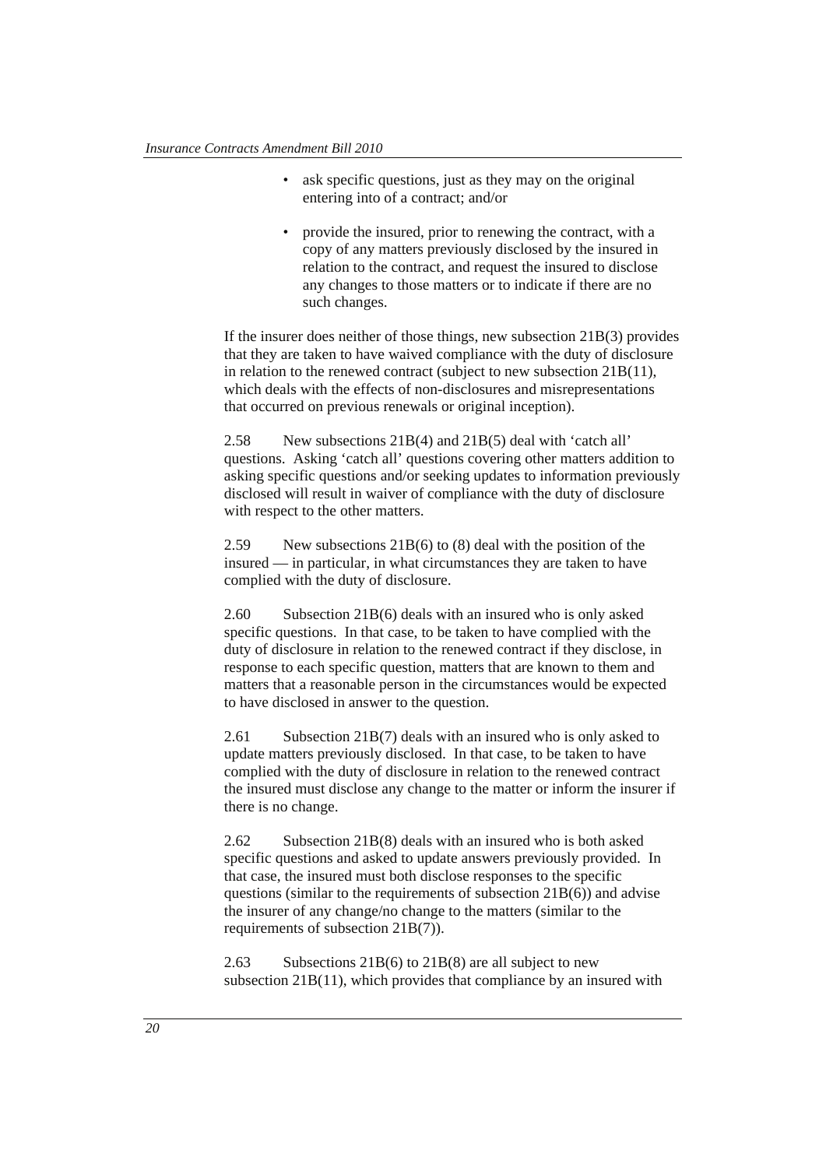- ask specific questions, just as they may on the original entering into of a contract; and/or
- provide the insured, prior to renewing the contract, with a copy of any matters previously disclosed by the insured in relation to the contract, and request the insured to disclose any changes to those matters or to indicate if there are no such changes.

If the insurer does neither of those things, new subsection 21B(3) provides that they are taken to have waived compliance with the duty of disclosure in relation to the renewed contract (subject to new subsection 21B(11), which deals with the effects of non-disclosures and misrepresentations that occurred on previous renewals or original inception).

2.58 New subsections 21B(4) and 21B(5) deal with 'catch all' questions. Asking 'catch all' questions covering other matters addition to asking specific questions and/or seeking updates to information previously disclosed will result in waiver of compliance with the duty of disclosure with respect to the other matters.

2.59 New subsections 21B(6) to (8) deal with the position of the insured — in particular, in what circumstances they are taken to have complied with the duty of disclosure.

2.60 Subsection 21B(6) deals with an insured who is only asked specific questions. In that case, to be taken to have complied with the duty of disclosure in relation to the renewed contract if they disclose, in response to each specific question, matters that are known to them and matters that a reasonable person in the circumstances would be expected to have disclosed in answer to the question.

2.61 Subsection 21B(7) deals with an insured who is only asked to update matters previously disclosed. In that case, to be taken to have complied with the duty of disclosure in relation to the renewed contract the insured must disclose any change to the matter or inform the insurer if there is no change.

2.62 Subsection 21B(8) deals with an insured who is both asked specific questions and asked to update answers previously provided. In that case, the insured must both disclose responses to the specific questions (similar to the requirements of subsection 21B(6)) and advise the insurer of any change/no change to the matters (similar to the requirements of subsection 21B(7)).

2.63 Subsections 21B(6) to 21B(8) are all subject to new subsection 21B(11), which provides that compliance by an insured with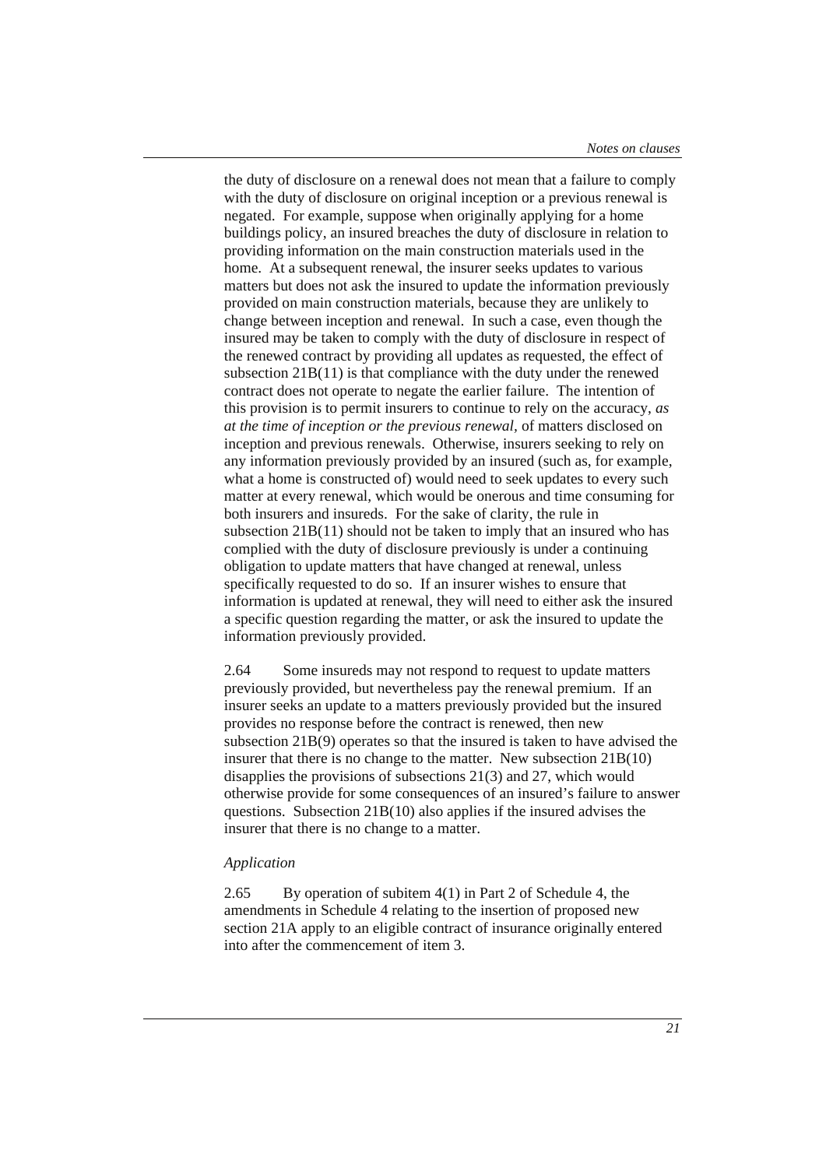the duty of disclosure on a renewal does not mean that a failure to comply with the duty of disclosure on original inception or a previous renewal is negated. For example, suppose when originally applying for a home buildings policy, an insured breaches the duty of disclosure in relation to providing information on the main construction materials used in the home. At a subsequent renewal, the insurer seeks updates to various matters but does not ask the insured to update the information previously provided on main construction materials, because they are unlikely to change between inception and renewal. In such a case, even though the insured may be taken to comply with the duty of disclosure in respect of the renewed contract by providing all updates as requested, the effect of subsection  $21B(11)$  is that compliance with the duty under the renewed contract does not operate to negate the earlier failure. The intention of this provision is to permit insurers to continue to rely on the accuracy, *as at the time of inception or the previous renewal,* of matters disclosed on inception and previous renewals. Otherwise, insurers seeking to rely on any information previously provided by an insured (such as, for example, what a home is constructed of) would need to seek updates to every such matter at every renewal, which would be onerous and time consuming for both insurers and insureds. For the sake of clarity, the rule in subsection 21B(11) should not be taken to imply that an insured who has complied with the duty of disclosure previously is under a continuing obligation to update matters that have changed at renewal, unless specifically requested to do so. If an insurer wishes to ensure that information is updated at renewal, they will need to either ask the insured a specific question regarding the matter, or ask the insured to update the information previously provided.

2.64 Some insureds may not respond to request to update matters previously provided, but nevertheless pay the renewal premium. If an insurer seeks an update to a matters previously provided but the insured provides no response before the contract is renewed, then new subsection  $21B(9)$  operates so that the insured is taken to have advised the insurer that there is no change to the matter. New subsection 21B(10) disapplies the provisions of subsections 21(3) and 27, which would otherwise provide for some consequences of an insured's failure to answer questions. Subsection 21B(10) also applies if the insured advises the insurer that there is no change to a matter.

#### *Application*

2.65 By operation of subitem 4(1) in Part 2 of Schedule 4, the amendments in Schedule 4 relating to the insertion of proposed new section 21A apply to an eligible contract of insurance originally entered into after the commencement of item 3.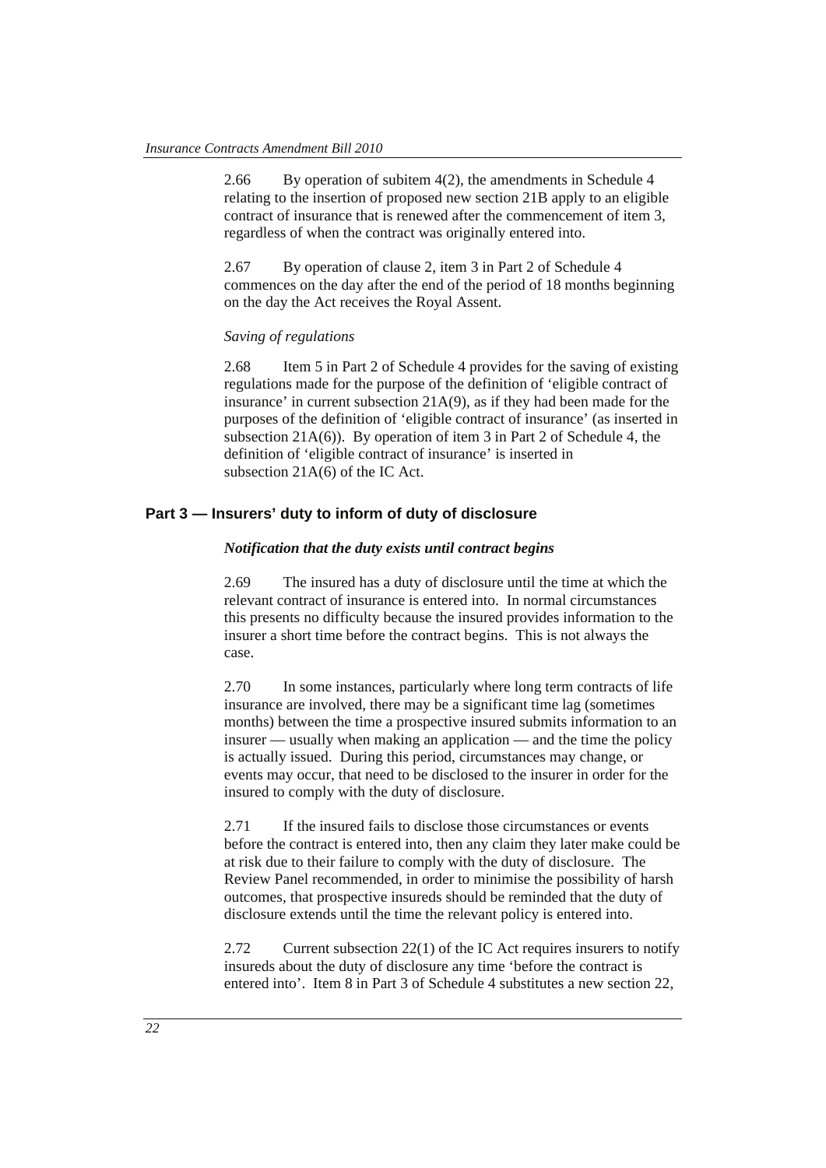2.66 By operation of subitem 4(2), the amendments in Schedule 4 relating to the insertion of proposed new section 21B apply to an eligible contract of insurance that is renewed after the commencement of item 3, regardless of when the contract was originally entered into.

2.67 By operation of clause 2, item 3 in Part 2 of Schedule 4 commences on the day after the end of the period of 18 months beginning on the day the Act receives the Royal Assent.

## *Saving of regulations*

2.68 Item 5 in Part 2 of Schedule 4 provides for the saving of existing regulations made for the purpose of the definition of 'eligible contract of insurance' in current subsection 21A(9), as if they had been made for the purposes of the definition of 'eligible contract of insurance' (as inserted in subsection 21A(6)). By operation of item 3 in Part 2 of Schedule 4, the definition of 'eligible contract of insurance' is inserted in subsection 21A(6) of the IC Act.

## **Part 3 — Insurers' duty to inform of duty of disclosure**

#### *Notification that the duty exists until contract begins*

2.69 The insured has a duty of disclosure until the time at which the relevant contract of insurance is entered into. In normal circumstances this presents no difficulty because the insured provides information to the insurer a short time before the contract begins. This is not always the case.

2.70 In some instances, particularly where long term contracts of life insurance are involved, there may be a significant time lag (sometimes months) between the time a prospective insured submits information to an insurer — usually when making an application — and the time the policy is actually issued. During this period, circumstances may change, or events may occur, that need to be disclosed to the insurer in order for the insured to comply with the duty of disclosure.

2.71 If the insured fails to disclose those circumstances or events before the contract is entered into, then any claim they later make could be at risk due to their failure to comply with the duty of disclosure. The Review Panel recommended, in order to minimise the possibility of harsh outcomes, that prospective insureds should be reminded that the duty of disclosure extends until the time the relevant policy is entered into.

2.72 Current subsection 22(1) of the IC Act requires insurers to notify insureds about the duty of disclosure any time 'before the contract is entered into'. Item 8 in Part 3 of Schedule 4 substitutes a new section 22,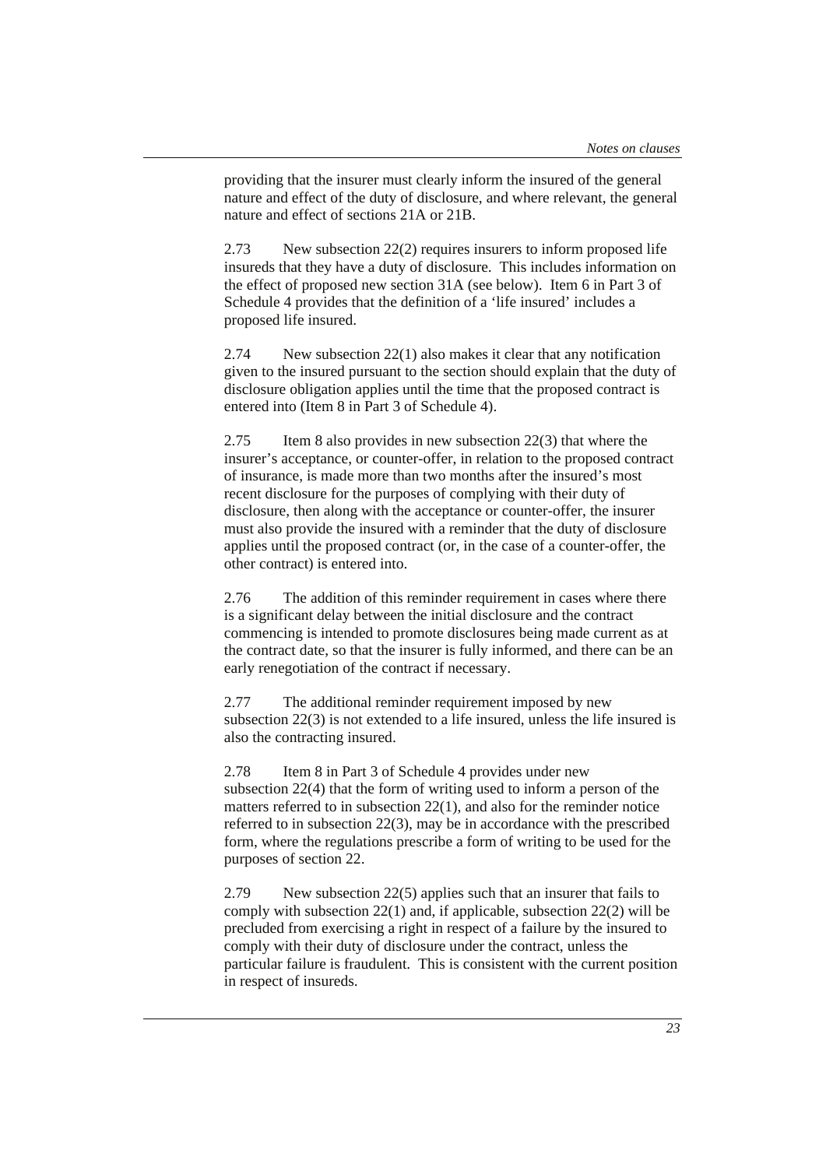providing that the insurer must clearly inform the insured of the general nature and effect of the duty of disclosure, and where relevant, the general nature and effect of sections 21A or 21B.

2.73 New subsection 22(2) requires insurers to inform proposed life insureds that they have a duty of disclosure. This includes information on the effect of proposed new section 31A (see below). Item 6 in Part 3 of Schedule 4 provides that the definition of a 'life insured' includes a proposed life insured.

2.74 New subsection 22(1) also makes it clear that any notification given to the insured pursuant to the section should explain that the duty of disclosure obligation applies until the time that the proposed contract is entered into (Item 8 in Part 3 of Schedule 4).

2.75 Item 8 also provides in new subsection 22(3) that where the insurer's acceptance, or counter-offer, in relation to the proposed contract of insurance, is made more than two months after the insured's most recent disclosure for the purposes of complying with their duty of disclosure, then along with the acceptance or counter-offer, the insurer must also provide the insured with a reminder that the duty of disclosure applies until the proposed contract (or, in the case of a counter-offer, the other contract) is entered into.

2.76 The addition of this reminder requirement in cases where there is a significant delay between the initial disclosure and the contract commencing is intended to promote disclosures being made current as at the contract date, so that the insurer is fully informed, and there can be an early renegotiation of the contract if necessary.

2.77 The additional reminder requirement imposed by new subsection 22(3) is not extended to a life insured, unless the life insured is also the contracting insured.

2.78 Item 8 in Part 3 of Schedule 4 provides under new subsection 22(4) that the form of writing used to inform a person of the matters referred to in subsection 22(1), and also for the reminder notice referred to in subsection 22(3), may be in accordance with the prescribed form, where the regulations prescribe a form of writing to be used for the purposes of section 22.

2.79 New subsection 22(5) applies such that an insurer that fails to comply with subsection 22(1) and, if applicable, subsection 22(2) will be precluded from exercising a right in respect of a failure by the insured to comply with their duty of disclosure under the contract, unless the particular failure is fraudulent. This is consistent with the current position in respect of insureds.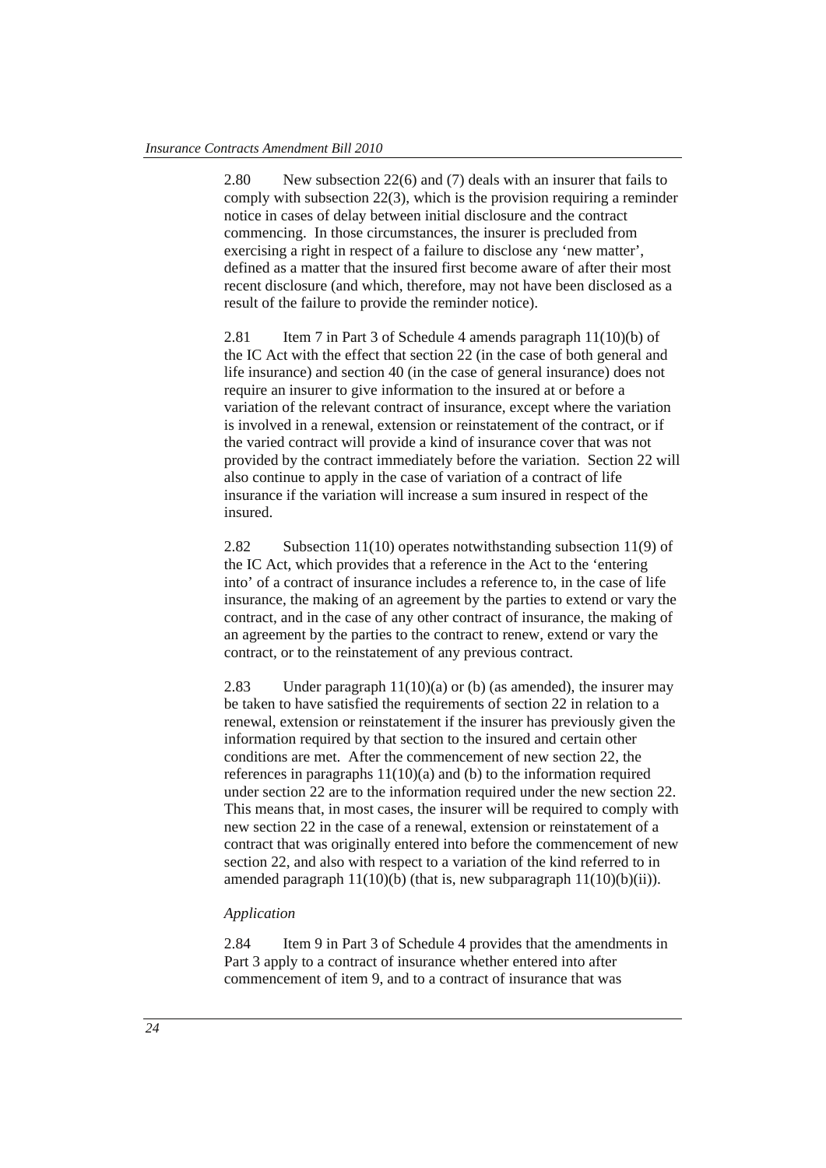2.80 New subsection 22(6) and (7) deals with an insurer that fails to comply with subsection 22(3), which is the provision requiring a reminder notice in cases of delay between initial disclosure and the contract commencing. In those circumstances, the insurer is precluded from exercising a right in respect of a failure to disclose any 'new matter', defined as a matter that the insured first become aware of after their most recent disclosure (and which, therefore, may not have been disclosed as a result of the failure to provide the reminder notice).

2.81 Item 7 in Part 3 of Schedule 4 amends paragraph 11(10)(b) of the IC Act with the effect that section 22 (in the case of both general and life insurance) and section 40 (in the case of general insurance) does not require an insurer to give information to the insured at or before a variation of the relevant contract of insurance, except where the variation is involved in a renewal, extension or reinstatement of the contract, or if the varied contract will provide a kind of insurance cover that was not provided by the contract immediately before the variation. Section 22 will also continue to apply in the case of variation of a contract of life insurance if the variation will increase a sum insured in respect of the insured.

2.82 Subsection 11(10) operates notwithstanding subsection 11(9) of the IC Act, which provides that a reference in the Act to the 'entering into' of a contract of insurance includes a reference to, in the case of life insurance, the making of an agreement by the parties to extend or vary the contract, and in the case of any other contract of insurance, the making of an agreement by the parties to the contract to renew, extend or vary the contract, or to the reinstatement of any previous contract.

2.83 Under paragraph  $11(10)(a)$  or (b) (as amended), the insurer may be taken to have satisfied the requirements of section 22 in relation to a renewal, extension or reinstatement if the insurer has previously given the information required by that section to the insured and certain other conditions are met. After the commencement of new section 22, the references in paragraphs 11(10)(a) and (b) to the information required under section 22 are to the information required under the new section 22. This means that, in most cases, the insurer will be required to comply with new section 22 in the case of a renewal, extension or reinstatement of a contract that was originally entered into before the commencement of new section 22, and also with respect to a variation of the kind referred to in amended paragraph  $11(10)(b)$  (that is, new subparagraph  $11(10)(b)(ii)$ ).

#### *Application*

2.84 Item 9 in Part 3 of Schedule 4 provides that the amendments in Part 3 apply to a contract of insurance whether entered into after commencement of item 9, and to a contract of insurance that was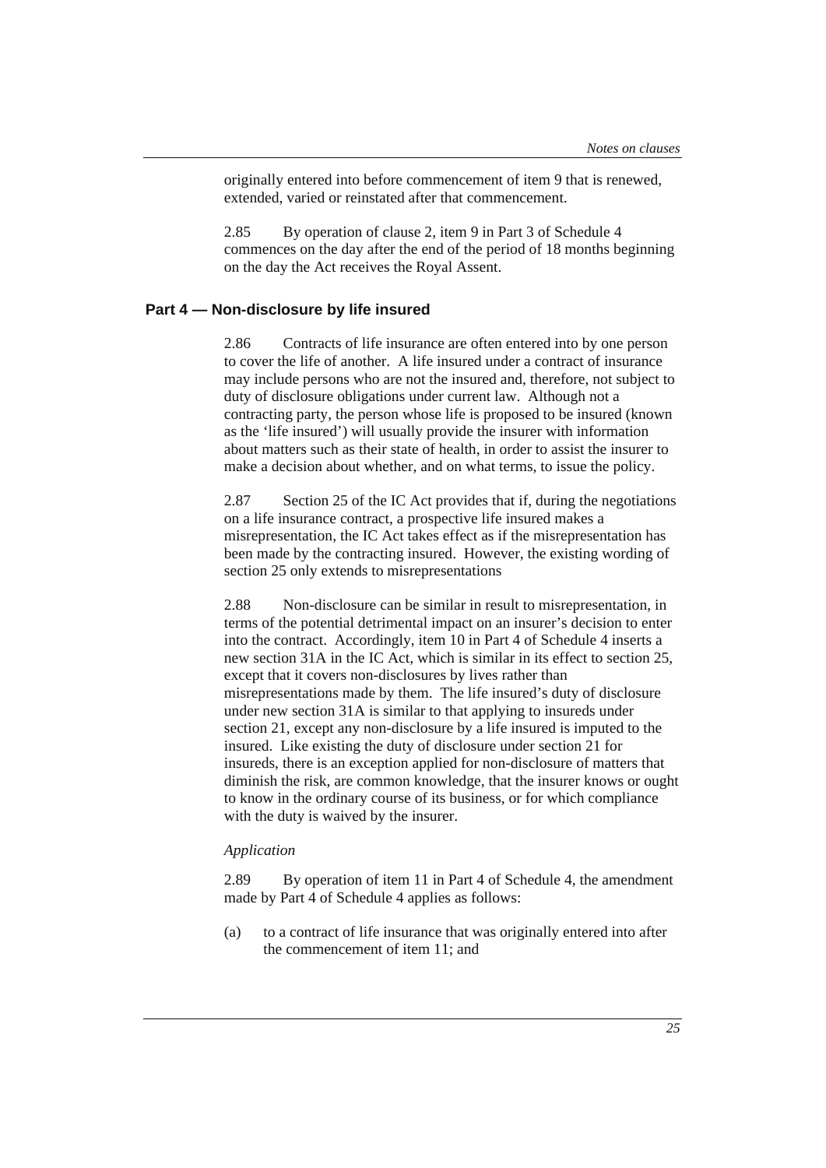originally entered into before commencement of item 9 that is renewed, extended, varied or reinstated after that commencement.

2.85 By operation of clause 2, item 9 in Part 3 of Schedule 4 commences on the day after the end of the period of 18 months beginning on the day the Act receives the Royal Assent.

## **Part 4 — Non-disclosure by life insured**

2.86 Contracts of life insurance are often entered into by one person to cover the life of another. A life insured under a contract of insurance may include persons who are not the insured and, therefore, not subject to duty of disclosure obligations under current law. Although not a contracting party, the person whose life is proposed to be insured (known as the 'life insured') will usually provide the insurer with information about matters such as their state of health, in order to assist the insurer to make a decision about whether, and on what terms, to issue the policy.

2.87 Section 25 of the IC Act provides that if, during the negotiations on a life insurance contract, a prospective life insured makes a misrepresentation, the IC Act takes effect as if the misrepresentation has been made by the contracting insured. However, the existing wording of section 25 only extends to misrepresentations

2.88 Non-disclosure can be similar in result to misrepresentation, in terms of the potential detrimental impact on an insurer's decision to enter into the contract. Accordingly, item 10 in Part 4 of Schedule 4 inserts a new section 31A in the IC Act, which is similar in its effect to section 25, except that it covers non-disclosures by lives rather than misrepresentations made by them. The life insured's duty of disclosure under new section 31A is similar to that applying to insureds under section 21, except any non-disclosure by a life insured is imputed to the insured. Like existing the duty of disclosure under section 21 for insureds, there is an exception applied for non-disclosure of matters that diminish the risk, are common knowledge, that the insurer knows or ought to know in the ordinary course of its business, or for which compliance with the duty is waived by the insurer.

#### *Application*

2.89 By operation of item 11 in Part 4 of Schedule 4, the amendment made by Part 4 of Schedule 4 applies as follows:

(a) to a contract of life insurance that was originally entered into after the commencement of item 11; and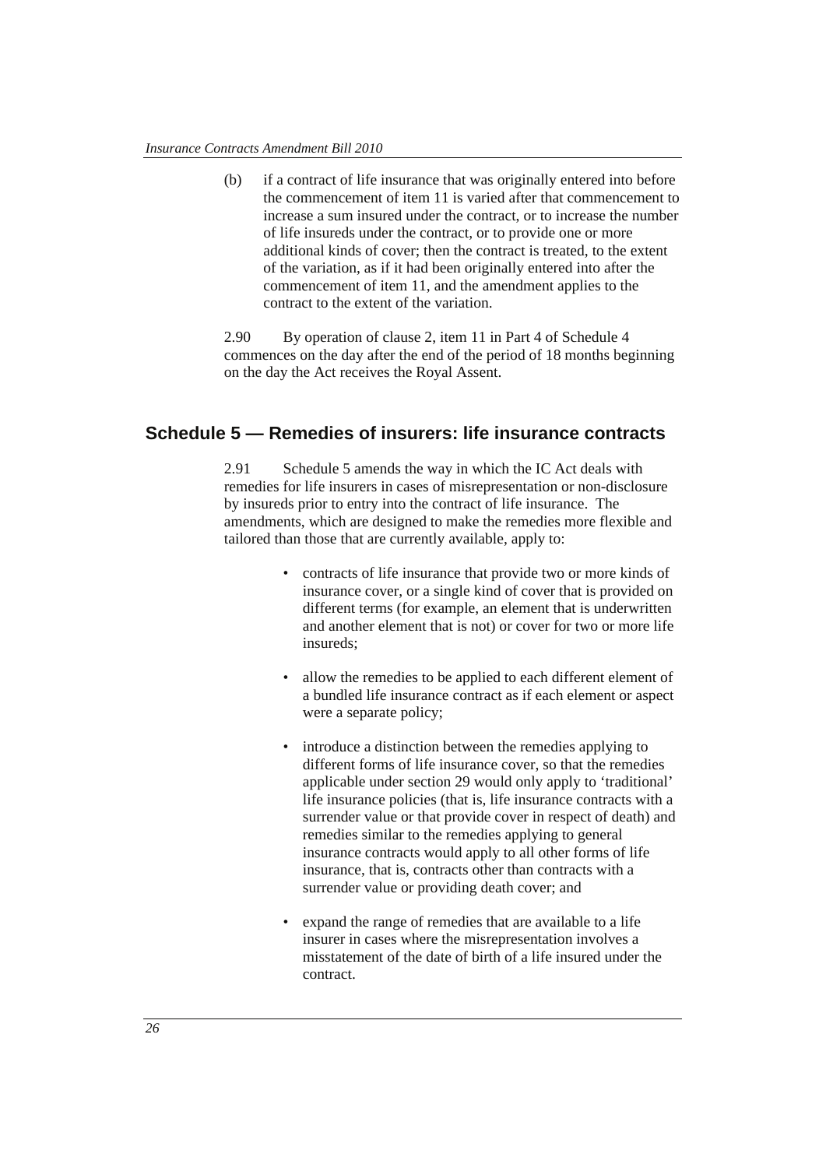(b) if a contract of life insurance that was originally entered into before the commencement of item 11 is varied after that commencement to increase a sum insured under the contract, or to increase the number of life insureds under the contract, or to provide one or more additional kinds of cover; then the contract is treated, to the extent of the variation, as if it had been originally entered into after the commencement of item 11, and the amendment applies to the contract to the extent of the variation.

2.90 By operation of clause 2, item 11 in Part 4 of Schedule 4 commences on the day after the end of the period of 18 months beginning on the day the Act receives the Royal Assent.

## **Schedule 5 — Remedies of insurers: life insurance contracts**

2.91 Schedule 5 amends the way in which the IC Act deals with remedies for life insurers in cases of misrepresentation or non-disclosure by insureds prior to entry into the contract of life insurance. The amendments, which are designed to make the remedies more flexible and tailored than those that are currently available, apply to:

- contracts of life insurance that provide two or more kinds of insurance cover, or a single kind of cover that is provided on different terms (for example, an element that is underwritten and another element that is not) or cover for two or more life insureds;
- allow the remedies to be applied to each different element of a bundled life insurance contract as if each element or aspect were a separate policy;
- introduce a distinction between the remedies applying to different forms of life insurance cover, so that the remedies applicable under section 29 would only apply to 'traditional' life insurance policies (that is, life insurance contracts with a surrender value or that provide cover in respect of death) and remedies similar to the remedies applying to general insurance contracts would apply to all other forms of life insurance, that is, contracts other than contracts with a surrender value or providing death cover; and
- expand the range of remedies that are available to a life insurer in cases where the misrepresentation involves a misstatement of the date of birth of a life insured under the contract.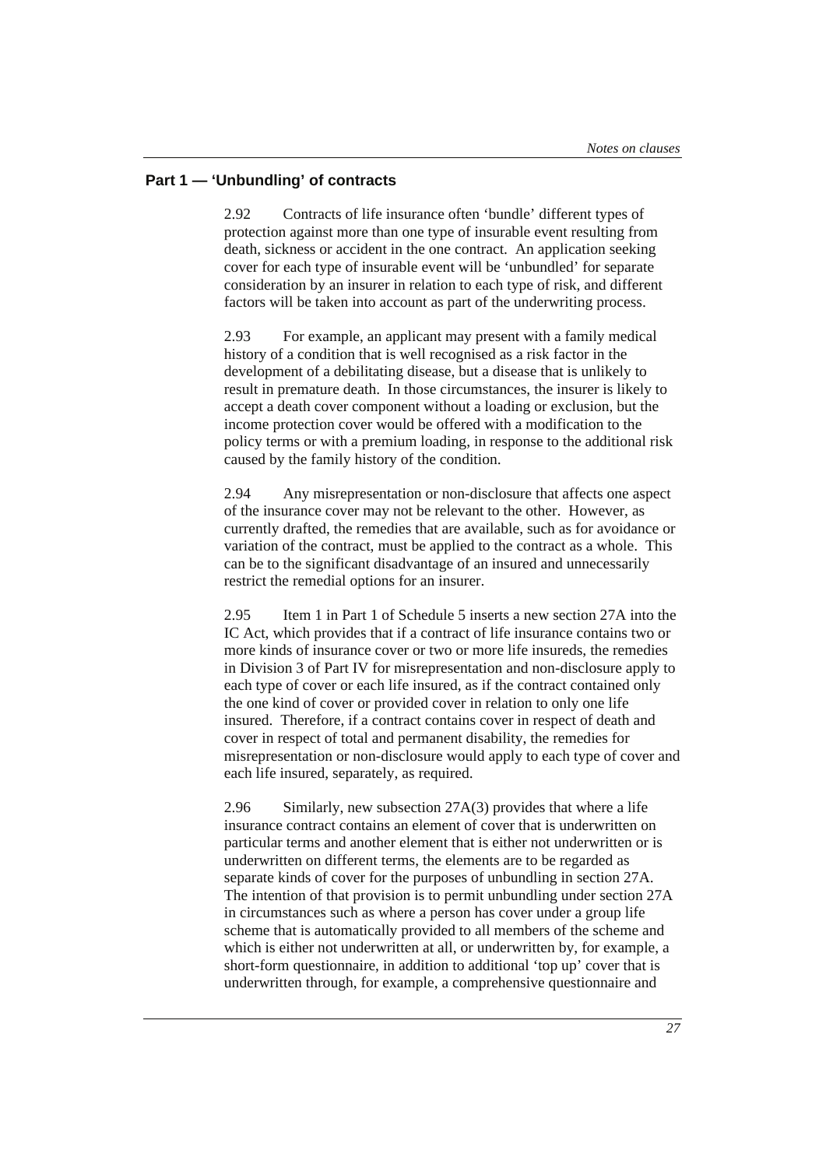## **Part 1 — 'Unbundling' of contracts**

2.92 Contracts of life insurance often 'bundle' different types of protection against more than one type of insurable event resulting from death, sickness or accident in the one contract. An application seeking cover for each type of insurable event will be 'unbundled' for separate consideration by an insurer in relation to each type of risk, and different factors will be taken into account as part of the underwriting process.

2.93 For example, an applicant may present with a family medical history of a condition that is well recognised as a risk factor in the development of a debilitating disease, but a disease that is unlikely to result in premature death. In those circumstances, the insurer is likely to accept a death cover component without a loading or exclusion, but the income protection cover would be offered with a modification to the policy terms or with a premium loading, in response to the additional risk caused by the family history of the condition.

2.94 Any misrepresentation or non-disclosure that affects one aspect of the insurance cover may not be relevant to the other. However, as currently drafted, the remedies that are available, such as for avoidance or variation of the contract, must be applied to the contract as a whole. This can be to the significant disadvantage of an insured and unnecessarily restrict the remedial options for an insurer.

2.95 Item 1 in Part 1 of Schedule 5 inserts a new section 27A into the IC Act, which provides that if a contract of life insurance contains two or more kinds of insurance cover or two or more life insureds, the remedies in Division 3 of Part IV for misrepresentation and non-disclosure apply to each type of cover or each life insured, as if the contract contained only the one kind of cover or provided cover in relation to only one life insured. Therefore, if a contract contains cover in respect of death and cover in respect of total and permanent disability, the remedies for misrepresentation or non-disclosure would apply to each type of cover and each life insured, separately, as required.

2.96 Similarly, new subsection 27A(3) provides that where a life insurance contract contains an element of cover that is underwritten on particular terms and another element that is either not underwritten or is underwritten on different terms, the elements are to be regarded as separate kinds of cover for the purposes of unbundling in section 27A. The intention of that provision is to permit unbundling under section 27A in circumstances such as where a person has cover under a group life scheme that is automatically provided to all members of the scheme and which is either not underwritten at all, or underwritten by, for example, a short-form questionnaire, in addition to additional 'top up' cover that is underwritten through, for example, a comprehensive questionnaire and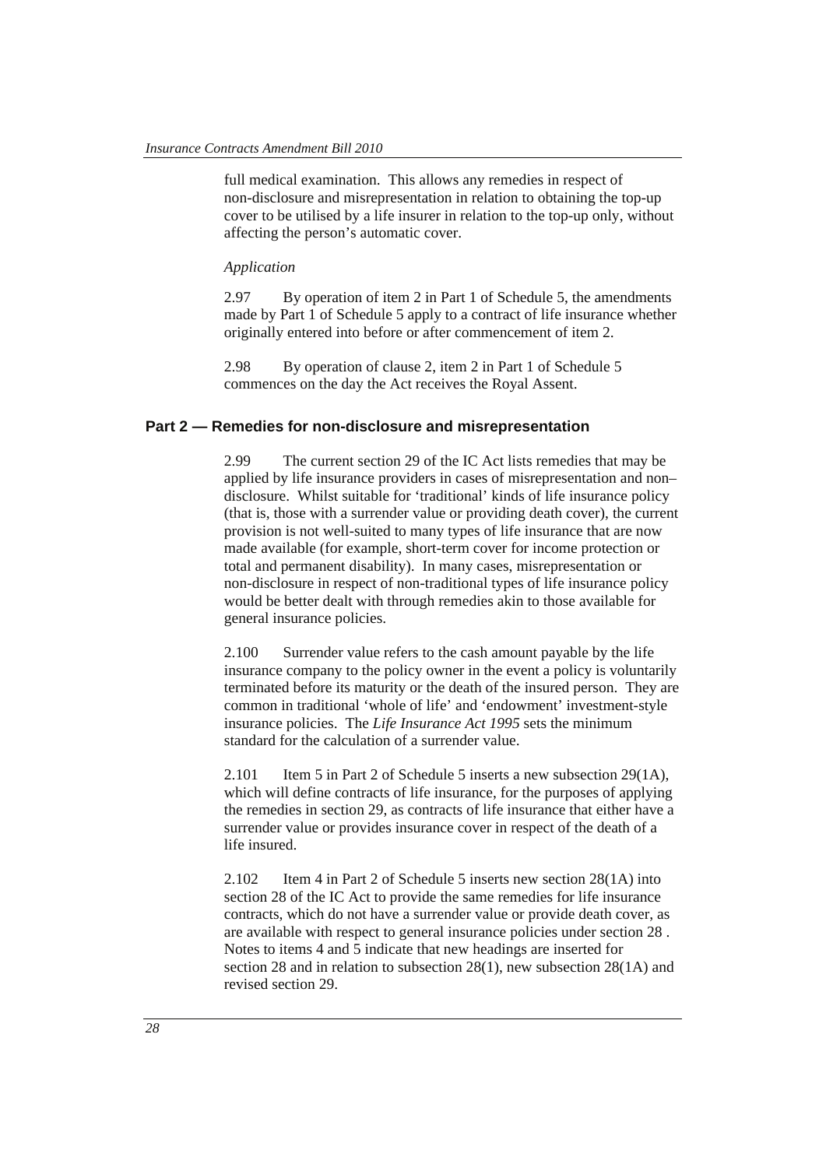full medical examination. This allows any remedies in respect of non-disclosure and misrepresentation in relation to obtaining the top-up cover to be utilised by a life insurer in relation to the top-up only, without affecting the person's automatic cover.

#### *Application*

2.97 By operation of item 2 in Part 1 of Schedule 5, the amendments made by Part 1 of Schedule 5 apply to a contract of life insurance whether originally entered into before or after commencement of item 2.

2.98 By operation of clause 2, item 2 in Part 1 of Schedule 5 commences on the day the Act receives the Royal Assent.

#### **Part 2 — Remedies for non-disclosure and misrepresentation**

2.99 The current section 29 of the IC Act lists remedies that may be applied by life insurance providers in cases of misrepresentation and non– disclosure. Whilst suitable for 'traditional' kinds of life insurance policy (that is, those with a surrender value or providing death cover), the current provision is not well-suited to many types of life insurance that are now made available (for example, short-term cover for income protection or total and permanent disability). In many cases, misrepresentation or non-disclosure in respect of non-traditional types of life insurance policy would be better dealt with through remedies akin to those available for general insurance policies.

2.100 Surrender value refers to the cash amount payable by the life insurance company to the policy owner in the event a policy is voluntarily terminated before its maturity or the death of the insured person. They are common in traditional 'whole of life' and 'endowment' investment-style insurance policies. The *Life Insurance Act 1995* sets the minimum standard for the calculation of a surrender value.

2.101 Item 5 in Part 2 of Schedule 5 inserts a new subsection 29(1A), which will define contracts of life insurance, for the purposes of applying the remedies in section 29, as contracts of life insurance that either have a surrender value or provides insurance cover in respect of the death of a life insured.

2.102 Item 4 in Part 2 of Schedule 5 inserts new section 28(1A) into section 28 of the IC Act to provide the same remedies for life insurance contracts, which do not have a surrender value or provide death cover, as are available with respect to general insurance policies under section 28 . Notes to items 4 and 5 indicate that new headings are inserted for section 28 and in relation to subsection 28(1), new subsection 28(1A) and revised section 29.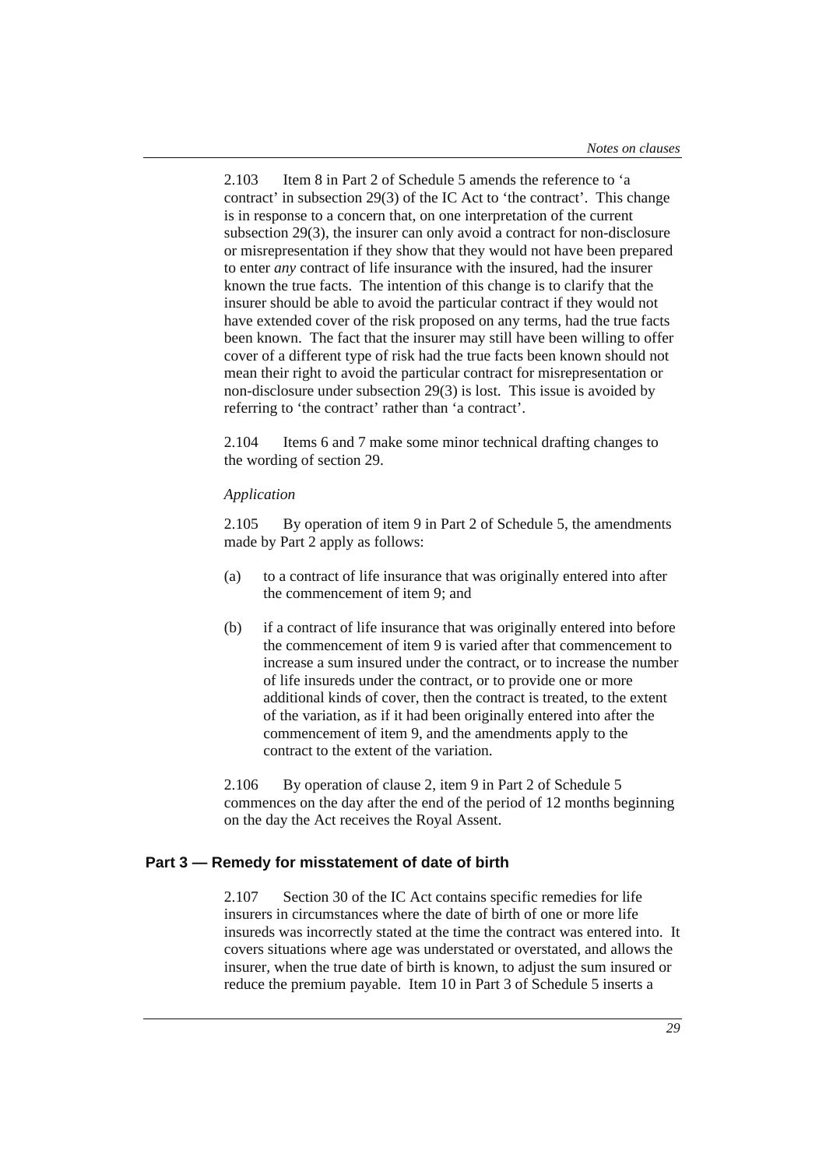2.103 Item 8 in Part 2 of Schedule 5 amends the reference to 'a contract' in subsection 29(3) of the IC Act to 'the contract'. This change is in response to a concern that, on one interpretation of the current subsection 29(3), the insurer can only avoid a contract for non-disclosure or misrepresentation if they show that they would not have been prepared to enter *any* contract of life insurance with the insured, had the insurer known the true facts. The intention of this change is to clarify that the insurer should be able to avoid the particular contract if they would not have extended cover of the risk proposed on any terms, had the true facts been known. The fact that the insurer may still have been willing to offer cover of a different type of risk had the true facts been known should not mean their right to avoid the particular contract for misrepresentation or non-disclosure under subsection 29(3) is lost. This issue is avoided by referring to 'the contract' rather than 'a contract'.

2.104 Items 6 and 7 make some minor technical drafting changes to the wording of section 29.

#### *Application*

2.105 By operation of item 9 in Part 2 of Schedule 5, the amendments made by Part 2 apply as follows:

- (a) to a contract of life insurance that was originally entered into after the commencement of item 9; and
- (b) if a contract of life insurance that was originally entered into before the commencement of item 9 is varied after that commencement to increase a sum insured under the contract, or to increase the number of life insureds under the contract, or to provide one or more additional kinds of cover, then the contract is treated, to the extent of the variation, as if it had been originally entered into after the commencement of item 9, and the amendments apply to the contract to the extent of the variation.

2.106 By operation of clause 2, item 9 in Part 2 of Schedule 5 commences on the day after the end of the period of 12 months beginning on the day the Act receives the Royal Assent.

## **Part 3 — Remedy for misstatement of date of birth**

2.107 Section 30 of the IC Act contains specific remedies for life insurers in circumstances where the date of birth of one or more life insureds was incorrectly stated at the time the contract was entered into. It covers situations where age was understated or overstated, and allows the insurer, when the true date of birth is known, to adjust the sum insured or reduce the premium payable. Item 10 in Part 3 of Schedule 5 inserts a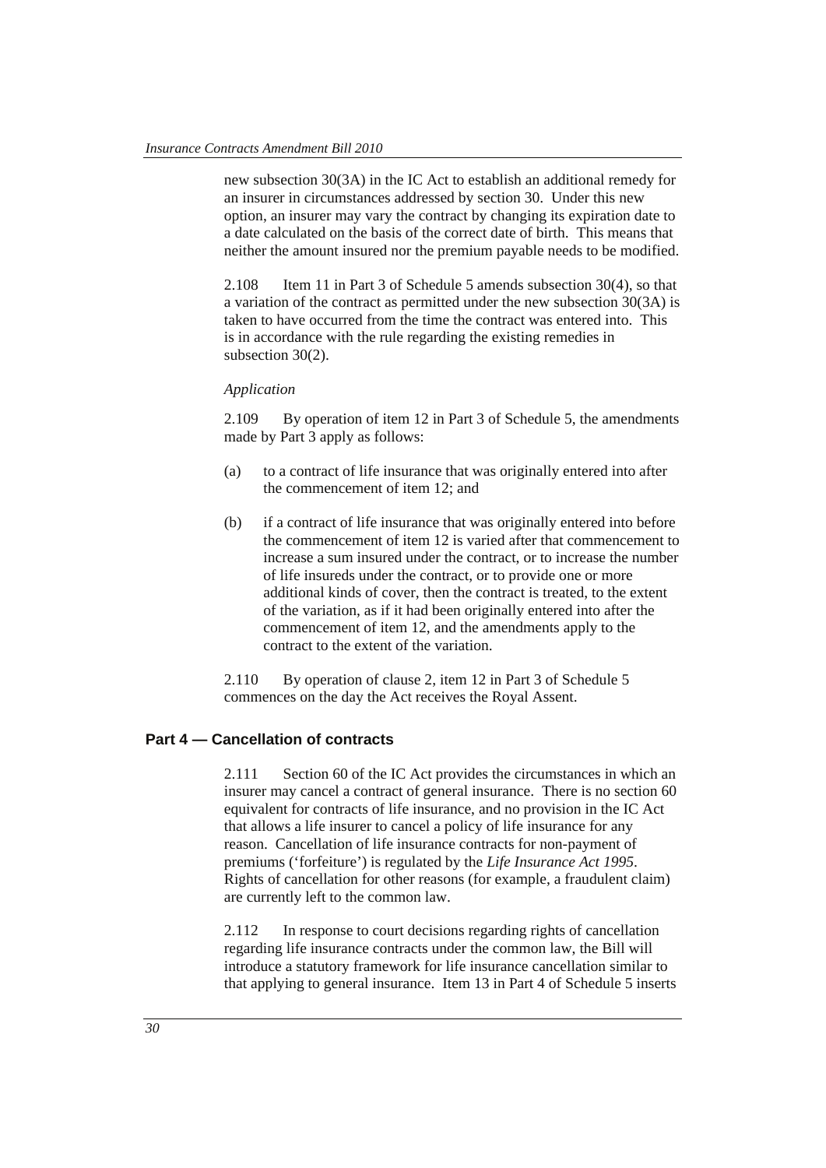new subsection 30(3A) in the IC Act to establish an additional remedy for an insurer in circumstances addressed by section 30. Under this new option, an insurer may vary the contract by changing its expiration date to a date calculated on the basis of the correct date of birth. This means that neither the amount insured nor the premium payable needs to be modified.

2.108 Item 11 in Part 3 of Schedule 5 amends subsection 30(4), so that a variation of the contract as permitted under the new subsection 30(3A) is taken to have occurred from the time the contract was entered into. This is in accordance with the rule regarding the existing remedies in subsection 30(2).

#### *Application*

2.109 By operation of item 12 in Part 3 of Schedule 5, the amendments made by Part 3 apply as follows:

- (a) to a contract of life insurance that was originally entered into after the commencement of item 12; and
- (b) if a contract of life insurance that was originally entered into before the commencement of item 12 is varied after that commencement to increase a sum insured under the contract, or to increase the number of life insureds under the contract, or to provide one or more additional kinds of cover, then the contract is treated, to the extent of the variation, as if it had been originally entered into after the commencement of item 12, and the amendments apply to the contract to the extent of the variation.

2.110 By operation of clause 2, item 12 in Part 3 of Schedule 5 commences on the day the Act receives the Royal Assent.

## **Part 4 — Cancellation of contracts**

2.111 Section 60 of the IC Act provides the circumstances in which an insurer may cancel a contract of general insurance. There is no section 60 equivalent for contracts of life insurance, and no provision in the IC Act that allows a life insurer to cancel a policy of life insurance for any reason. Cancellation of life insurance contracts for non-payment of premiums ('forfeiture') is regulated by the *Life Insurance Act 1995*. Rights of cancellation for other reasons (for example, a fraudulent claim) are currently left to the common law.

2.112 In response to court decisions regarding rights of cancellation regarding life insurance contracts under the common law, the Bill will introduce a statutory framework for life insurance cancellation similar to that applying to general insurance. Item 13 in Part 4 of Schedule 5 inserts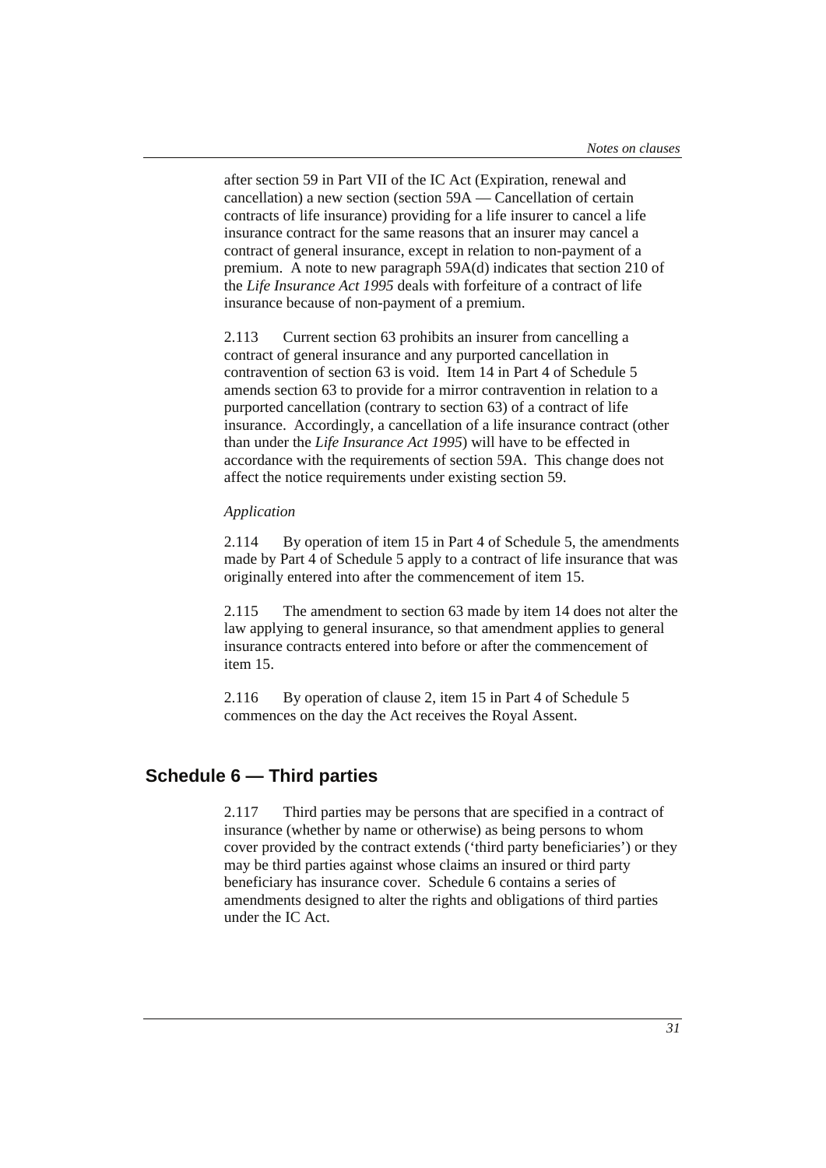after section 59 in Part VII of the IC Act (Expiration, renewal and cancellation) a new section (section 59A — Cancellation of certain contracts of life insurance) providing for a life insurer to cancel a life insurance contract for the same reasons that an insurer may cancel a contract of general insurance, except in relation to non-payment of a premium. A note to new paragraph 59A(d) indicates that section 210 of the *Life Insurance Act 1995* deals with forfeiture of a contract of life insurance because of non-payment of a premium.

2.113 Current section 63 prohibits an insurer from cancelling a contract of general insurance and any purported cancellation in contravention of section 63 is void. Item 14 in Part 4 of Schedule 5 amends section 63 to provide for a mirror contravention in relation to a purported cancellation (contrary to section 63) of a contract of life insurance. Accordingly, a cancellation of a life insurance contract (other than under the *Life Insurance Act 1995*) will have to be effected in accordance with the requirements of section 59A. This change does not affect the notice requirements under existing section 59.

## *Application*

2.114 By operation of item 15 in Part 4 of Schedule 5, the amendments made by Part 4 of Schedule 5 apply to a contract of life insurance that was originally entered into after the commencement of item 15.

2.115 The amendment to section 63 made by item 14 does not alter the law applying to general insurance, so that amendment applies to general insurance contracts entered into before or after the commencement of item 15.

2.116 By operation of clause 2, item 15 in Part 4 of Schedule 5 commences on the day the Act receives the Royal Assent.

## **Schedule 6 — Third parties**

2.117 Third parties may be persons that are specified in a contract of insurance (whether by name or otherwise) as being persons to whom cover provided by the contract extends ('third party beneficiaries') or they may be third parties against whose claims an insured or third party beneficiary has insurance cover. Schedule 6 contains a series of amendments designed to alter the rights and obligations of third parties under the IC Act.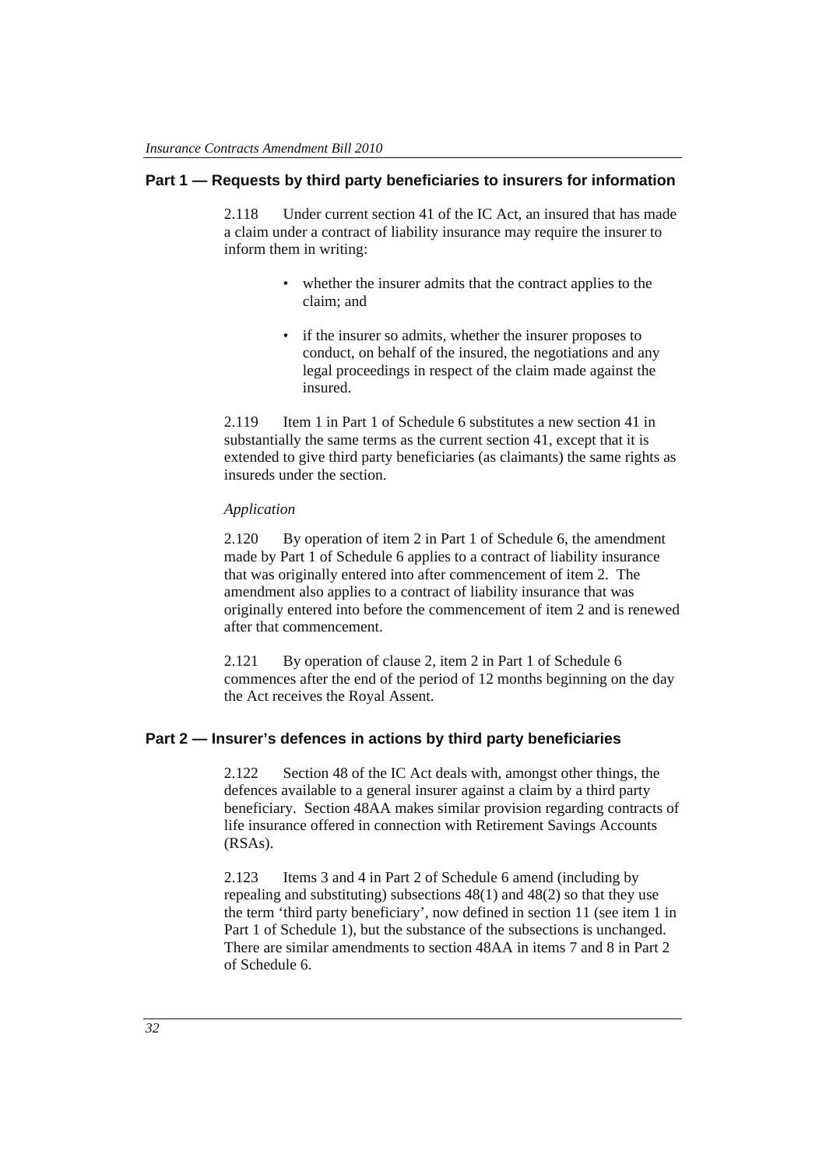## **Part 1 — Requests by third party beneficiaries to insurers for information**

2.118 Under current section 41 of the IC Act, an insured that has made a claim under a contract of liability insurance may require the insurer to inform them in writing:

- whether the insurer admits that the contract applies to the claim; and
- if the insurer so admits, whether the insurer proposes to conduct, on behalf of the insured, the negotiations and any legal proceedings in respect of the claim made against the insured.

2.119 Item 1 in Part 1 of Schedule 6 substitutes a new section 41 in substantially the same terms as the current section 41, except that it is extended to give third party beneficiaries (as claimants) the same rights as insureds under the section.

#### *Application*

2.120 By operation of item 2 in Part 1 of Schedule 6, the amendment made by Part 1 of Schedule 6 applies to a contract of liability insurance that was originally entered into after commencement of item 2. The amendment also applies to a contract of liability insurance that was originally entered into before the commencement of item 2 and is renewed after that commencement.

2.121 By operation of clause 2, item 2 in Part 1 of Schedule 6 commences after the end of the period of 12 months beginning on the day the Act receives the Royal Assent.

## **Part 2 — Insurer's defences in actions by third party beneficiaries**

2.122 Section 48 of the IC Act deals with, amongst other things, the defences available to a general insurer against a claim by a third party beneficiary. Section 48AA makes similar provision regarding contracts of life insurance offered in connection with Retirement Savings Accounts (RSAs).

2.123 Items 3 and 4 in Part 2 of Schedule 6 amend (including by repealing and substituting) subsections 48(1) and 48(2) so that they use the term 'third party beneficiary', now defined in section 11 (see item 1 in Part 1 of Schedule 1), but the substance of the subsections is unchanged. There are similar amendments to section 48AA in items 7 and 8 in Part 2 of Schedule 6.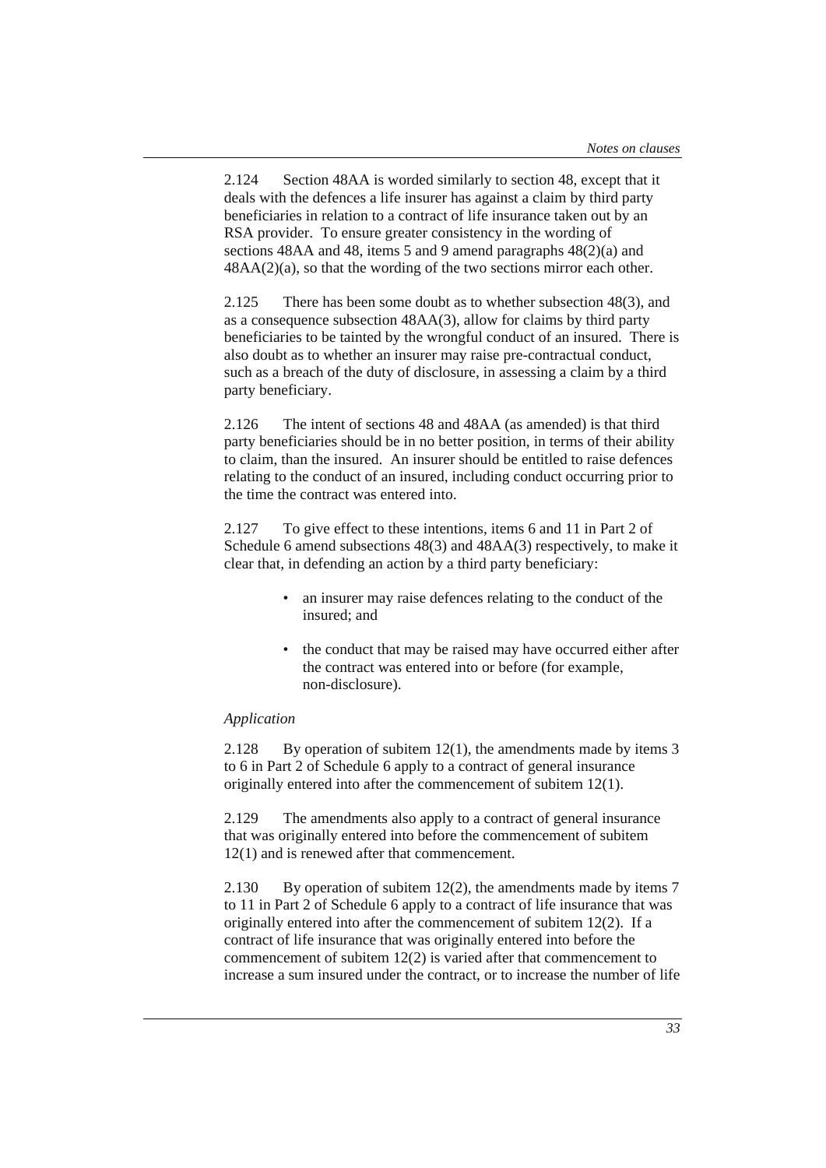2.124 Section 48AA is worded similarly to section 48, except that it deals with the defences a life insurer has against a claim by third party beneficiaries in relation to a contract of life insurance taken out by an RSA provider. To ensure greater consistency in the wording of sections 48AA and 48, items 5 and 9 amend paragraphs 48(2)(a) and 48AA(2)(a), so that the wording of the two sections mirror each other.

2.125 There has been some doubt as to whether subsection 48(3), and as a consequence subsection 48AA(3), allow for claims by third party beneficiaries to be tainted by the wrongful conduct of an insured. There is also doubt as to whether an insurer may raise pre-contractual conduct, such as a breach of the duty of disclosure, in assessing a claim by a third party beneficiary.

2.126 The intent of sections 48 and 48AA (as amended) is that third party beneficiaries should be in no better position, in terms of their ability to claim, than the insured. An insurer should be entitled to raise defences relating to the conduct of an insured, including conduct occurring prior to the time the contract was entered into.

2.127 To give effect to these intentions, items 6 and 11 in Part 2 of Schedule 6 amend subsections 48(3) and 48AA(3) respectively, to make it clear that, in defending an action by a third party beneficiary:

- an insurer may raise defences relating to the conduct of the insured; and
- the conduct that may be raised may have occurred either after the contract was entered into or before (for example, non-disclosure).

#### *Application*

2.128 By operation of subitem 12(1), the amendments made by items 3 to 6 in Part 2 of Schedule 6 apply to a contract of general insurance originally entered into after the commencement of subitem 12(1).

2.129 The amendments also apply to a contract of general insurance that was originally entered into before the commencement of subitem 12(1) and is renewed after that commencement.

2.130 By operation of subitem 12(2), the amendments made by items 7 to 11 in Part 2 of Schedule 6 apply to a contract of life insurance that was originally entered into after the commencement of subitem 12(2). If a contract of life insurance that was originally entered into before the commencement of subitem 12(2) is varied after that commencement to increase a sum insured under the contract, or to increase the number of life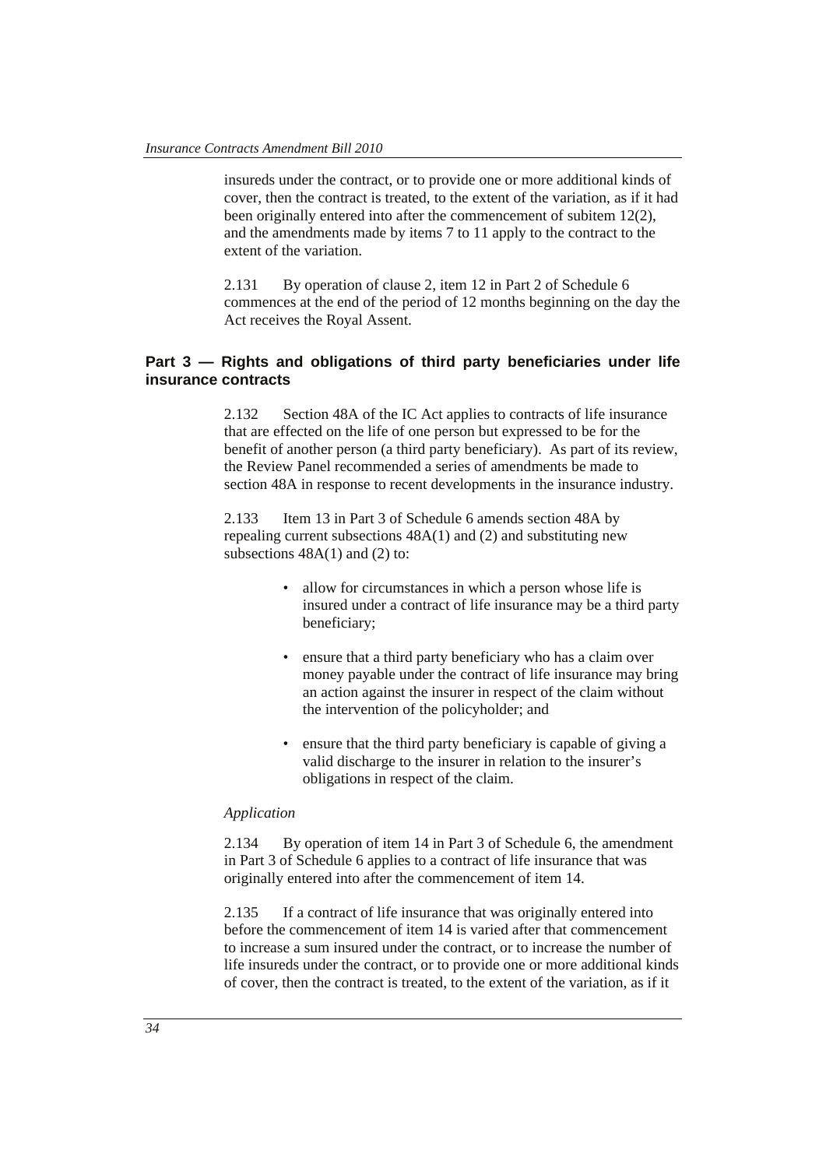insureds under the contract, or to provide one or more additional kinds of cover, then the contract is treated, to the extent of the variation, as if it had been originally entered into after the commencement of subitem 12(2), and the amendments made by items 7 to 11 apply to the contract to the extent of the variation.

2.131 By operation of clause 2, item 12 in Part 2 of Schedule 6 commences at the end of the period of 12 months beginning on the day the Act receives the Royal Assent.

### **Part 3 — Rights and obligations of third party beneficiaries under life insurance contracts**

2.132 Section 48A of the IC Act applies to contracts of life insurance that are effected on the life of one person but expressed to be for the benefit of another person (a third party beneficiary). As part of its review, the Review Panel recommended a series of amendments be made to section 48A in response to recent developments in the insurance industry.

2.133 Item 13 in Part 3 of Schedule 6 amends section 48A by repealing current subsections 48A(1) and (2) and substituting new subsections 48A(1) and (2) to:

- allow for circumstances in which a person whose life is insured under a contract of life insurance may be a third party beneficiary;
- ensure that a third party beneficiary who has a claim over money payable under the contract of life insurance may bring an action against the insurer in respect of the claim without the intervention of the policyholder; and
- ensure that the third party beneficiary is capable of giving a valid discharge to the insurer in relation to the insurer's obligations in respect of the claim.

#### *Application*

2.134 By operation of item 14 in Part 3 of Schedule 6, the amendment in Part 3 of Schedule 6 applies to a contract of life insurance that was originally entered into after the commencement of item 14.

2.135 If a contract of life insurance that was originally entered into before the commencement of item 14 is varied after that commencement to increase a sum insured under the contract, or to increase the number of life insureds under the contract, or to provide one or more additional kinds of cover, then the contract is treated, to the extent of the variation, as if it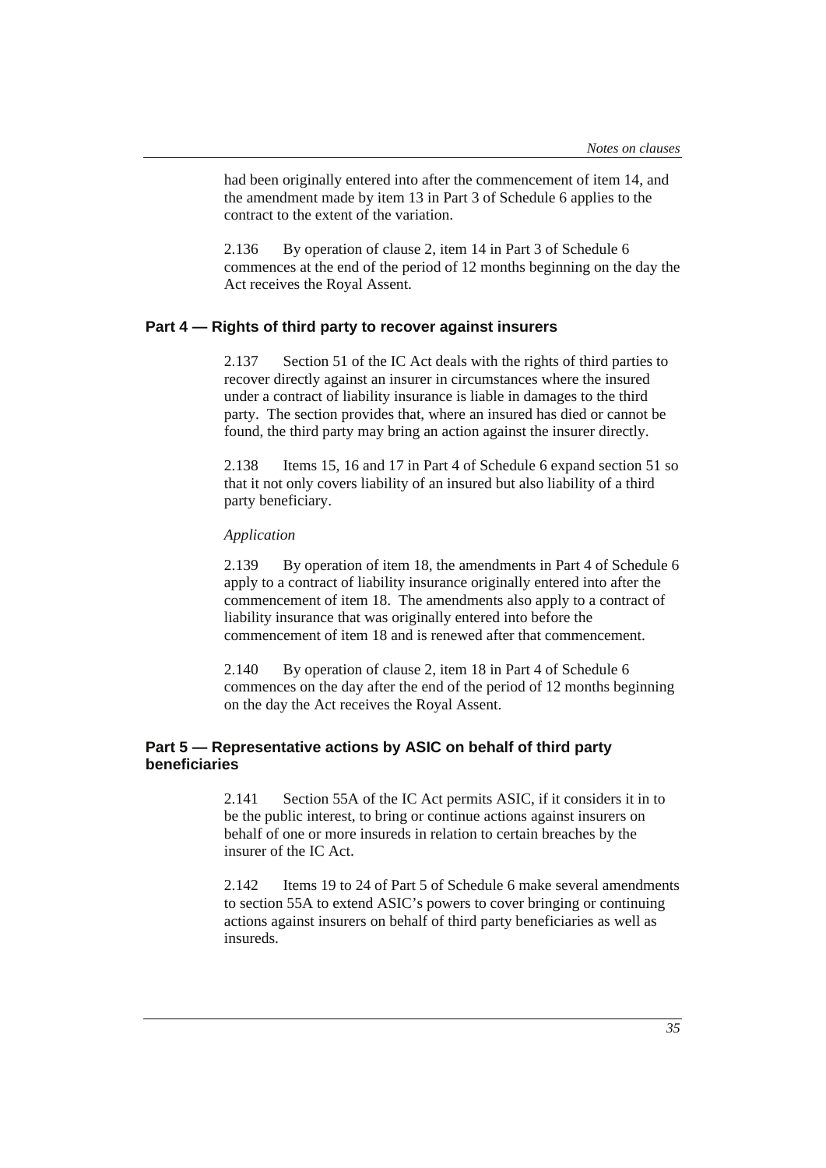had been originally entered into after the commencement of item 14, and the amendment made by item 13 in Part 3 of Schedule 6 applies to the contract to the extent of the variation.

2.136 By operation of clause 2, item 14 in Part 3 of Schedule 6 commences at the end of the period of 12 months beginning on the day the Act receives the Royal Assent.

#### **Part 4 — Rights of third party to recover against insurers**

2.137 Section 51 of the IC Act deals with the rights of third parties to recover directly against an insurer in circumstances where the insured under a contract of liability insurance is liable in damages to the third party. The section provides that, where an insured has died or cannot be found, the third party may bring an action against the insurer directly.

2.138 Items 15, 16 and 17 in Part 4 of Schedule 6 expand section 51 so that it not only covers liability of an insured but also liability of a third party beneficiary.

#### *Application*

2.139 By operation of item 18, the amendments in Part 4 of Schedule 6 apply to a contract of liability insurance originally entered into after the commencement of item 18. The amendments also apply to a contract of liability insurance that was originally entered into before the commencement of item 18 and is renewed after that commencement.

2.140 By operation of clause 2, item 18 in Part 4 of Schedule 6 commences on the day after the end of the period of 12 months beginning on the day the Act receives the Royal Assent.

# **Part 5 — Representative actions by ASIC on behalf of third party beneficiaries**

2.141 Section 55A of the IC Act permits ASIC, if it considers it in to be the public interest, to bring or continue actions against insurers on behalf of one or more insureds in relation to certain breaches by the insurer of the IC Act.

2.142 Items 19 to 24 of Part 5 of Schedule 6 make several amendments to section 55A to extend ASIC's powers to cover bringing or continuing actions against insurers on behalf of third party beneficiaries as well as insureds.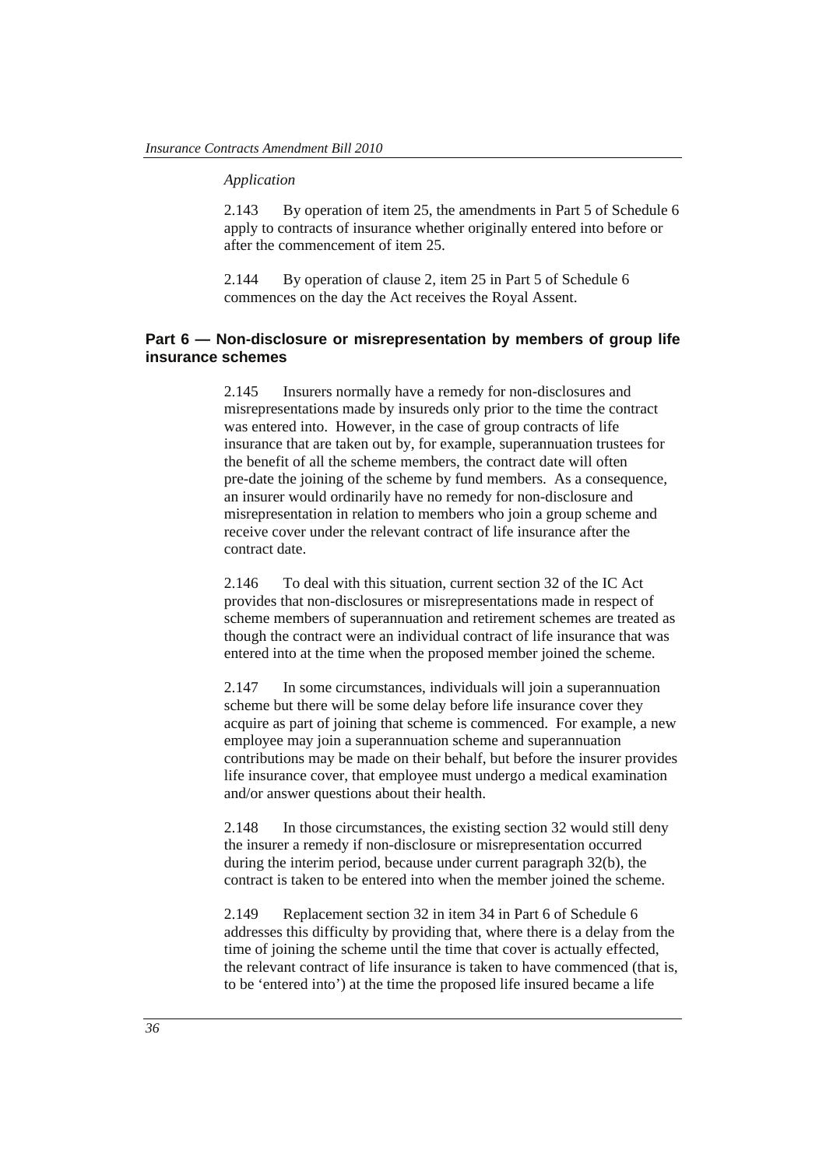#### *Application*

2.143 By operation of item 25, the amendments in Part 5 of Schedule 6 apply to contracts of insurance whether originally entered into before or after the commencement of item 25.

2.144 By operation of clause 2, item 25 in Part 5 of Schedule 6 commences on the day the Act receives the Royal Assent.

### **Part 6 — Non-disclosure or misrepresentation by members of group life insurance schemes**

2.145 Insurers normally have a remedy for non-disclosures and misrepresentations made by insureds only prior to the time the contract was entered into. However, in the case of group contracts of life insurance that are taken out by, for example, superannuation trustees for the benefit of all the scheme members, the contract date will often pre-date the joining of the scheme by fund members. As a consequence, an insurer would ordinarily have no remedy for non-disclosure and misrepresentation in relation to members who join a group scheme and receive cover under the relevant contract of life insurance after the contract date.

2.146 To deal with this situation, current section 32 of the IC Act provides that non-disclosures or misrepresentations made in respect of scheme members of superannuation and retirement schemes are treated as though the contract were an individual contract of life insurance that was entered into at the time when the proposed member joined the scheme.

2.147 In some circumstances, individuals will join a superannuation scheme but there will be some delay before life insurance cover they acquire as part of joining that scheme is commenced. For example, a new employee may join a superannuation scheme and superannuation contributions may be made on their behalf, but before the insurer provides life insurance cover, that employee must undergo a medical examination and/or answer questions about their health.

2.148 In those circumstances, the existing section 32 would still deny the insurer a remedy if non-disclosure or misrepresentation occurred during the interim period, because under current paragraph 32(b), the contract is taken to be entered into when the member joined the scheme.

2.149 Replacement section 32 in item 34 in Part 6 of Schedule 6 addresses this difficulty by providing that, where there is a delay from the time of joining the scheme until the time that cover is actually effected, the relevant contract of life insurance is taken to have commenced (that is, to be 'entered into') at the time the proposed life insured became a life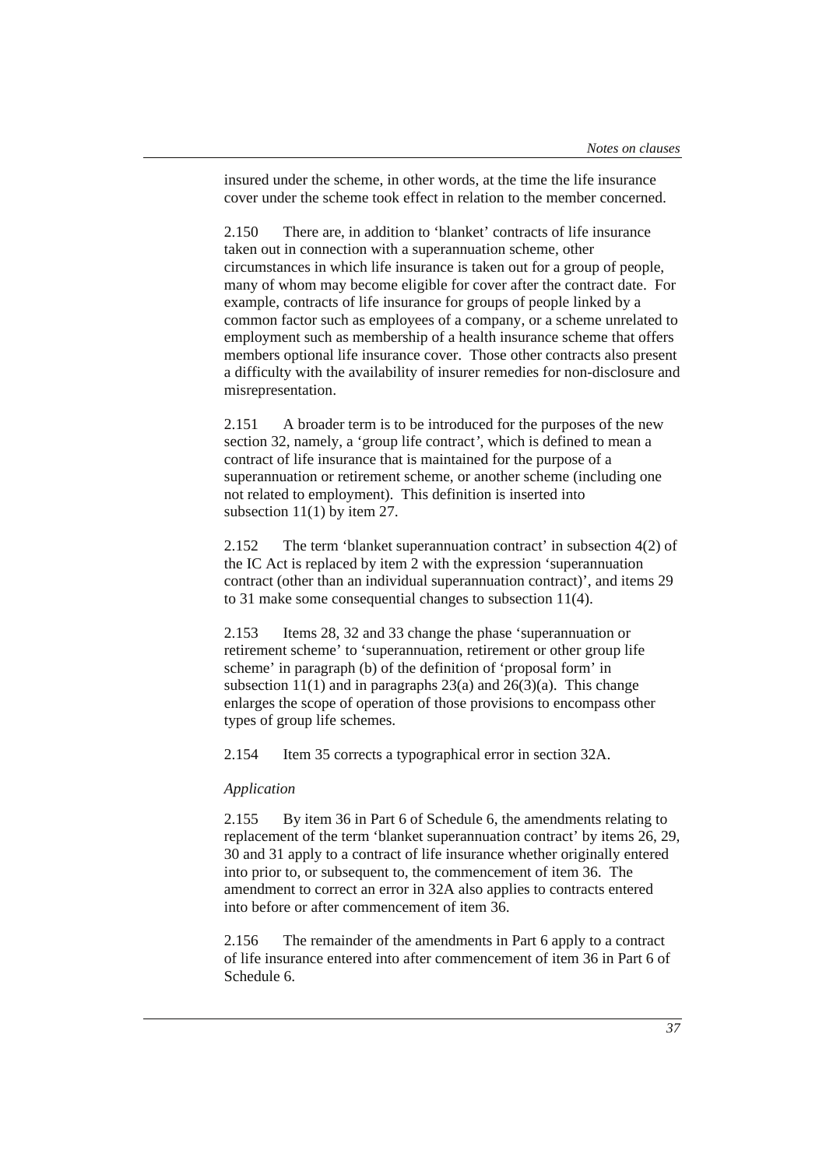insured under the scheme, in other words, at the time the life insurance cover under the scheme took effect in relation to the member concerned.

2.150 There are, in addition to 'blanket' contracts of life insurance taken out in connection with a superannuation scheme, other circumstances in which life insurance is taken out for a group of people, many of whom may become eligible for cover after the contract date. For example, contracts of life insurance for groups of people linked by a common factor such as employees of a company, or a scheme unrelated to employment such as membership of a health insurance scheme that offers members optional life insurance cover. Those other contracts also present a difficulty with the availability of insurer remedies for non-disclosure and misrepresentation.

2.151 A broader term is to be introduced for the purposes of the new section 32, namely, a 'group life contract*'*, which is defined to mean a contract of life insurance that is maintained for the purpose of a superannuation or retirement scheme, or another scheme (including one not related to employment). This definition is inserted into subsection 11(1) by item 27.

2.152 The term 'blanket superannuation contract' in subsection 4(2) of the IC Act is replaced by item 2 with the expression 'superannuation contract (other than an individual superannuation contract)', and items 29 to 31 make some consequential changes to subsection 11(4).

2.153 Items 28, 32 and 33 change the phase 'superannuation or retirement scheme' to 'superannuation, retirement or other group life scheme' in paragraph (b) of the definition of 'proposal form' in subsection  $11(1)$  and in paragraphs 23(a) and 26(3)(a). This change enlarges the scope of operation of those provisions to encompass other types of group life schemes.

2.154 Item 35 corrects a typographical error in section 32A.

### *Application*

2.155 By item 36 in Part 6 of Schedule 6, the amendments relating to replacement of the term 'blanket superannuation contract' by items 26, 29, 30 and 31 apply to a contract of life insurance whether originally entered into prior to, or subsequent to, the commencement of item 36. The amendment to correct an error in 32A also applies to contracts entered into before or after commencement of item 36.

2.156 The remainder of the amendments in Part 6 apply to a contract of life insurance entered into after commencement of item 36 in Part 6 of Schedule 6.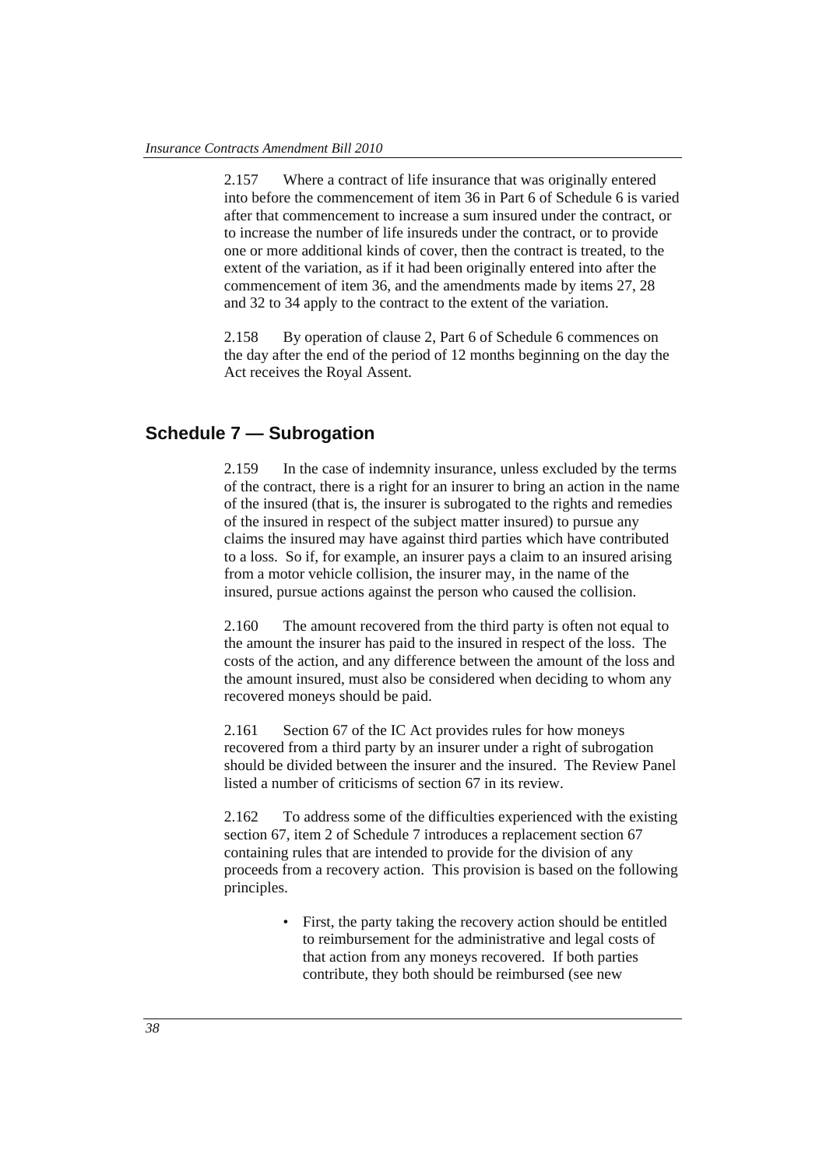2.157 Where a contract of life insurance that was originally entered into before the commencement of item 36 in Part 6 of Schedule 6 is varied after that commencement to increase a sum insured under the contract, or to increase the number of life insureds under the contract, or to provide one or more additional kinds of cover, then the contract is treated, to the extent of the variation, as if it had been originally entered into after the commencement of item 36, and the amendments made by items 27, 28 and 32 to 34 apply to the contract to the extent of the variation.

2.158 By operation of clause 2, Part 6 of Schedule 6 commences on the day after the end of the period of 12 months beginning on the day the Act receives the Royal Assent.

# **Schedule 7 — Subrogation**

2.159 In the case of indemnity insurance, unless excluded by the terms of the contract, there is a right for an insurer to bring an action in the name of the insured (that is, the insurer is subrogated to the rights and remedies of the insured in respect of the subject matter insured) to pursue any claims the insured may have against third parties which have contributed to a loss. So if, for example, an insurer pays a claim to an insured arising from a motor vehicle collision, the insurer may, in the name of the insured, pursue actions against the person who caused the collision.

2.160 The amount recovered from the third party is often not equal to the amount the insurer has paid to the insured in respect of the loss. The costs of the action, and any difference between the amount of the loss and the amount insured, must also be considered when deciding to whom any recovered moneys should be paid.

2.161 Section 67 of the IC Act provides rules for how moneys recovered from a third party by an insurer under a right of subrogation should be divided between the insurer and the insured. The Review Panel listed a number of criticisms of section 67 in its review.

2.162 To address some of the difficulties experienced with the existing section 67, item 2 of Schedule 7 introduces a replacement section 67 containing rules that are intended to provide for the division of any proceeds from a recovery action. This provision is based on the following principles.

> • First, the party taking the recovery action should be entitled to reimbursement for the administrative and legal costs of that action from any moneys recovered. If both parties contribute, they both should be reimbursed (see new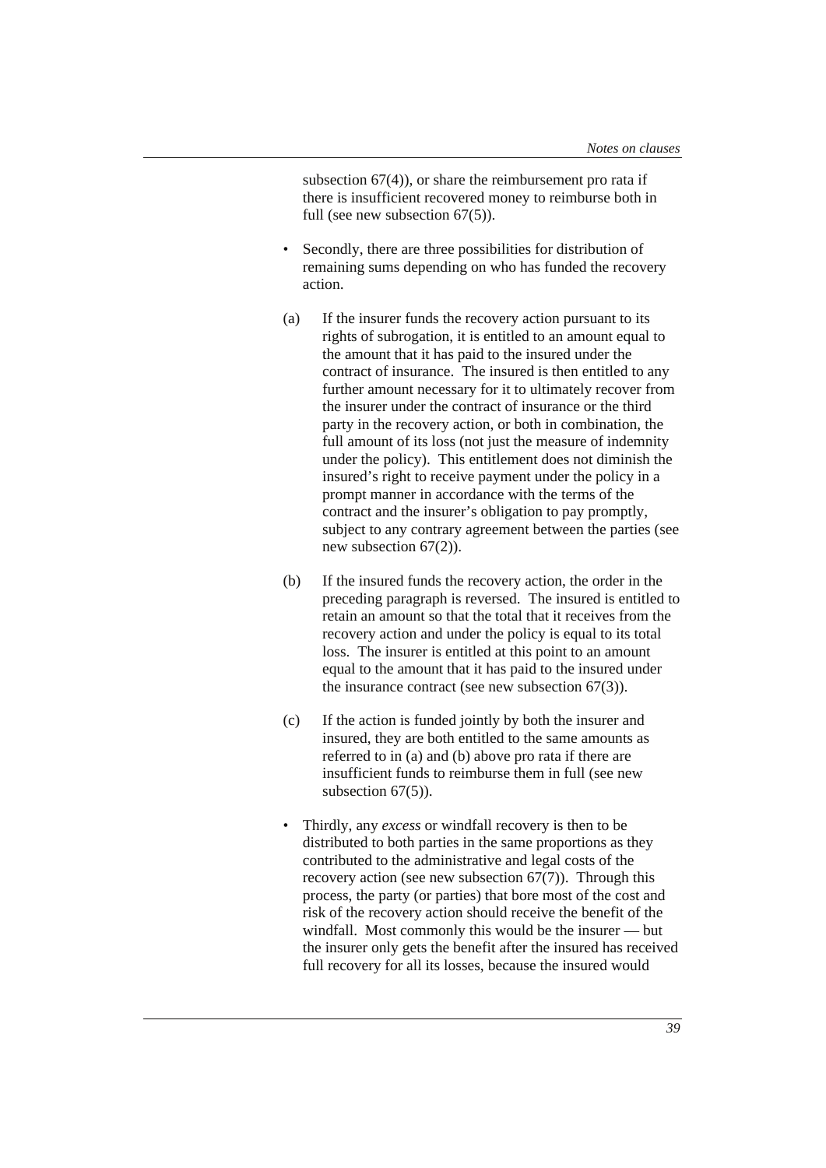subsection 67(4)), or share the reimbursement pro rata if there is insufficient recovered money to reimburse both in full (see new subsection 67(5)).

- Secondly, there are three possibilities for distribution of remaining sums depending on who has funded the recovery action.
- (a) If the insurer funds the recovery action pursuant to its rights of subrogation, it is entitled to an amount equal to the amount that it has paid to the insured under the contract of insurance. The insured is then entitled to any further amount necessary for it to ultimately recover from the insurer under the contract of insurance or the third party in the recovery action, or both in combination, the full amount of its loss (not just the measure of indemnity under the policy). This entitlement does not diminish the insured's right to receive payment under the policy in a prompt manner in accordance with the terms of the contract and the insurer's obligation to pay promptly, subject to any contrary agreement between the parties (see new subsection 67(2)).
- (b) If the insured funds the recovery action, the order in the preceding paragraph is reversed. The insured is entitled to retain an amount so that the total that it receives from the recovery action and under the policy is equal to its total loss. The insurer is entitled at this point to an amount equal to the amount that it has paid to the insured under the insurance contract (see new subsection 67(3)).
- (c) If the action is funded jointly by both the insurer and insured, they are both entitled to the same amounts as referred to in (a) and (b) above pro rata if there are insufficient funds to reimburse them in full (see new subsection  $67(5)$ ).
- Thirdly, any *excess* or windfall recovery is then to be distributed to both parties in the same proportions as they contributed to the administrative and legal costs of the recovery action (see new subsection 67(7)). Through this process, the party (or parties) that bore most of the cost and risk of the recovery action should receive the benefit of the windfall. Most commonly this would be the insurer — but the insurer only gets the benefit after the insured has received full recovery for all its losses, because the insured would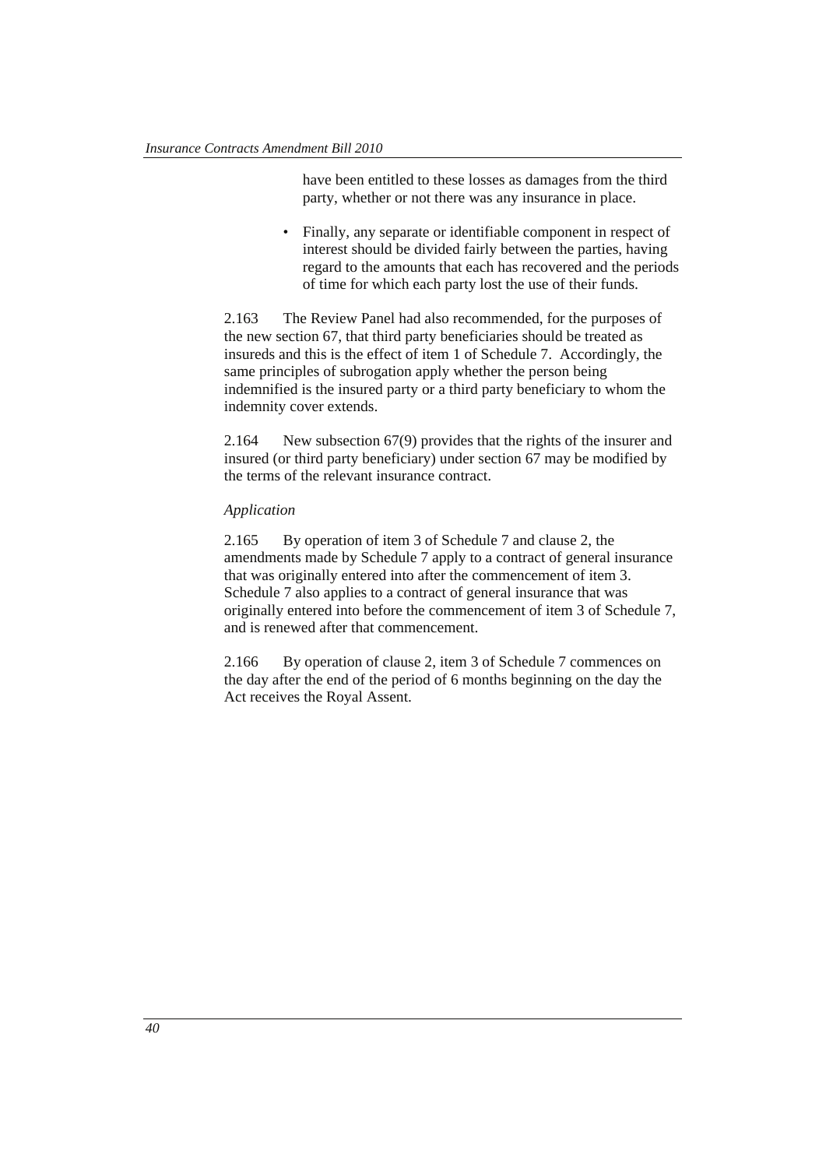have been entitled to these losses as damages from the third party, whether or not there was any insurance in place.

• Finally, any separate or identifiable component in respect of interest should be divided fairly between the parties, having regard to the amounts that each has recovered and the periods of time for which each party lost the use of their funds.

2.163 The Review Panel had also recommended, for the purposes of the new section 67, that third party beneficiaries should be treated as insureds and this is the effect of item 1 of Schedule 7. Accordingly, the same principles of subrogation apply whether the person being indemnified is the insured party or a third party beneficiary to whom the indemnity cover extends.

2.164 New subsection 67(9) provides that the rights of the insurer and insured (or third party beneficiary) under section 67 may be modified by the terms of the relevant insurance contract.

#### *Application*

2.165 By operation of item 3 of Schedule 7 and clause 2, the amendments made by Schedule 7 apply to a contract of general insurance that was originally entered into after the commencement of item 3. Schedule 7 also applies to a contract of general insurance that was originally entered into before the commencement of item 3 of Schedule 7, and is renewed after that commencement.

2.166 By operation of clause 2, item 3 of Schedule 7 commences on the day after the end of the period of 6 months beginning on the day the Act receives the Royal Assent.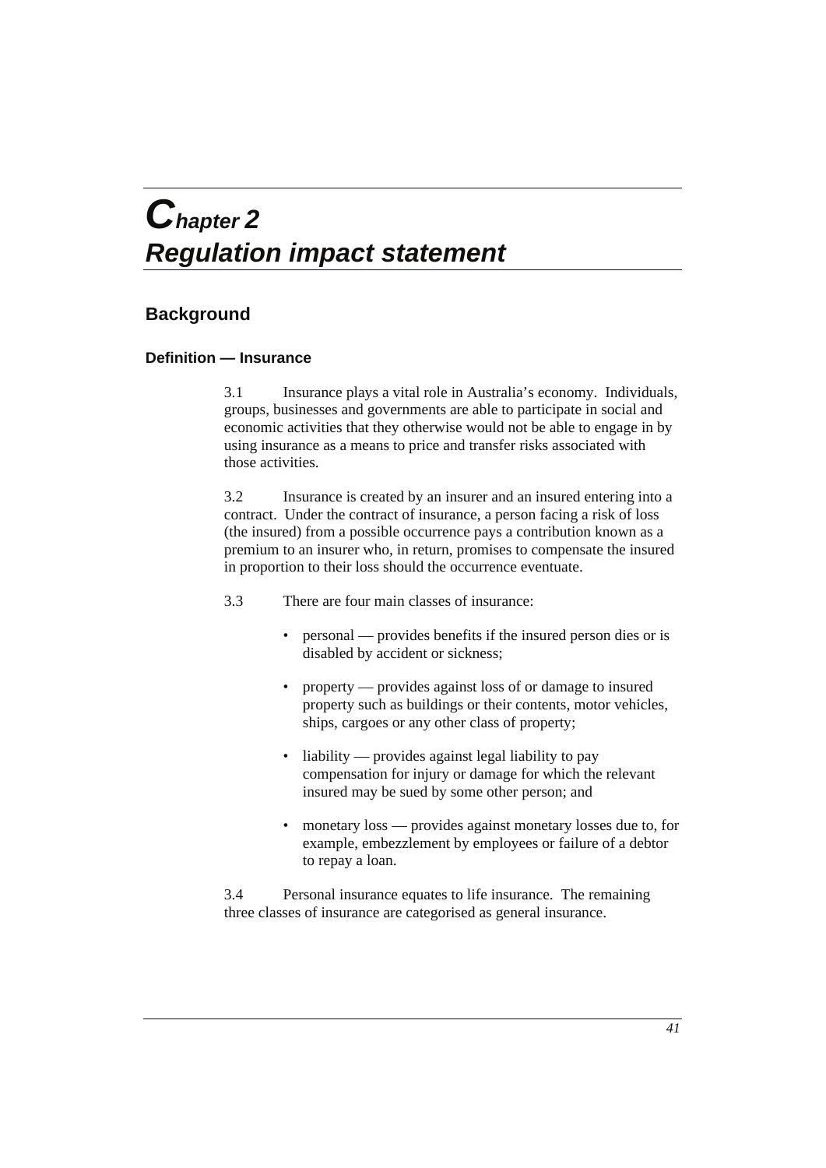# *Chapter 2 Regulation impact statement*

# **Background**

# **Definition — Insurance**

3.1 Insurance plays a vital role in Australia's economy. Individuals, groups, businesses and governments are able to participate in social and economic activities that they otherwise would not be able to engage in by using insurance as a means to price and transfer risks associated with those activities.

3.2 Insurance is created by an insurer and an insured entering into a contract. Under the contract of insurance, a person facing a risk of loss (the insured) from a possible occurrence pays a contribution known as a premium to an insurer who, in return, promises to compensate the insured in proportion to their loss should the occurrence eventuate.

3.3 There are four main classes of insurance:

- personal provides benefits if the insured person dies or is disabled by accident or sickness;
- property provides against loss of or damage to insured property such as buildings or their contents, motor vehicles, ships, cargoes or any other class of property;
- liability provides against legal liability to pay compensation for injury or damage for which the relevant insured may be sued by some other person; and
- monetary loss provides against monetary losses due to, for example, embezzlement by employees or failure of a debtor to repay a loan.

3.4 Personal insurance equates to life insurance. The remaining three classes of insurance are categorised as general insurance.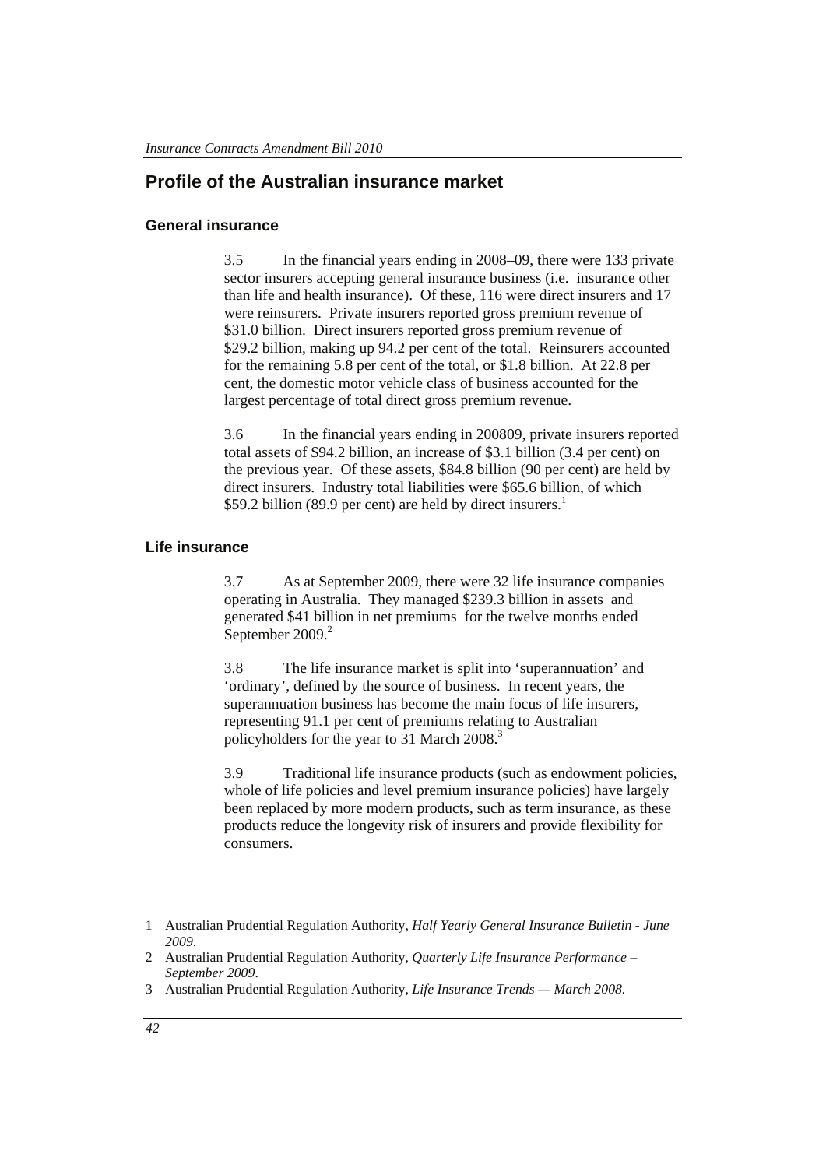# **Profile of the Australian insurance market**

#### **General insurance**

3.5 In the financial years ending in 2008–09, there were 133 private sector insurers accepting general insurance business (i.e. insurance other than life and health insurance). Of these, 116 were direct insurers and 17 were reinsurers. Private insurers reported gross premium revenue of \$31.0 billion. Direct insurers reported gross premium revenue of \$29.2 billion, making up 94.2 per cent of the total. Reinsurers accounted for the remaining 5.8 per cent of the total, or \$1.8 billion. At 22.8 per cent, the domestic motor vehicle class of business accounted for the largest percentage of total direct gross premium revenue.

3.6 In the financial years ending in 200809, private insurers reported total assets of \$94.2 billion, an increase of \$3.1 billion (3.4 per cent) on the previous year. Of these assets, \$84.8 billion (90 per cent) are held by direct insurers. Industry total liabilities were \$65.6 billion, of which \$59.2 billion (89.9 per cent) are held by direct insurers.<sup>1</sup>

#### **Life insurance**

3.7 As at September 2009, there were 32 life insurance companies operating in Australia. They managed \$239.3 billion in assets and generated \$41 billion in net premiums for the twelve months ended September 2009.<sup>2</sup>

3.8 The life insurance market is split into 'superannuation' and 'ordinary', defined by the source of business. In recent years, the superannuation business has become the main focus of life insurers, representing 91.1 per cent of premiums relating to Australian policyholders for the year to 31 March 2008.<sup>3</sup>

3.9 Traditional life insurance products (such as endowment policies, whole of life policies and level premium insurance policies) have largely been replaced by more modern products, such as term insurance, as these products reduce the longevity risk of insurers and provide flexibility for consumers.

1

<sup>1</sup> Australian Prudential Regulation Authority, *Half Yearly General Insurance Bulletin - June 2009*.

<sup>2</sup> Australian Prudential Regulation Authority, *Quarterly Life Insurance Performance – September 2009*.

<sup>3</sup> Australian Prudential Regulation Authority, *Life Insurance Trends — March 2008.*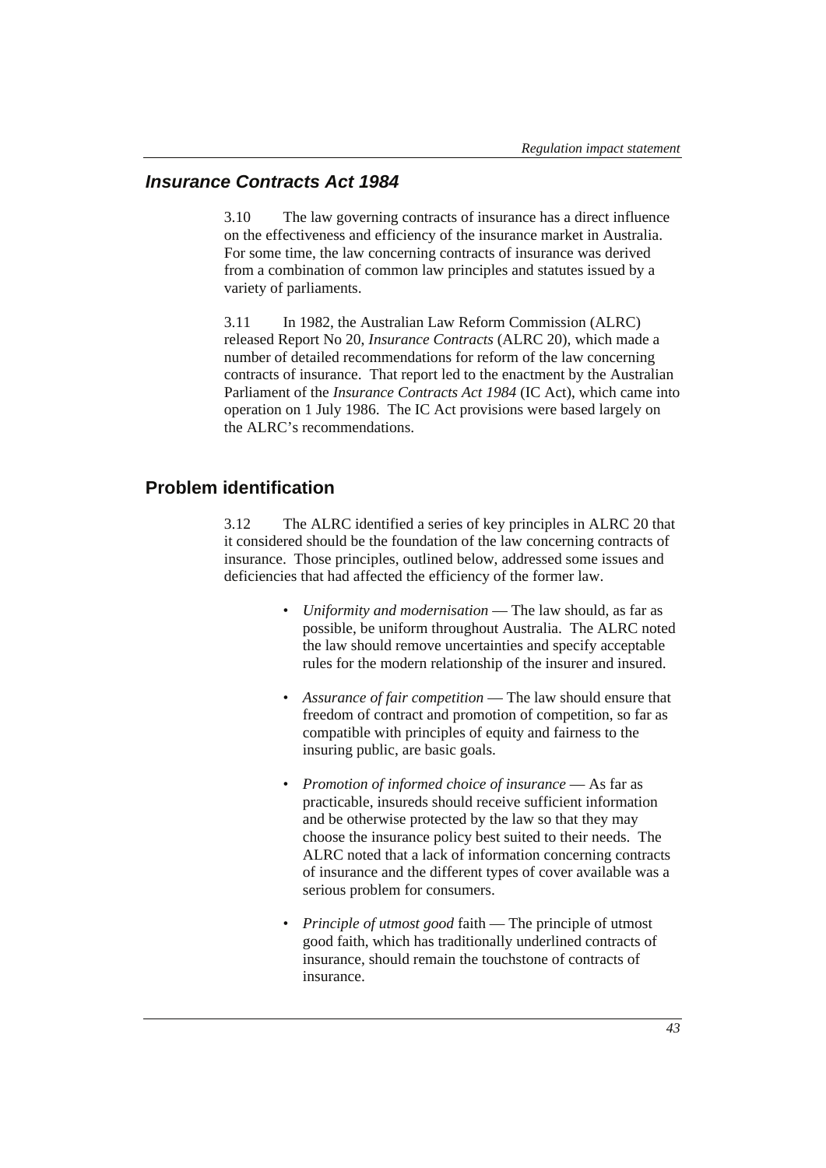# *Insurance Contracts Act 1984*

3.10 The law governing contracts of insurance has a direct influence on the effectiveness and efficiency of the insurance market in Australia. For some time, the law concerning contracts of insurance was derived from a combination of common law principles and statutes issued by a variety of parliaments.

3.11 In 1982, the Australian Law Reform Commission (ALRC) released Report No 20, *Insurance Contracts* (ALRC 20), which made a number of detailed recommendations for reform of the law concerning contracts of insurance. That report led to the enactment by the Australian Parliament of the *Insurance Contracts Act 1984* (IC Act), which came into operation on 1 July 1986. The IC Act provisions were based largely on the ALRC's recommendations.

# **Problem identification**

3.12 The ALRC identified a series of key principles in ALRC 20 that it considered should be the foundation of the law concerning contracts of insurance. Those principles, outlined below, addressed some issues and deficiencies that had affected the efficiency of the former law.

- *Uniformity and modernisation* The law should, as far as possible, be uniform throughout Australia. The ALRC noted the law should remove uncertainties and specify acceptable rules for the modern relationship of the insurer and insured.
- *Assurance of fair competition* The law should ensure that freedom of contract and promotion of competition, so far as compatible with principles of equity and fairness to the insuring public, are basic goals.
- *Promotion of informed choice of insurance* As far as practicable, insureds should receive sufficient information and be otherwise protected by the law so that they may choose the insurance policy best suited to their needs. The ALRC noted that a lack of information concerning contracts of insurance and the different types of cover available was a serious problem for consumers.
- *Principle of utmost good* faith The principle of utmost good faith, which has traditionally underlined contracts of insurance, should remain the touchstone of contracts of insurance.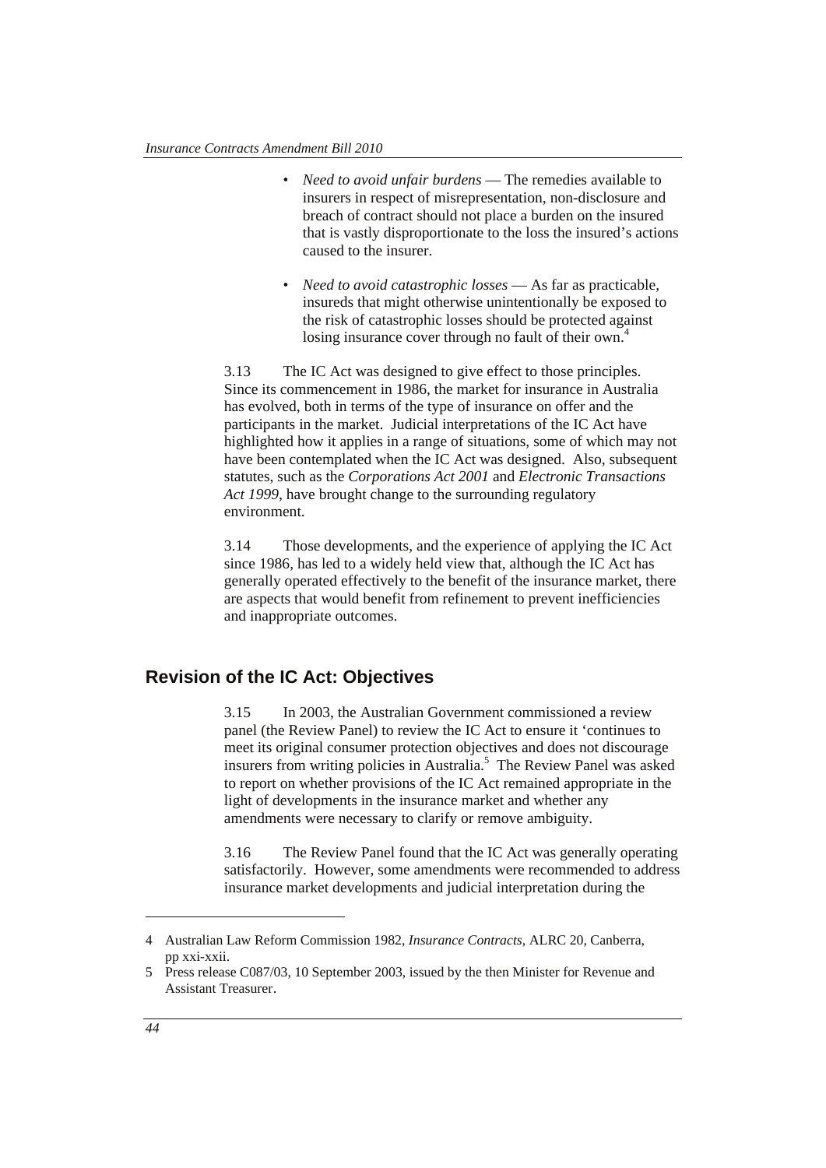- *Need to avoid unfair burdens* The remedies available to insurers in respect of misrepresentation, non-disclosure and breach of contract should not place a burden on the insured that is vastly disproportionate to the loss the insured's actions caused to the insurer.
- *Need to avoid catastrophic losses* As far as practicable, insureds that might otherwise unintentionally be exposed to the risk of catastrophic losses should be protected against losing insurance cover through no fault of their own.<sup>4</sup>

3.13 The IC Act was designed to give effect to those principles. Since its commencement in 1986, the market for insurance in Australia has evolved, both in terms of the type of insurance on offer and the participants in the market. Judicial interpretations of the IC Act have highlighted how it applies in a range of situations, some of which may not have been contemplated when the IC Act was designed. Also, subsequent statutes, such as the *Corporations Act 2001* and *Electronic Transactions Act 1999,* have brought change to the surrounding regulatory environment.

3.14 Those developments, and the experience of applying the IC Act since 1986, has led to a widely held view that, although the IC Act has generally operated effectively to the benefit of the insurance market, there are aspects that would benefit from refinement to prevent inefficiencies and inappropriate outcomes.

# **Revision of the IC Act: Objectives**

3.15 In 2003, the Australian Government commissioned a review panel (the Review Panel) to review the IC Act to ensure it 'continues to meet its original consumer protection objectives and does not discourage insurers from writing policies in Australia.<sup>5</sup> The Review Panel was asked to report on whether provisions of the IC Act remained appropriate in the light of developments in the insurance market and whether any amendments were necessary to clarify or remove ambiguity.

3.16 The Review Panel found that the IC Act was generally operating satisfactorily. However, some amendments were recommended to address insurance market developments and judicial interpretation during the

 $\overline{a}$ 

<sup>4</sup> Australian Law Reform Commission 1982, *Insurance Contracts,* ALRC 20, Canberra, pp xxi-xxii.

<sup>5</sup> Press release C087/03, 10 September 2003, issued by the then Minister for Revenue and Assistant Treasurer.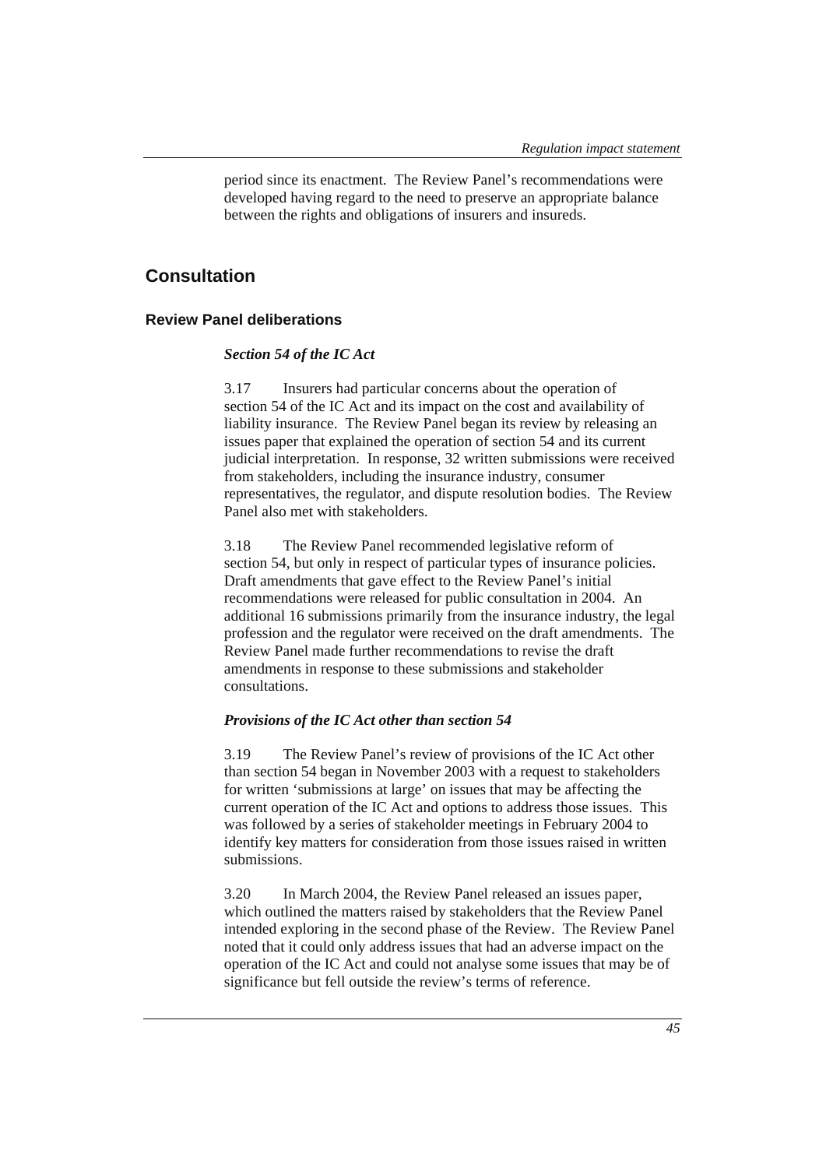period since its enactment. The Review Panel's recommendations were developed having regard to the need to preserve an appropriate balance between the rights and obligations of insurers and insureds.

# **Consultation**

#### **Review Panel deliberations**

#### *Section 54 of the IC Act*

3.17 Insurers had particular concerns about the operation of section 54 of the IC Act and its impact on the cost and availability of liability insurance. The Review Panel began its review by releasing an issues paper that explained the operation of section 54 and its current judicial interpretation. In response, 32 written submissions were received from stakeholders, including the insurance industry, consumer representatives, the regulator, and dispute resolution bodies. The Review Panel also met with stakeholders.

3.18 The Review Panel recommended legislative reform of section 54, but only in respect of particular types of insurance policies. Draft amendments that gave effect to the Review Panel's initial recommendations were released for public consultation in 2004. An additional 16 submissions primarily from the insurance industry, the legal profession and the regulator were received on the draft amendments. The Review Panel made further recommendations to revise the draft amendments in response to these submissions and stakeholder consultations.

#### *Provisions of the IC Act other than section 54*

3.19 The Review Panel's review of provisions of the IC Act other than section 54 began in November 2003 with a request to stakeholders for written 'submissions at large' on issues that may be affecting the current operation of the IC Act and options to address those issues. This was followed by a series of stakeholder meetings in February 2004 to identify key matters for consideration from those issues raised in written submissions.

3.20 In March 2004, the Review Panel released an issues paper, which outlined the matters raised by stakeholders that the Review Panel intended exploring in the second phase of the Review. The Review Panel noted that it could only address issues that had an adverse impact on the operation of the IC Act and could not analyse some issues that may be of significance but fell outside the review's terms of reference.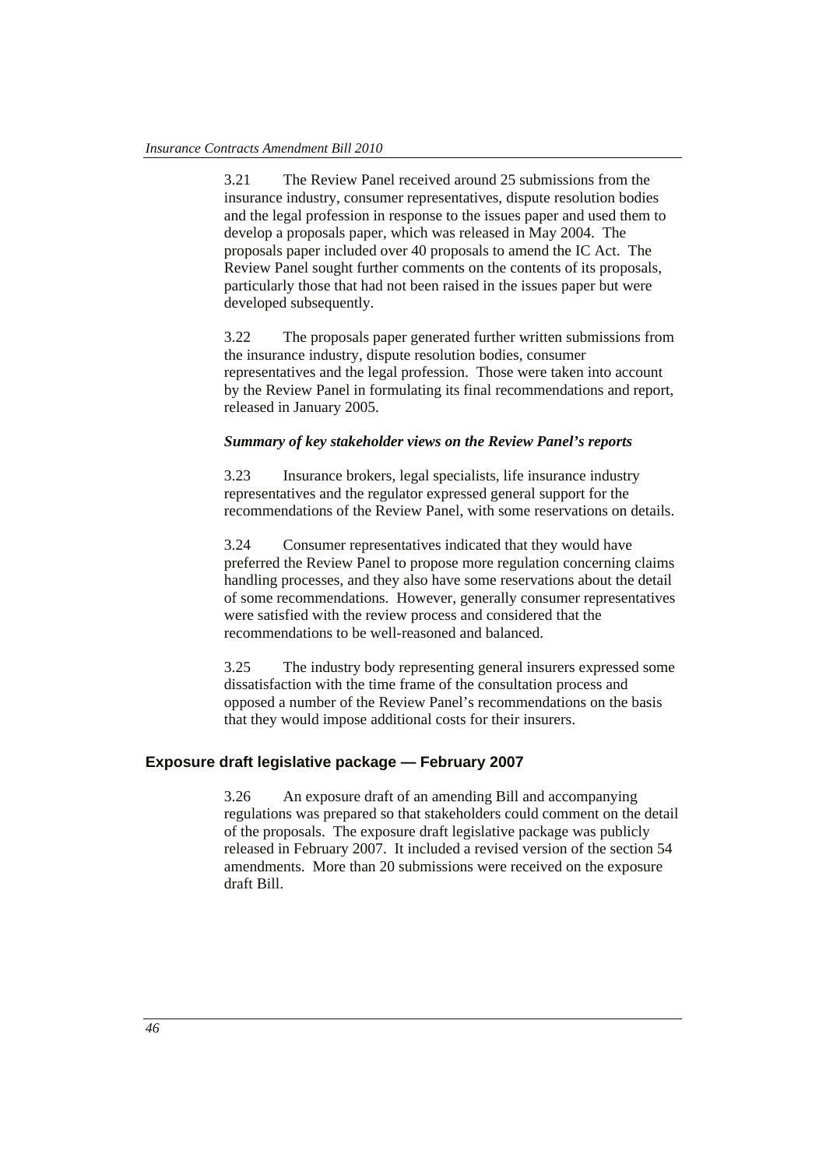3.21 The Review Panel received around 25 submissions from the insurance industry, consumer representatives, dispute resolution bodies and the legal profession in response to the issues paper and used them to develop a proposals paper, which was released in May 2004. The proposals paper included over 40 proposals to amend the IC Act. The Review Panel sought further comments on the contents of its proposals, particularly those that had not been raised in the issues paper but were developed subsequently.

3.22 The proposals paper generated further written submissions from the insurance industry, dispute resolution bodies, consumer representatives and the legal profession. Those were taken into account by the Review Panel in formulating its final recommendations and report, released in January 2005.

#### *Summary of key stakeholder views on the Review Panel's reports*

3.23 Insurance brokers, legal specialists, life insurance industry representatives and the regulator expressed general support for the recommendations of the Review Panel, with some reservations on details.

3.24 Consumer representatives indicated that they would have preferred the Review Panel to propose more regulation concerning claims handling processes, and they also have some reservations about the detail of some recommendations. However, generally consumer representatives were satisfied with the review process and considered that the recommendations to be well-reasoned and balanced.

3.25 The industry body representing general insurers expressed some dissatisfaction with the time frame of the consultation process and opposed a number of the Review Panel's recommendations on the basis that they would impose additional costs for their insurers.

# **Exposure draft legislative package — February 2007**

3.26 An exposure draft of an amending Bill and accompanying regulations was prepared so that stakeholders could comment on the detail of the proposals. The exposure draft legislative package was publicly released in February 2007. It included a revised version of the section 54 amendments. More than 20 submissions were received on the exposure draft Bill.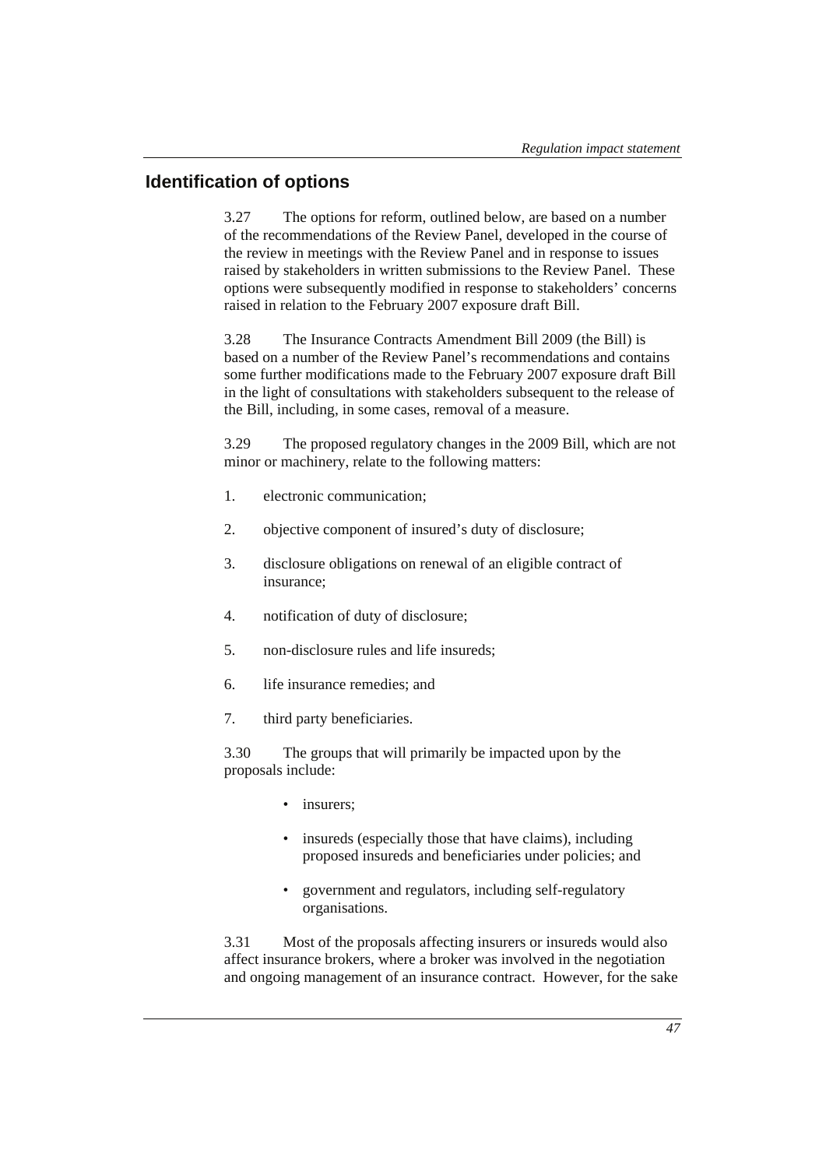# **Identification of options**

3.27 The options for reform, outlined below, are based on a number of the recommendations of the Review Panel, developed in the course of the review in meetings with the Review Panel and in response to issues raised by stakeholders in written submissions to the Review Panel. These options were subsequently modified in response to stakeholders' concerns raised in relation to the February 2007 exposure draft Bill.

3.28 The Insurance Contracts Amendment Bill 2009 (the Bill) is based on a number of the Review Panel's recommendations and contains some further modifications made to the February 2007 exposure draft Bill in the light of consultations with stakeholders subsequent to the release of the Bill, including, in some cases, removal of a measure.

3.29 The proposed regulatory changes in the 2009 Bill, which are not minor or machinery, relate to the following matters:

- 1. electronic communication;
- 2. objective component of insured's duty of disclosure;
- 3. disclosure obligations on renewal of an eligible contract of insurance;
- 4. notification of duty of disclosure;
- 5. non-disclosure rules and life insureds;
- 6. life insurance remedies; and
- 7. third party beneficiaries.

3.30 The groups that will primarily be impacted upon by the proposals include:

- insurers:
- insureds (especially those that have claims), including proposed insureds and beneficiaries under policies; and
- government and regulators, including self-regulatory organisations.

3.31 Most of the proposals affecting insurers or insureds would also affect insurance brokers, where a broker was involved in the negotiation and ongoing management of an insurance contract. However, for the sake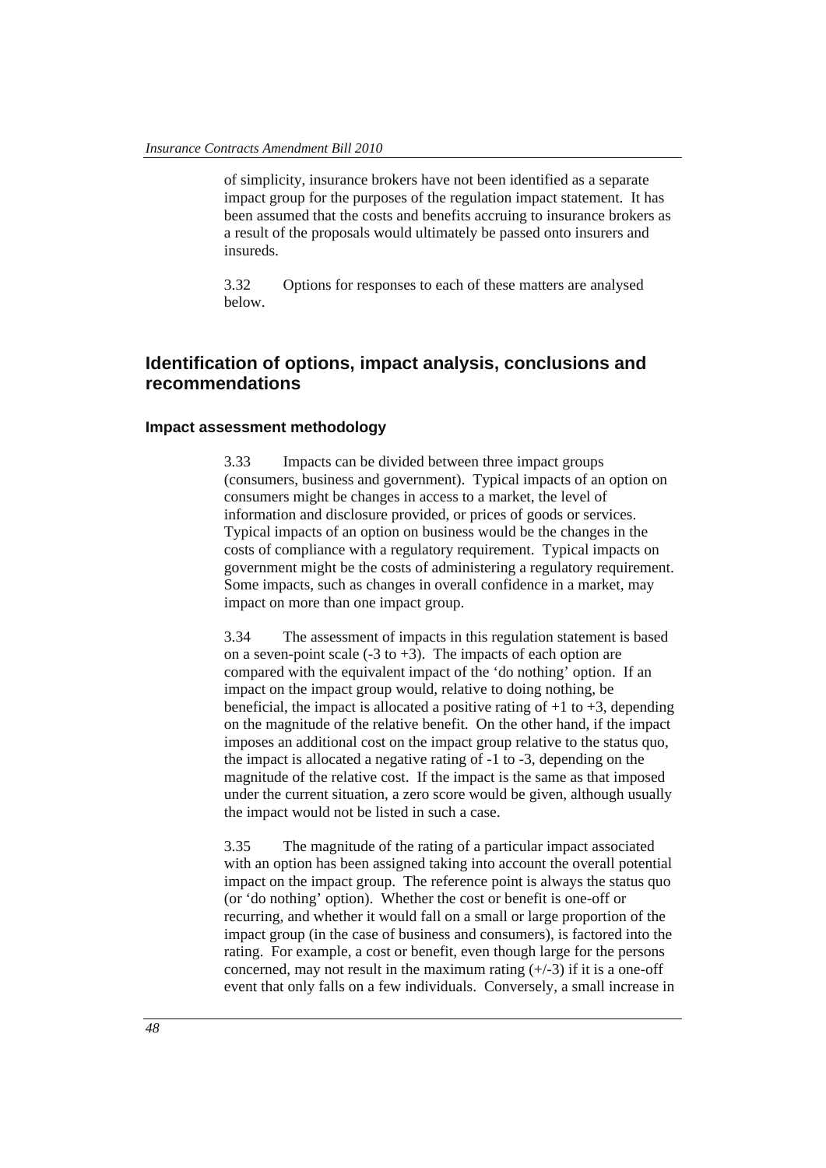of simplicity, insurance brokers have not been identified as a separate impact group for the purposes of the regulation impact statement. It has been assumed that the costs and benefits accruing to insurance brokers as a result of the proposals would ultimately be passed onto insurers and insureds.

3.32 Options for responses to each of these matters are analysed below.

# **Identification of options, impact analysis, conclusions and recommendations**

#### **Impact assessment methodology**

3.33 Impacts can be divided between three impact groups (consumers, business and government). Typical impacts of an option on consumers might be changes in access to a market, the level of information and disclosure provided, or prices of goods or services. Typical impacts of an option on business would be the changes in the costs of compliance with a regulatory requirement. Typical impacts on government might be the costs of administering a regulatory requirement. Some impacts, such as changes in overall confidence in a market, may impact on more than one impact group.

3.34 The assessment of impacts in this regulation statement is based on a seven-point scale  $(-3 \text{ to } +3)$ . The impacts of each option are compared with the equivalent impact of the 'do nothing' option. If an impact on the impact group would, relative to doing nothing, be beneficial, the impact is allocated a positive rating of  $+1$  to  $+3$ , depending on the magnitude of the relative benefit. On the other hand, if the impact imposes an additional cost on the impact group relative to the status quo, the impact is allocated a negative rating of -1 to -3, depending on the magnitude of the relative cost. If the impact is the same as that imposed under the current situation, a zero score would be given, although usually the impact would not be listed in such a case.

3.35 The magnitude of the rating of a particular impact associated with an option has been assigned taking into account the overall potential impact on the impact group. The reference point is always the status quo (or 'do nothing' option). Whether the cost or benefit is one-off or recurring, and whether it would fall on a small or large proportion of the impact group (in the case of business and consumers), is factored into the rating. For example, a cost or benefit, even though large for the persons concerned, may not result in the maximum rating  $(+/-3)$  if it is a one-off event that only falls on a few individuals. Conversely, a small increase in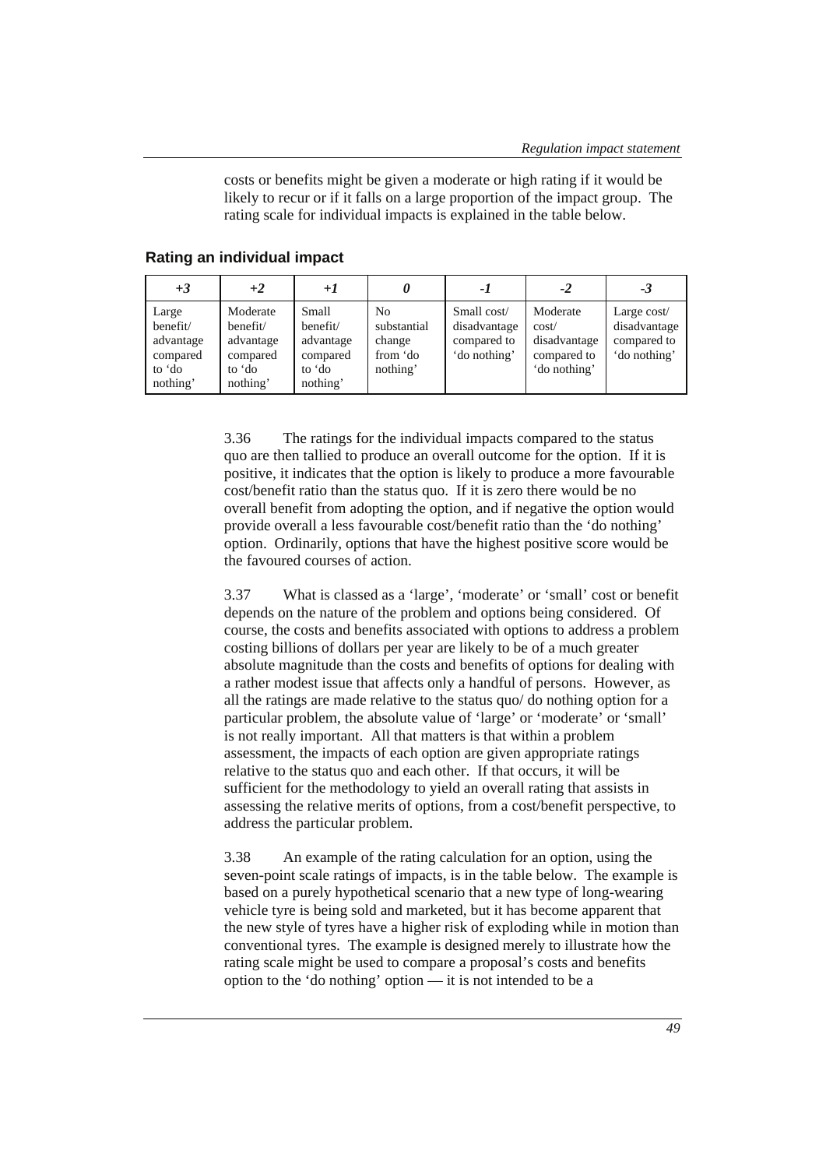costs or benefits might be given a moderate or high rating if it would be likely to recur or if it falls on a large proportion of the impact group. The rating scale for individual impacts is explained in the table below.

| $+3$                                                             | $+2$                                                                | $+1$                                                             |                                                     | - 1                                                        | -2                                                               | -3                                                         |
|------------------------------------------------------------------|---------------------------------------------------------------------|------------------------------------------------------------------|-----------------------------------------------------|------------------------------------------------------------|------------------------------------------------------------------|------------------------------------------------------------|
| Large<br>benefit/<br>advantage<br>compared<br>to 'do<br>nothing' | Moderate<br>benefit/<br>advantage<br>compared<br>to 'do<br>nothing' | Small<br>benefit/<br>advantage<br>compared<br>to 'do<br>nothing' | No<br>substantial<br>change<br>from 'do<br>nothing' | Small cost/<br>disadvantage<br>compared to<br>'do nothing' | Moderate<br>cost/<br>disadvantage<br>compared to<br>'do nothing' | Large cost/<br>disadvantage<br>compared to<br>'do nothing' |

#### **Rating an individual impact**

3.36 The ratings for the individual impacts compared to the status quo are then tallied to produce an overall outcome for the option. If it is positive, it indicates that the option is likely to produce a more favourable cost/benefit ratio than the status quo. If it is zero there would be no overall benefit from adopting the option, and if negative the option would provide overall a less favourable cost/benefit ratio than the 'do nothing' option. Ordinarily, options that have the highest positive score would be the favoured courses of action.

3.37 What is classed as a 'large', 'moderate' or 'small' cost or benefit depends on the nature of the problem and options being considered. Of course, the costs and benefits associated with options to address a problem costing billions of dollars per year are likely to be of a much greater absolute magnitude than the costs and benefits of options for dealing with a rather modest issue that affects only a handful of persons. However, as all the ratings are made relative to the status quo/ do nothing option for a particular problem, the absolute value of 'large' or 'moderate' or 'small' is not really important. All that matters is that within a problem assessment, the impacts of each option are given appropriate ratings relative to the status quo and each other. If that occurs, it will be sufficient for the methodology to yield an overall rating that assists in assessing the relative merits of options, from a cost/benefit perspective, to address the particular problem.

3.38 An example of the rating calculation for an option, using the seven-point scale ratings of impacts, is in the table below. The example is based on a purely hypothetical scenario that a new type of long-wearing vehicle tyre is being sold and marketed, but it has become apparent that the new style of tyres have a higher risk of exploding while in motion than conventional tyres. The example is designed merely to illustrate how the rating scale might be used to compare a proposal's costs and benefits option to the 'do nothing' option — it is not intended to be a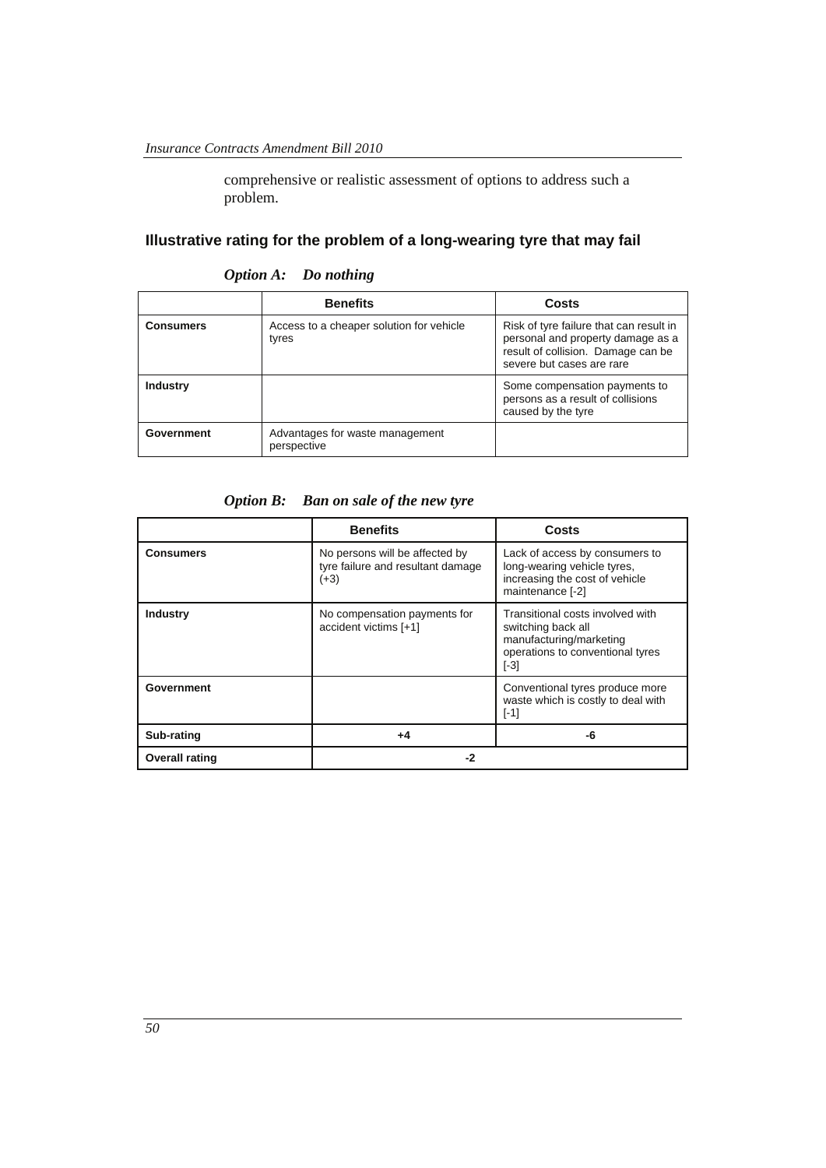comprehensive or realistic assessment of options to address such a problem.

# **Illustrative rating for the problem of a long-wearing tyre that may fail**

|                  | <b>Benefits</b>                                   | Costs                                                                                                                                           |
|------------------|---------------------------------------------------|-------------------------------------------------------------------------------------------------------------------------------------------------|
| <b>Consumers</b> | Access to a cheaper solution for vehicle<br>tyres | Risk of tyre failure that can result in<br>personal and property damage as a<br>result of collision. Damage can be<br>severe but cases are rare |
| <b>Industry</b>  |                                                   | Some compensation payments to<br>persons as a result of collisions<br>caused by the tyre                                                        |
| Government       | Advantages for waste management<br>perspective    |                                                                                                                                                 |

*Option A: Do nothing* 

*Option B: Ban on sale of the new tyre* 

|                       | <b>Benefits</b>                                                               | <b>Costs</b>                                                                                                                    |
|-----------------------|-------------------------------------------------------------------------------|---------------------------------------------------------------------------------------------------------------------------------|
| <b>Consumers</b>      | No persons will be affected by<br>tyre failure and resultant damage<br>$(+3)$ | Lack of access by consumers to<br>long-wearing vehicle tyres,<br>increasing the cost of vehicle<br>maintenance [-2]             |
| <b>Industry</b>       | No compensation payments for<br>accident victims [+1]                         | Transitional costs involved with<br>switching back all<br>manufacturing/marketing<br>operations to conventional tyres<br>$[-3]$ |
| Government            |                                                                               | Conventional tyres produce more<br>waste which is costly to deal with<br>$[-1]$                                                 |
| Sub-rating            | +4                                                                            | -6                                                                                                                              |
| <b>Overall rating</b> | -2                                                                            |                                                                                                                                 |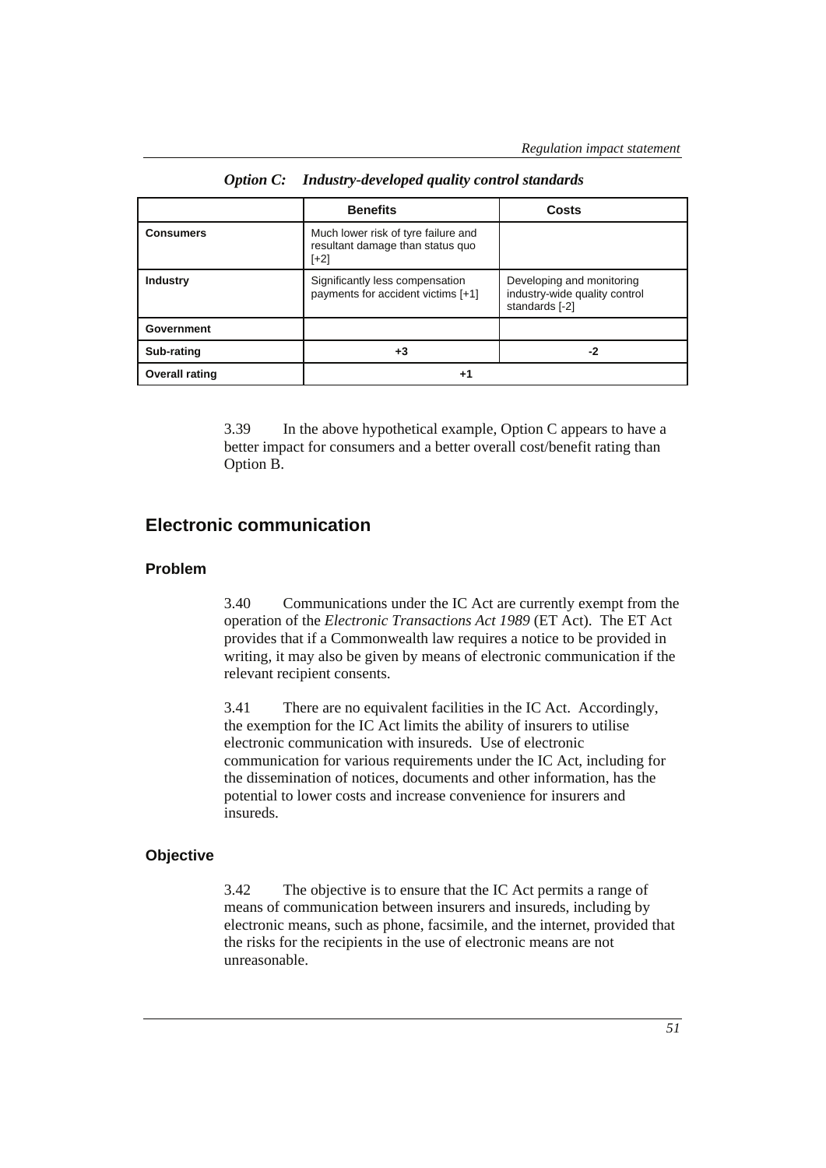|                       | <b>Benefits</b>                                                                   | Costs                                                                        |
|-----------------------|-----------------------------------------------------------------------------------|------------------------------------------------------------------------------|
| <b>Consumers</b>      | Much lower risk of tyre failure and<br>resultant damage than status quo<br>$[+2]$ |                                                                              |
| Industry              | Significantly less compensation<br>payments for accident victims [+1]             | Developing and monitoring<br>industry-wide quality control<br>standards [-2] |
| Government            |                                                                                   |                                                                              |
| Sub-rating            | $+3$                                                                              | -2                                                                           |
| <b>Overall rating</b> | +1                                                                                |                                                                              |

*Option C: Industry-developed quality control standards* 

3.39 In the above hypothetical example, Option C appears to have a better impact for consumers and a better overall cost/benefit rating than Option B.

# **Electronic communication**

### **Problem**

3.40 Communications under the IC Act are currently exempt from the operation of the *Electronic Transa*c*tions Act 1989* (ET Act). The ET Act provides that if a Commonwealth law requires a notice to be provided in writing, it may also be given by means of electronic communication if the relevant recipient consents.

3.41 There are no equivalent facilities in the IC Act. Accordingly, the exemption for the IC Act limits the ability of insurers to utilise electronic communication with insureds. Use of electronic communication for various requirements under the IC Act, including for the dissemination of notices, documents and other information, has the potential to lower costs and increase convenience for insurers and insureds.

#### **Objective**

3.42 The objective is to ensure that the IC Act permits a range of means of communication between insurers and insureds, including by electronic means, such as phone, facsimile, and the internet, provided that the risks for the recipients in the use of electronic means are not unreasonable.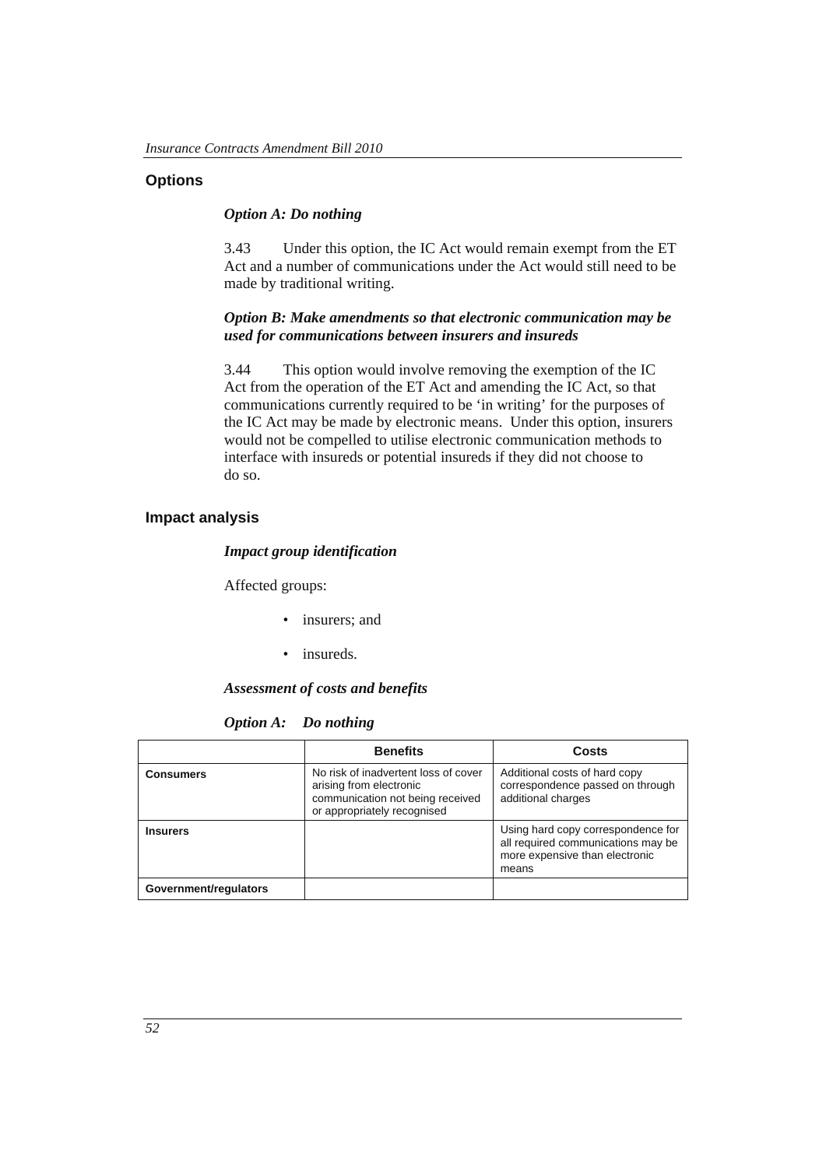# **Options**

#### *Option A: Do nothing*

3.43 Under this option, the IC Act would remain exempt from the ET Act and a number of communications under the Act would still need to be made by traditional writing.

#### *Option B: Make amendments so that electronic communication may be used for communications between insurers and insureds*

3.44 This option would involve removing the exemption of the IC Act from the operation of the ET Act and amending the IC Act, so that communications currently required to be 'in writing' for the purposes of the IC Act may be made by electronic means. Under this option, insurers would not be compelled to utilise electronic communication methods to interface with insureds or potential insureds if they did not choose to do so.

#### **Impact analysis**

#### *Impact group identification*

Affected groups:

- insurers; and
- insureds.

#### *Assessment of costs and benefits*

*Option A: Do nothing* 

|                       | <b>Benefits</b>                                                                                                                    | Costs                                                                                                               |
|-----------------------|------------------------------------------------------------------------------------------------------------------------------------|---------------------------------------------------------------------------------------------------------------------|
| <b>Consumers</b>      | No risk of inadvertent loss of cover<br>arising from electronic<br>communication not being received<br>or appropriately recognised | Additional costs of hard copy<br>correspondence passed on through<br>additional charges                             |
| <b>Insurers</b>       |                                                                                                                                    | Using hard copy correspondence for<br>all required communications may be<br>more expensive than electronic<br>means |
| Government/regulators |                                                                                                                                    |                                                                                                                     |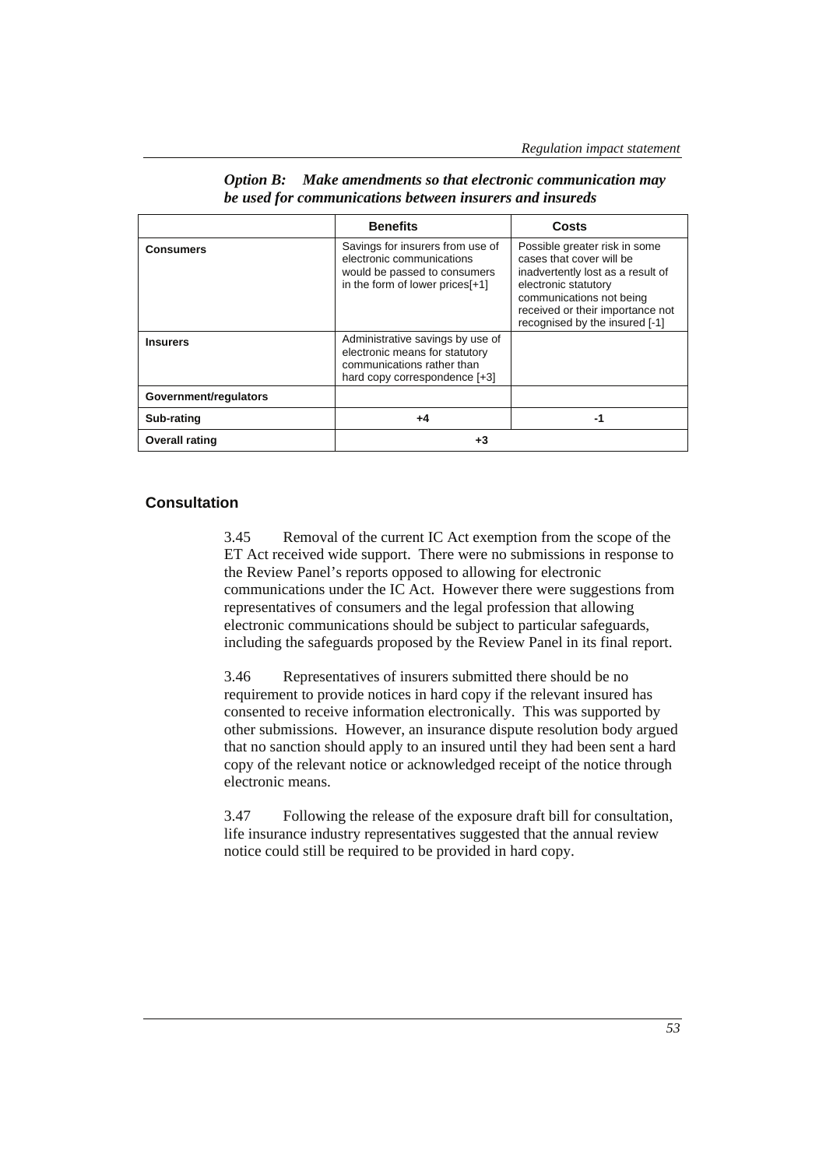|                       | <b>Benefits</b>                                                                                                                   | Costs                                                                                                                                                                                                                    |
|-----------------------|-----------------------------------------------------------------------------------------------------------------------------------|--------------------------------------------------------------------------------------------------------------------------------------------------------------------------------------------------------------------------|
| <b>Consumers</b>      | Savings for insurers from use of<br>electronic communications<br>would be passed to consumers<br>in the form of lower prices[+1]  | Possible greater risk in some<br>cases that cover will be<br>inadvertently lost as a result of<br>electronic statutory<br>communications not being<br>received or their importance not<br>recognised by the insured [-1] |
| <b>Insurers</b>       | Administrative savings by use of<br>electronic means for statutory<br>communications rather than<br>hard copy correspondence [+3] |                                                                                                                                                                                                                          |
| Government/regulators |                                                                                                                                   |                                                                                                                                                                                                                          |
| Sub-rating            | +4                                                                                                                                | -1                                                                                                                                                                                                                       |
| <b>Overall rating</b> | +3                                                                                                                                |                                                                                                                                                                                                                          |

| Option B: Make amendments so that electronic communication may |
|----------------------------------------------------------------|
| be used for communications between insurers and insureds       |

#### **Consultation**

3.45 Removal of the current IC Act exemption from the scope of the ET Act received wide support. There were no submissions in response to the Review Panel's reports opposed to allowing for electronic communications under the IC Act. However there were suggestions from representatives of consumers and the legal profession that allowing electronic communications should be subject to particular safeguards, including the safeguards proposed by the Review Panel in its final report.

3.46 Representatives of insurers submitted there should be no requirement to provide notices in hard copy if the relevant insured has consented to receive information electronically. This was supported by other submissions. However, an insurance dispute resolution body argued that no sanction should apply to an insured until they had been sent a hard copy of the relevant notice or acknowledged receipt of the notice through electronic means.

3.47 Following the release of the exposure draft bill for consultation, life insurance industry representatives suggested that the annual review notice could still be required to be provided in hard copy.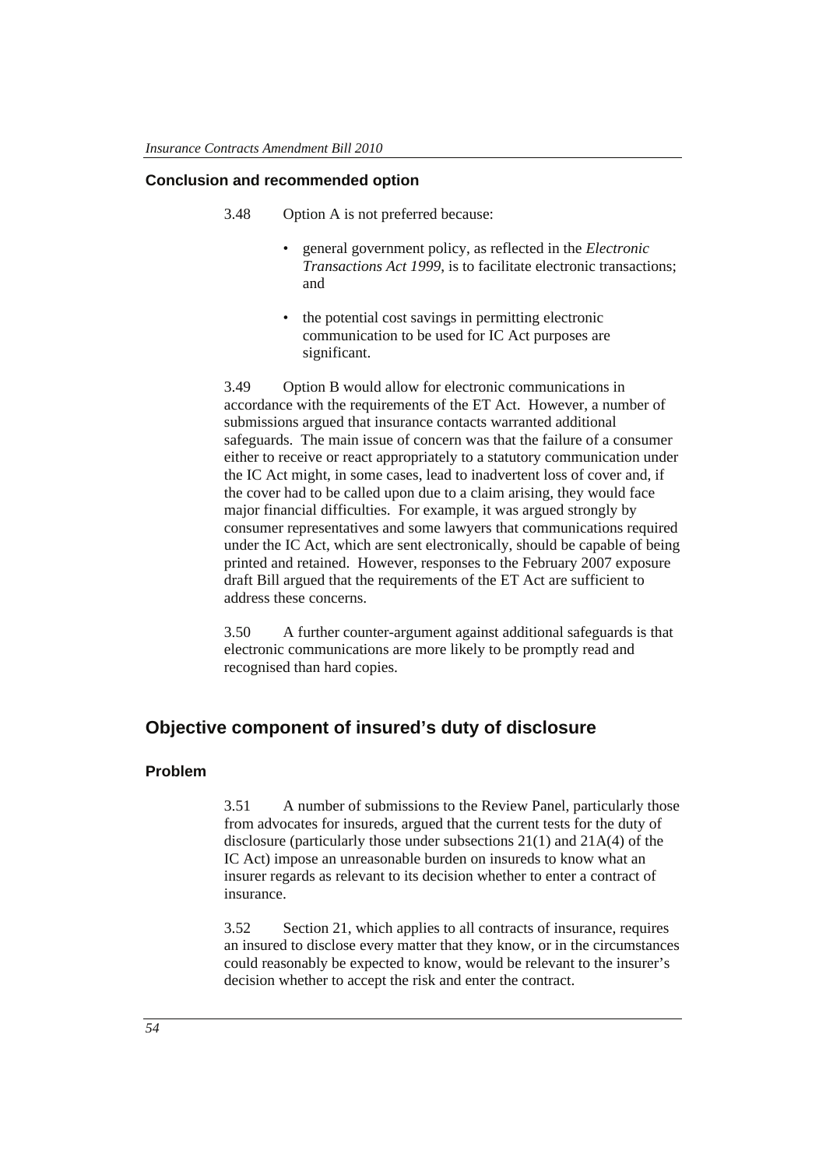# **Conclusion and recommended option**

- 3.48 Option A is not preferred because:
	- general government policy, as reflected in the *Electronic Transactions Act 1999*, is to facilitate electronic transactions; and
	- the potential cost savings in permitting electronic communication to be used for IC Act purposes are significant.

3.49 Option B would allow for electronic communications in accordance with the requirements of the ET Act. However, a number of submissions argued that insurance contacts warranted additional safeguards. The main issue of concern was that the failure of a consumer either to receive or react appropriately to a statutory communication under the IC Act might, in some cases, lead to inadvertent loss of cover and, if the cover had to be called upon due to a claim arising, they would face major financial difficulties. For example, it was argued strongly by consumer representatives and some lawyers that communications required under the IC Act, which are sent electronically, should be capable of being printed and retained. However, responses to the February 2007 exposure draft Bill argued that the requirements of the ET Act are sufficient to address these concerns.

3.50 A further counter-argument against additional safeguards is that electronic communications are more likely to be promptly read and recognised than hard copies.

# **Objective component of insured's duty of disclosure**

# **Problem**

3.51 A number of submissions to the Review Panel, particularly those from advocates for insureds, argued that the current tests for the duty of disclosure (particularly those under subsections 21(1) and 21A(4) of the IC Act) impose an unreasonable burden on insureds to know what an insurer regards as relevant to its decision whether to enter a contract of insurance.

3.52 Section 21, which applies to all contracts of insurance, requires an insured to disclose every matter that they know, or in the circumstances could reasonably be expected to know, would be relevant to the insurer's decision whether to accept the risk and enter the contract.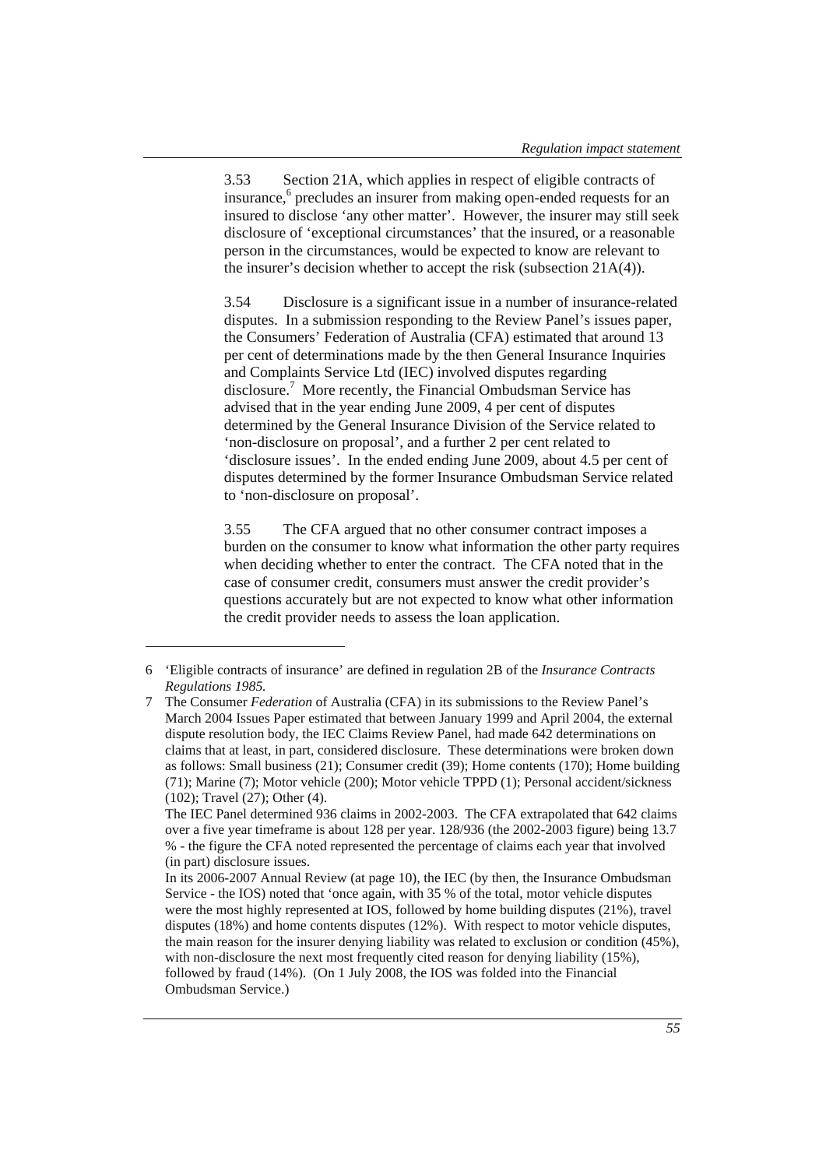3.53 Section 21A, which applies in respect of eligible contracts of insurance,<sup>6</sup> precludes an insurer from making open-ended requests for an insured to disclose 'any other matter'. However, the insurer may still seek disclosure of 'exceptional circumstances' that the insured, or a reasonable person in the circumstances, would be expected to know are relevant to the insurer's decision whether to accept the risk (subsection 21A(4)).

3.54 Disclosure is a significant issue in a number of insurance-related disputes. In a submission responding to the Review Panel's issues paper, the Consumers' Federation of Australia (CFA) estimated that around 13 per cent of determinations made by the then General Insurance Inquiries and Complaints Service Ltd (IEC) involved disputes regarding disclosure.<sup>7</sup> More recently, the Financial Ombudsman Service has advised that in the year ending June 2009, 4 per cent of disputes determined by the General Insurance Division of the Service related to 'non-disclosure on proposal', and a further 2 per cent related to 'disclosure issues'. In the ended ending June 2009, about 4.5 per cent of disputes determined by the former Insurance Ombudsman Service related to 'non-disclosure on proposal'.

3.55 The CFA argued that no other consumer contract imposes a burden on the consumer to know what information the other party requires when deciding whether to enter the contract. The CFA noted that in the case of consumer credit, consumers must answer the credit provider's questions accurately but are not expected to know what other information the credit provider needs to assess the loan application.

 $\overline{a}$ 

<sup>6 &#</sup>x27;Eligible contracts of insurance' are defined in regulation 2B of the *Insurance Contracts Regulations 1985.*

<sup>7</sup> The Consumer *Federation* of Australia (CFA) in its submissions to the Review Panel's March 2004 Issues Paper estimated that between January 1999 and April 2004, the external dispute resolution body, the IEC Claims Review Panel, had made 642 determinations on claims that at least, in part, considered disclosure. These determinations were broken down as follows: Small business (21); Consumer credit (39); Home contents (170); Home building (71); Marine (7); Motor vehicle (200); Motor vehicle TPPD (1); Personal accident/sickness (102); Travel (27); Other (4).

The IEC Panel determined 936 claims in 2002-2003. The CFA extrapolated that 642 claims over a five year timeframe is about 128 per year. 128/936 (the 2002-2003 figure) being 13.7 % - the figure the CFA noted represented the percentage of claims each year that involved (in part) disclosure issues.

In its 2006-2007 Annual Review (at page 10), the IEC (by then, the Insurance Ombudsman Service - the IOS) noted that 'once again, with 35 % of the total, motor vehicle disputes were the most highly represented at IOS, followed by home building disputes (21%), travel disputes (18%) and home contents disputes (12%). With respect to motor vehicle disputes, the main reason for the insurer denying liability was related to exclusion or condition (45%), with non-disclosure the next most frequently cited reason for denying liability (15%), followed by fraud (14%). (On 1 July 2008, the IOS was folded into the Financial Ombudsman Service.)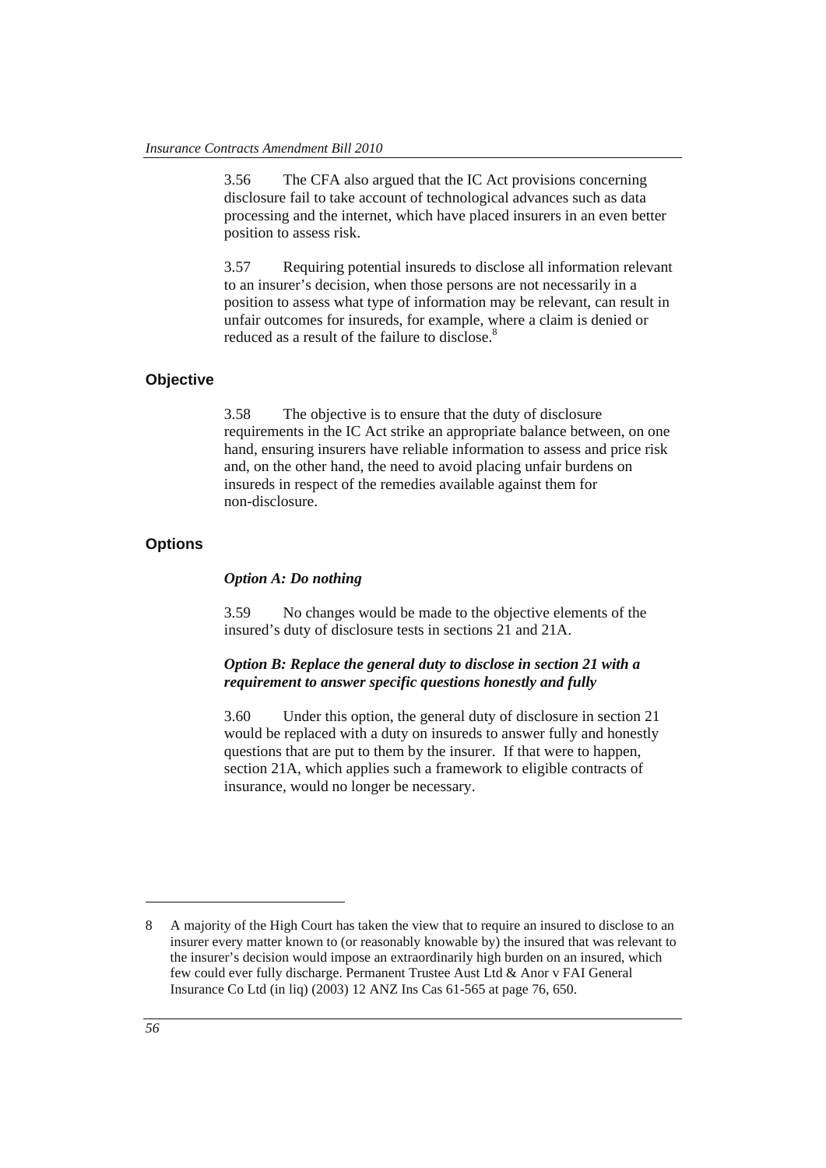3.56 The CFA also argued that the IC Act provisions concerning disclosure fail to take account of technological advances such as data processing and the internet, which have placed insurers in an even better position to assess risk.

3.57 Requiring potential insureds to disclose all information relevant to an insurer's decision, when those persons are not necessarily in a position to assess what type of information may be relevant, can result in unfair outcomes for insureds, for example, where a claim is denied or reduced as a result of the failure to disclose.<sup>8</sup>

#### **Objective**

3.58 The objective is to ensure that the duty of disclosure requirements in the IC Act strike an appropriate balance between, on one hand, ensuring insurers have reliable information to assess and price risk and, on the other hand, the need to avoid placing unfair burdens on insureds in respect of the remedies available against them for non-disclosure.

# **Options**

### *Option A: Do nothing*

3.59 No changes would be made to the objective elements of the insured's duty of disclosure tests in sections 21 and 21A.

#### *Option B: Replace the general duty to disclose in section 21 with a requirement to answer specific questions honestly and fully*

3.60 Under this option, the general duty of disclosure in section 21 would be replaced with a duty on insureds to answer fully and honestly questions that are put to them by the insurer. If that were to happen, section 21A, which applies such a framework to eligible contracts of insurance, would no longer be necessary.

1

<sup>8</sup> A majority of the High Court has taken the view that to require an insured to disclose to an insurer every matter known to (or reasonably knowable by) the insured that was relevant to the insurer's decision would impose an extraordinarily high burden on an insured, which few could ever fully discharge. Permanent Trustee Aust Ltd & Anor v FAI General Insurance Co Ltd (in liq) (2003) 12 ANZ Ins Cas 61-565 at page 76, 650.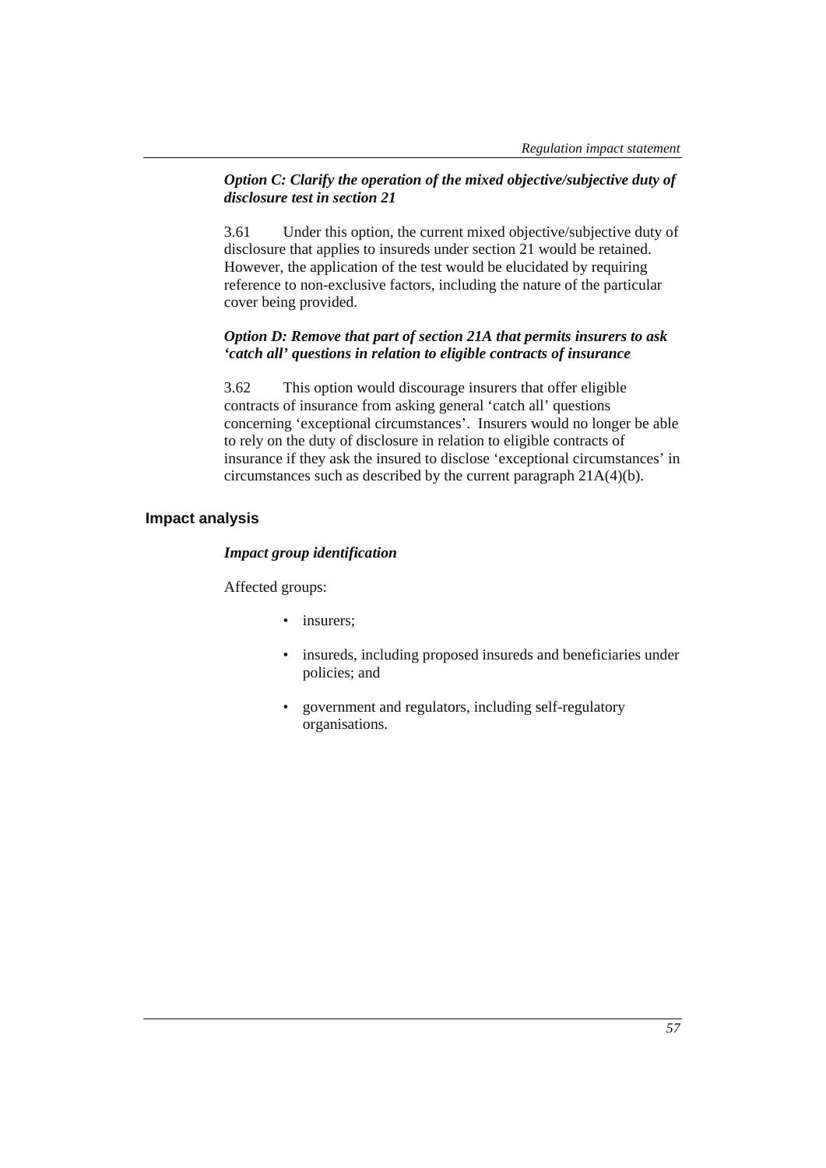### *Option C: Clarify the operation of the mixed objective/subjective duty of disclosure test in section 21*

3.61 Under this option, the current mixed objective/subjective duty of disclosure that applies to insureds under section 21 would be retained. However, the application of the test would be elucidated by requiring reference to non-exclusive factors, including the nature of the particular cover being provided.

# *Option D: Remove that part of section 21A that permits insurers to ask 'catch all' questions in relation to eligible contracts of insurance*

3.62 This option would discourage insurers that offer eligible contracts of insurance from asking general 'catch all' questions concerning 'exceptional circumstances'. Insurers would no longer be able to rely on the duty of disclosure in relation to eligible contracts of insurance if they ask the insured to disclose 'exceptional circumstances' in circumstances such as described by the current paragraph 21A(4)(b).

# **Impact analysis**

#### *Impact group identification*

Affected groups:

- insurers;
- insureds, including proposed insureds and beneficiaries under policies; and
- government and regulators, including self-regulatory organisations.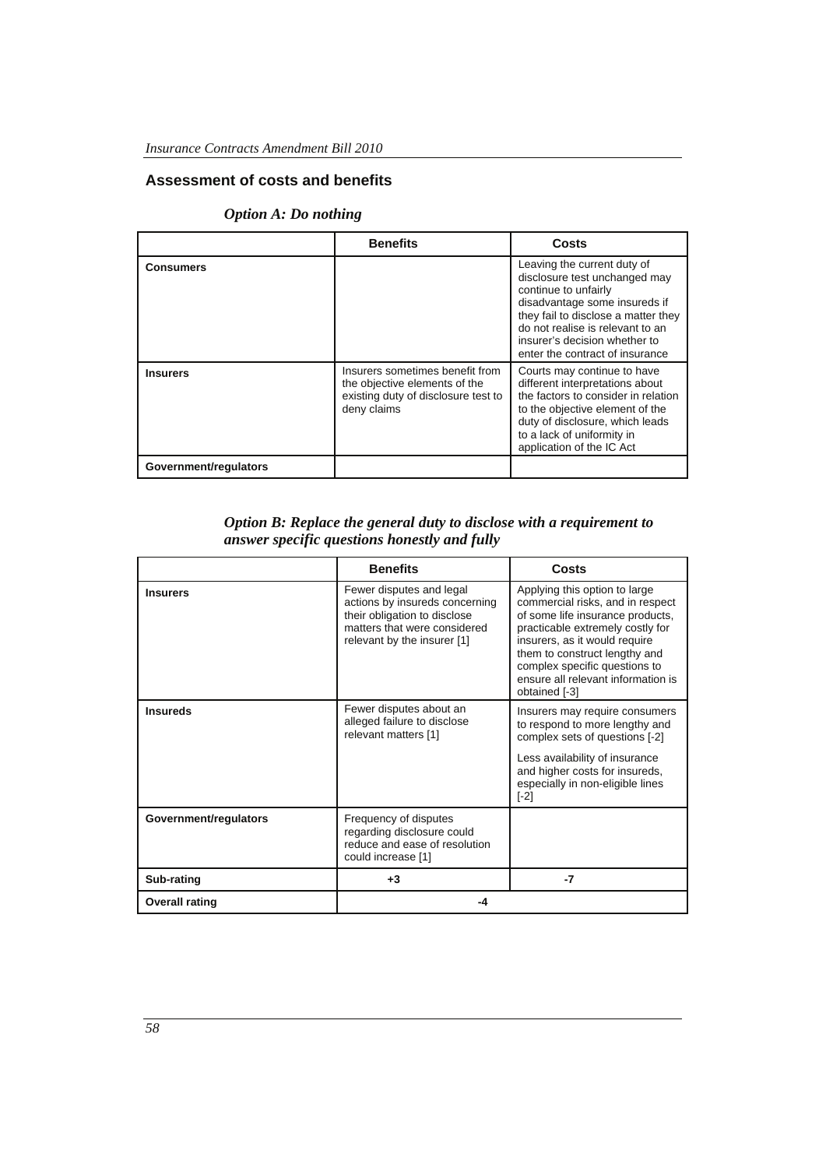# **Assessment of costs and benefits**

# *Option A: Do nothing*

|                       | <b>Benefits</b>                                                                                                        | Costs                                                                                                                                                                                                                                                                |
|-----------------------|------------------------------------------------------------------------------------------------------------------------|----------------------------------------------------------------------------------------------------------------------------------------------------------------------------------------------------------------------------------------------------------------------|
| <b>Consumers</b>      |                                                                                                                        | Leaving the current duty of<br>disclosure test unchanged may<br>continue to unfairly<br>disadvantage some insureds if<br>they fail to disclose a matter they<br>do not realise is relevant to an<br>insurer's decision whether to<br>enter the contract of insurance |
| <b>Insurers</b>       | Insurers sometimes benefit from<br>the objective elements of the<br>existing duty of disclosure test to<br>deny claims | Courts may continue to have<br>different interpretations about<br>the factors to consider in relation<br>to the objective element of the<br>duty of disclosure, which leads<br>to a lack of uniformity in<br>application of the IC Act                               |
| Government/regulators |                                                                                                                        |                                                                                                                                                                                                                                                                      |

# *Option B: Replace the general duty to disclose with a requirement to answer specific questions honestly and fully*

|                       | <b>Benefits</b>                                                                                                                                           | Costs                                                                                                                                                                                                                                                                                               |
|-----------------------|-----------------------------------------------------------------------------------------------------------------------------------------------------------|-----------------------------------------------------------------------------------------------------------------------------------------------------------------------------------------------------------------------------------------------------------------------------------------------------|
| <b>Insurers</b>       | Fewer disputes and legal<br>actions by insureds concerning<br>their obligation to disclose<br>matters that were considered<br>relevant by the insurer [1] | Applying this option to large<br>commercial risks, and in respect<br>of some life insurance products,<br>practicable extremely costly for<br>insurers, as it would require<br>them to construct lengthy and<br>complex specific questions to<br>ensure all relevant information is<br>obtained [-3] |
| <b>Insureds</b>       | Fewer disputes about an<br>alleged failure to disclose<br>relevant matters [1]                                                                            | Insurers may require consumers<br>to respond to more lengthy and<br>complex sets of questions [-2]<br>Less availability of insurance<br>and higher costs for insureds,<br>especially in non-eligible lines<br>$\lceil -2 \rceil$                                                                    |
| Government/regulators | Frequency of disputes<br>regarding disclosure could<br>reduce and ease of resolution<br>could increase [1]                                                |                                                                                                                                                                                                                                                                                                     |
| Sub-rating            | $+3$                                                                                                                                                      | -7                                                                                                                                                                                                                                                                                                  |
| <b>Overall rating</b> | -4                                                                                                                                                        |                                                                                                                                                                                                                                                                                                     |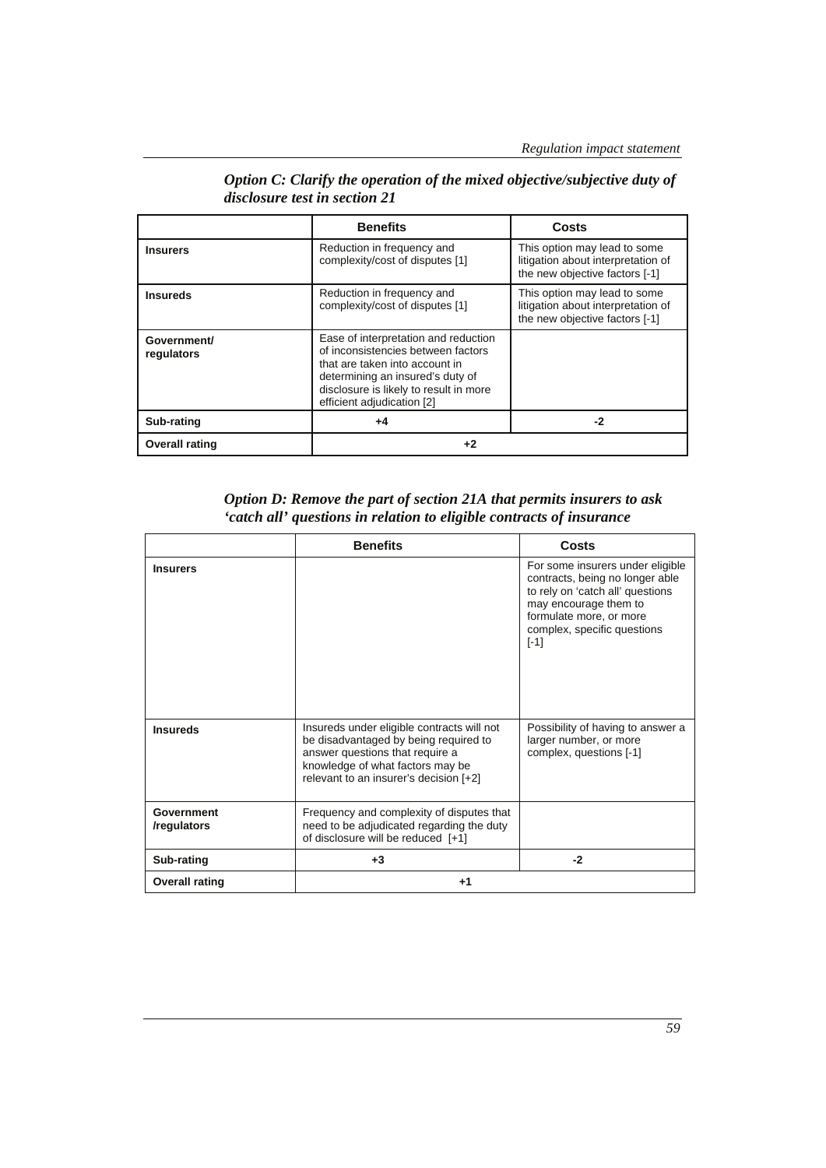|                           | <b>Benefits</b>                                                                                                                                                                                                          | Costs                                                                                                |
|---------------------------|--------------------------------------------------------------------------------------------------------------------------------------------------------------------------------------------------------------------------|------------------------------------------------------------------------------------------------------|
| <b>Insurers</b>           | Reduction in frequency and<br>complexity/cost of disputes [1]                                                                                                                                                            | This option may lead to some<br>litigation about interpretation of<br>the new objective factors [-1] |
| <b>Insureds</b>           | Reduction in frequency and<br>complexity/cost of disputes [1]                                                                                                                                                            | This option may lead to some<br>litigation about interpretation of<br>the new objective factors [-1] |
| Government/<br>regulators | Ease of interpretation and reduction<br>of inconsistencies between factors<br>that are taken into account in<br>determining an insured's duty of<br>disclosure is likely to result in more<br>efficient adjudication [2] |                                                                                                      |
| Sub-rating                | $+4$                                                                                                                                                                                                                     | -2                                                                                                   |
| <b>Overall rating</b>     | +2                                                                                                                                                                                                                       |                                                                                                      |

*Option C: Clarify the operation of the mixed objective/subjective duty of disclosure test in section 21* 

| Option D: Remove the part of section 21A that permits insurers to ask |
|-----------------------------------------------------------------------|
| 'catch all' questions in relation to eligible contracts of insurance  |

|                           | <b>Benefits</b>                                                                                                                                                                                      | Costs                                                                                                                                                                                                |
|---------------------------|------------------------------------------------------------------------------------------------------------------------------------------------------------------------------------------------------|------------------------------------------------------------------------------------------------------------------------------------------------------------------------------------------------------|
| <b>Insurers</b>           |                                                                                                                                                                                                      | For some insurers under eligible<br>contracts, being no longer able<br>to rely on 'catch all' questions<br>may encourage them to<br>formulate more, or more<br>complex, specific questions<br>$[-1]$ |
| <b>Insureds</b>           | Insureds under eligible contracts will not<br>be disadvantaged by being required to<br>answer questions that require a<br>knowledge of what factors may be<br>relevant to an insurer's decision [+2] | Possibility of having to answer a<br>larger number, or more<br>complex, questions [-1]                                                                                                               |
| Government<br>/regulators | Frequency and complexity of disputes that<br>need to be adjudicated regarding the duty<br>of disclosure will be reduced [+1]                                                                         |                                                                                                                                                                                                      |
| Sub-rating                | $+3$                                                                                                                                                                                                 | $-2$                                                                                                                                                                                                 |
| <b>Overall rating</b>     | $+1$                                                                                                                                                                                                 |                                                                                                                                                                                                      |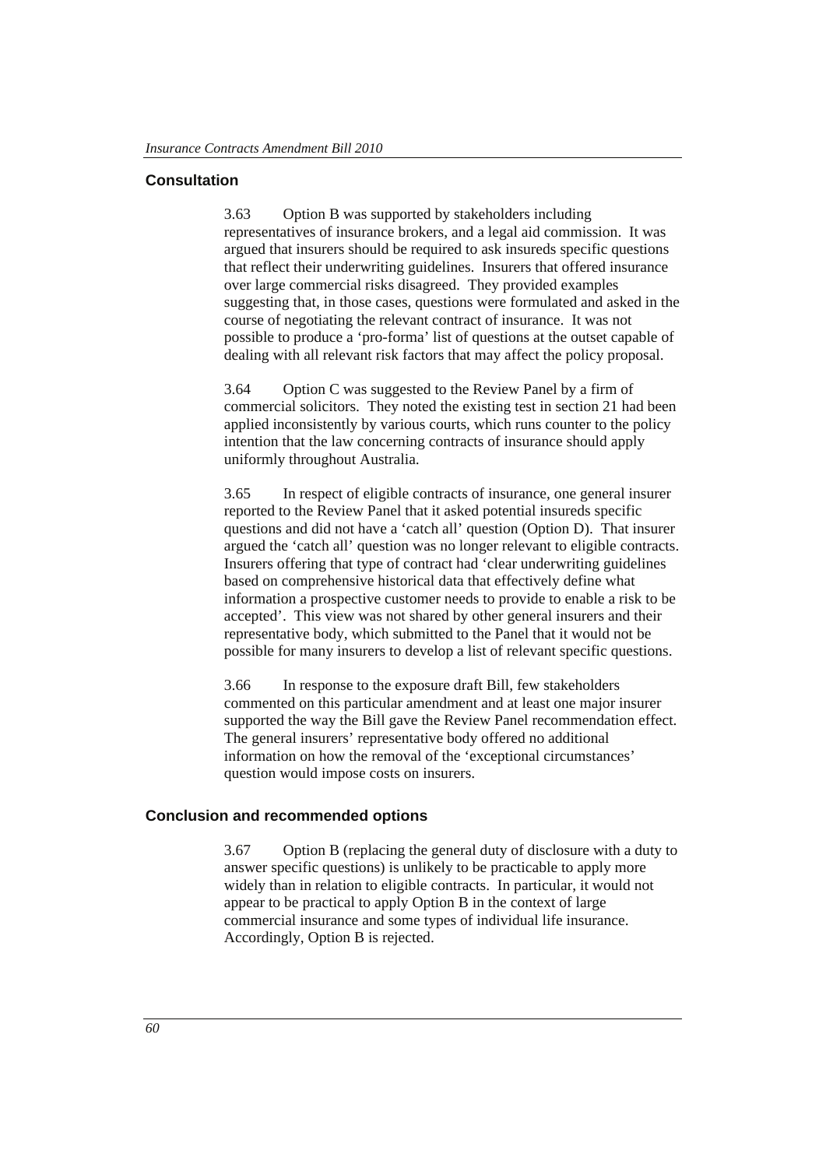### **Consultation**

3.63 Option B was supported by stakeholders including representatives of insurance brokers, and a legal aid commission. It was argued that insurers should be required to ask insureds specific questions that reflect their underwriting guidelines. Insurers that offered insurance over large commercial risks disagreed. They provided examples suggesting that, in those cases, questions were formulated and asked in the course of negotiating the relevant contract of insurance. It was not possible to produce a 'pro-forma' list of questions at the outset capable of dealing with all relevant risk factors that may affect the policy proposal.

3.64 Option C was suggested to the Review Panel by a firm of commercial solicitors. They noted the existing test in section 21 had been applied inconsistently by various courts, which runs counter to the policy intention that the law concerning contracts of insurance should apply uniformly throughout Australia.

3.65 In respect of eligible contracts of insurance, one general insurer reported to the Review Panel that it asked potential insureds specific questions and did not have a 'catch all' question (Option D). That insurer argued the 'catch all' question was no longer relevant to eligible contracts. Insurers offering that type of contract had 'clear underwriting guidelines based on comprehensive historical data that effectively define what information a prospective customer needs to provide to enable a risk to be accepted'. This view was not shared by other general insurers and their representative body, which submitted to the Panel that it would not be possible for many insurers to develop a list of relevant specific questions.

3.66 In response to the exposure draft Bill, few stakeholders commented on this particular amendment and at least one major insurer supported the way the Bill gave the Review Panel recommendation effect. The general insurers' representative body offered no additional information on how the removal of the 'exceptional circumstances' question would impose costs on insurers.

### **Conclusion and recommended options**

3.67 Option B (replacing the general duty of disclosure with a duty to answer specific questions) is unlikely to be practicable to apply more widely than in relation to eligible contracts. In particular, it would not appear to be practical to apply Option B in the context of large commercial insurance and some types of individual life insurance. Accordingly, Option B is rejected.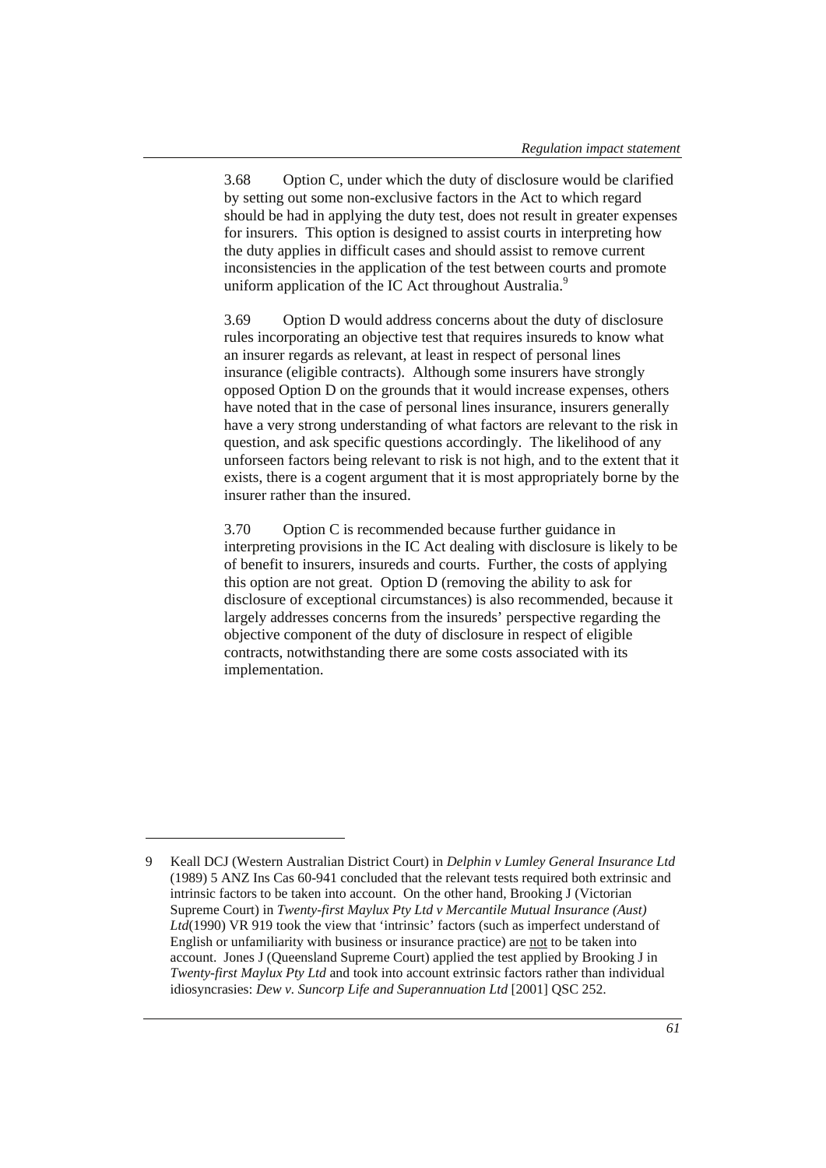3.68 Option C, under which the duty of disclosure would be clarified by setting out some non-exclusive factors in the Act to which regard should be had in applying the duty test, does not result in greater expenses for insurers. This option is designed to assist courts in interpreting how the duty applies in difficult cases and should assist to remove current inconsistencies in the application of the test between courts and promote uniform application of the IC Act throughout Australia.<sup>9</sup>

3.69 Option D would address concerns about the duty of disclosure rules incorporating an objective test that requires insureds to know what an insurer regards as relevant, at least in respect of personal lines insurance (eligible contracts). Although some insurers have strongly opposed Option D on the grounds that it would increase expenses, others have noted that in the case of personal lines insurance, insurers generally have a very strong understanding of what factors are relevant to the risk in question, and ask specific questions accordingly. The likelihood of any unforseen factors being relevant to risk is not high, and to the extent that it exists, there is a cogent argument that it is most appropriately borne by the insurer rather than the insured.

3.70 Option C is recommended because further guidance in interpreting provisions in the IC Act dealing with disclosure is likely to be of benefit to insurers, insureds and courts. Further, the costs of applying this option are not great. Option D (removing the ability to ask for disclosure of exceptional circumstances) is also recommended, because it largely addresses concerns from the insureds' perspective regarding the objective component of the duty of disclosure in respect of eligible contracts, notwithstanding there are some costs associated with its implementation.

 $\overline{a}$ 

<sup>9</sup> Keall DCJ (Western Australian District Court) in *Delphin v Lumley General Insurance Ltd*  (1989) 5 ANZ Ins Cas 60-941 concluded that the relevant tests required both extrinsic and intrinsic factors to be taken into account. On the other hand, Brooking J (Victorian Supreme Court) in *Twenty-first Maylux Pty Ltd v Mercantile Mutual Insurance (Aust) Ltd*(1990) VR 919 took the view that 'intrinsic' factors (such as imperfect understand of English or unfamiliarity with business or insurance practice) are not to be taken into account. Jones J (Queensland Supreme Court) applied the test applied by Brooking J in *Twenty-first Maylux Pty Ltd* and took into account extrinsic factors rather than individual idiosyncrasies: *Dew v. Suncorp Life and Superannuation Ltd* [2001] QSC 252.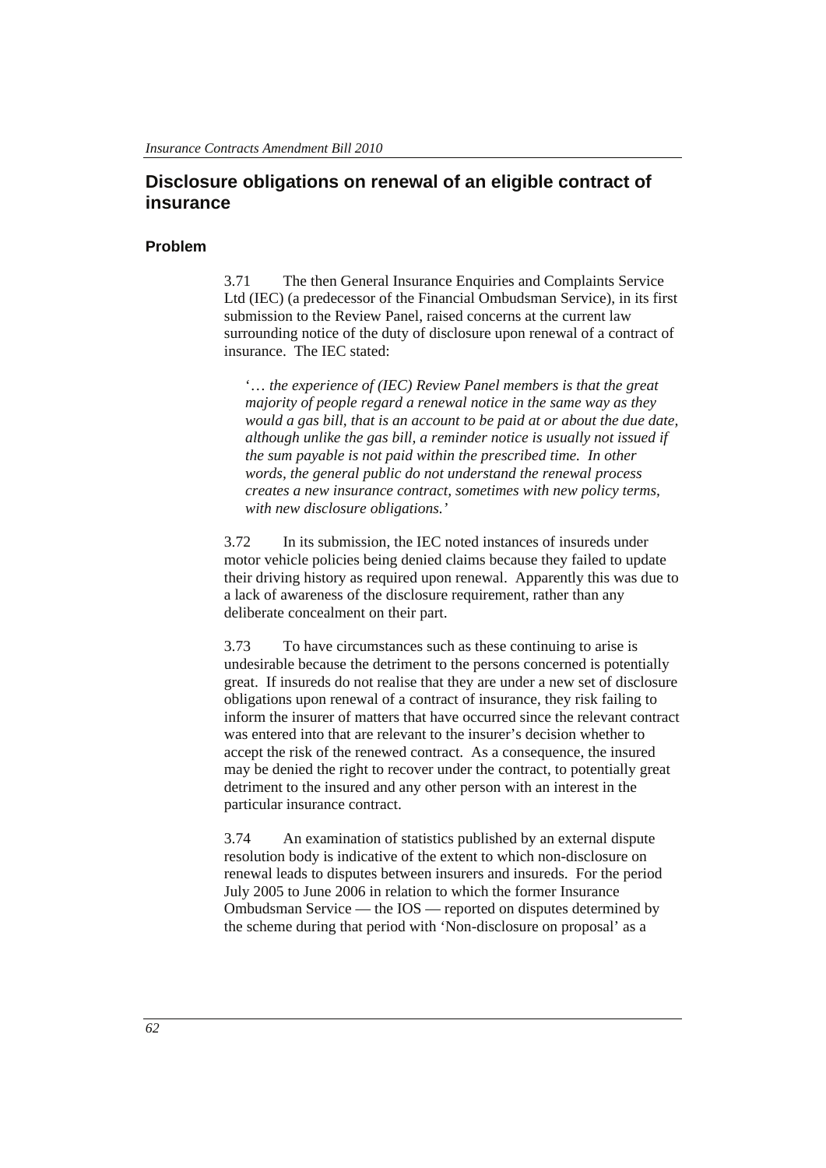# **Disclosure obligations on renewal of an eligible contract of insurance**

#### **Problem**

3.71 The then General Insurance Enquiries and Complaints Service Ltd (IEC) (a predecessor of the Financial Ombudsman Service), in its first submission to the Review Panel, raised concerns at the current law surrounding notice of the duty of disclosure upon renewal of a contract of insurance. The IEC stated:

'… *the experience of (IEC) Review Panel members is that the great majority of people regard a renewal notice in the same way as they would a gas bill, that is an account to be paid at or about the due date, although unlike the gas bill, a reminder notice is usually not issued if the sum payable is not paid within the prescribed time. In other words, the general public do not understand the renewal process creates a new insurance contract, sometimes with new policy terms, with new disclosure obligations.'* 

3.72 In its submission, the IEC noted instances of insureds under motor vehicle policies being denied claims because they failed to update their driving history as required upon renewal. Apparently this was due to a lack of awareness of the disclosure requirement, rather than any deliberate concealment on their part.

3.73 To have circumstances such as these continuing to arise is undesirable because the detriment to the persons concerned is potentially great. If insureds do not realise that they are under a new set of disclosure obligations upon renewal of a contract of insurance, they risk failing to inform the insurer of matters that have occurred since the relevant contract was entered into that are relevant to the insurer's decision whether to accept the risk of the renewed contract. As a consequence, the insured may be denied the right to recover under the contract, to potentially great detriment to the insured and any other person with an interest in the particular insurance contract.

3.74 An examination of statistics published by an external dispute resolution body is indicative of the extent to which non-disclosure on renewal leads to disputes between insurers and insureds. For the period July 2005 to June 2006 in relation to which the former Insurance Ombudsman Service — the IOS — reported on disputes determined by the scheme during that period with 'Non-disclosure on proposal' as a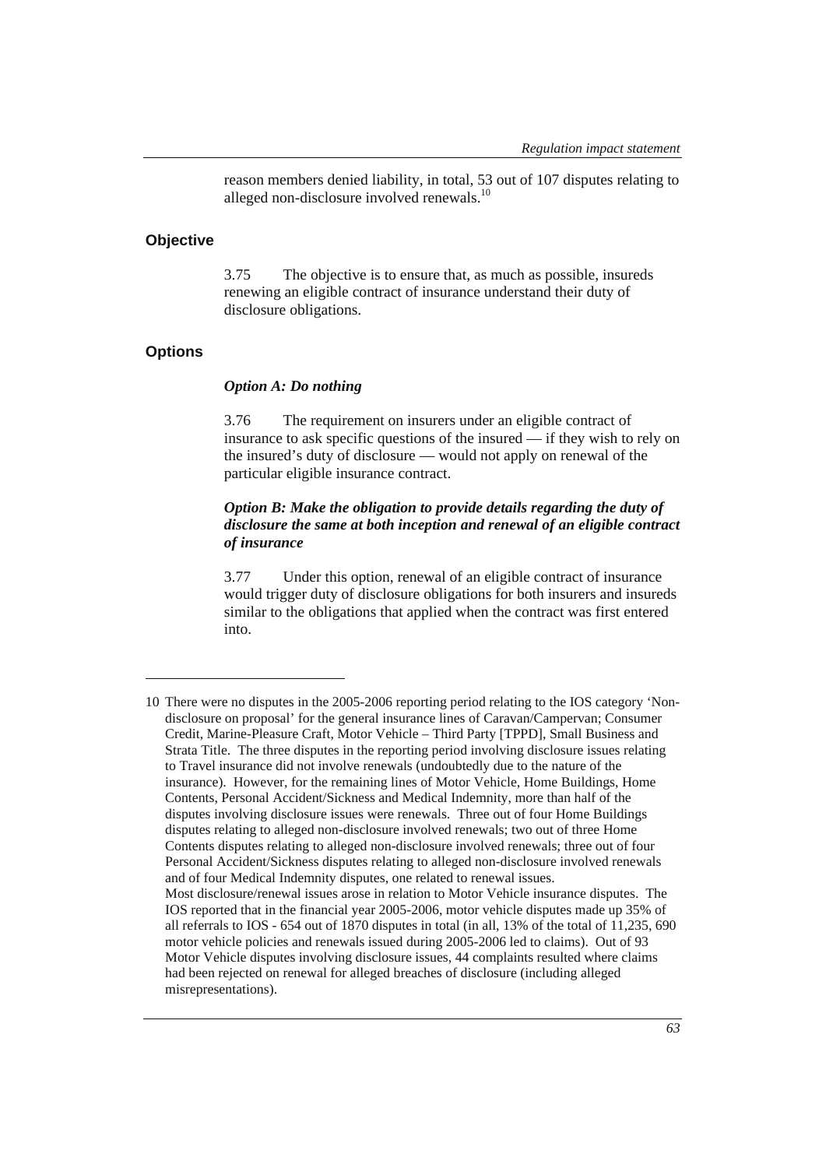reason members denied liability, in total, 53 out of 107 disputes relating to alleged non-disclosure involved renewals.<sup>10</sup>

#### **Objective**

3.75 The objective is to ensure that, as much as possible, insureds renewing an eligible contract of insurance understand their duty of disclosure obligations.

# **Options**

 $\overline{a}$ 

#### *Option A: Do nothing*

3.76 The requirement on insurers under an eligible contract of insurance to ask specific questions of the insured — if they wish to rely on the insured's duty of disclosure — would not apply on renewal of the particular eligible insurance contract.

### *Option B: Make the obligation to provide details regarding the duty of disclosure the same at both inception and renewal of an eligible contract of insurance*

3.77 Under this option, renewal of an eligible contract of insurance would trigger duty of disclosure obligations for both insurers and insureds similar to the obligations that applied when the contract was first entered into.

<sup>10</sup> There were no disputes in the 2005-2006 reporting period relating to the IOS category 'Nondisclosure on proposal' for the general insurance lines of Caravan/Campervan; Consumer Credit, Marine-Pleasure Craft, Motor Vehicle – Third Party [TPPD], Small Business and Strata Title. The three disputes in the reporting period involving disclosure issues relating to Travel insurance did not involve renewals (undoubtedly due to the nature of the insurance). However, for the remaining lines of Motor Vehicle, Home Buildings, Home Contents, Personal Accident/Sickness and Medical Indemnity, more than half of the disputes involving disclosure issues were renewals. Three out of four Home Buildings disputes relating to alleged non-disclosure involved renewals; two out of three Home Contents disputes relating to alleged non-disclosure involved renewals; three out of four Personal Accident/Sickness disputes relating to alleged non-disclosure involved renewals and of four Medical Indemnity disputes, one related to renewal issues. Most disclosure/renewal issues arose in relation to Motor Vehicle insurance disputes. The IOS reported that in the financial year 2005-2006, motor vehicle disputes made up 35% of all referrals to IOS - 654 out of 1870 disputes in total (in all, 13% of the total of 11,235, 690 motor vehicle policies and renewals issued during 2005-2006 led to claims). Out of 93 Motor Vehicle disputes involving disclosure issues, 44 complaints resulted where claims had been rejected on renewal for alleged breaches of disclosure (including alleged misrepresentations).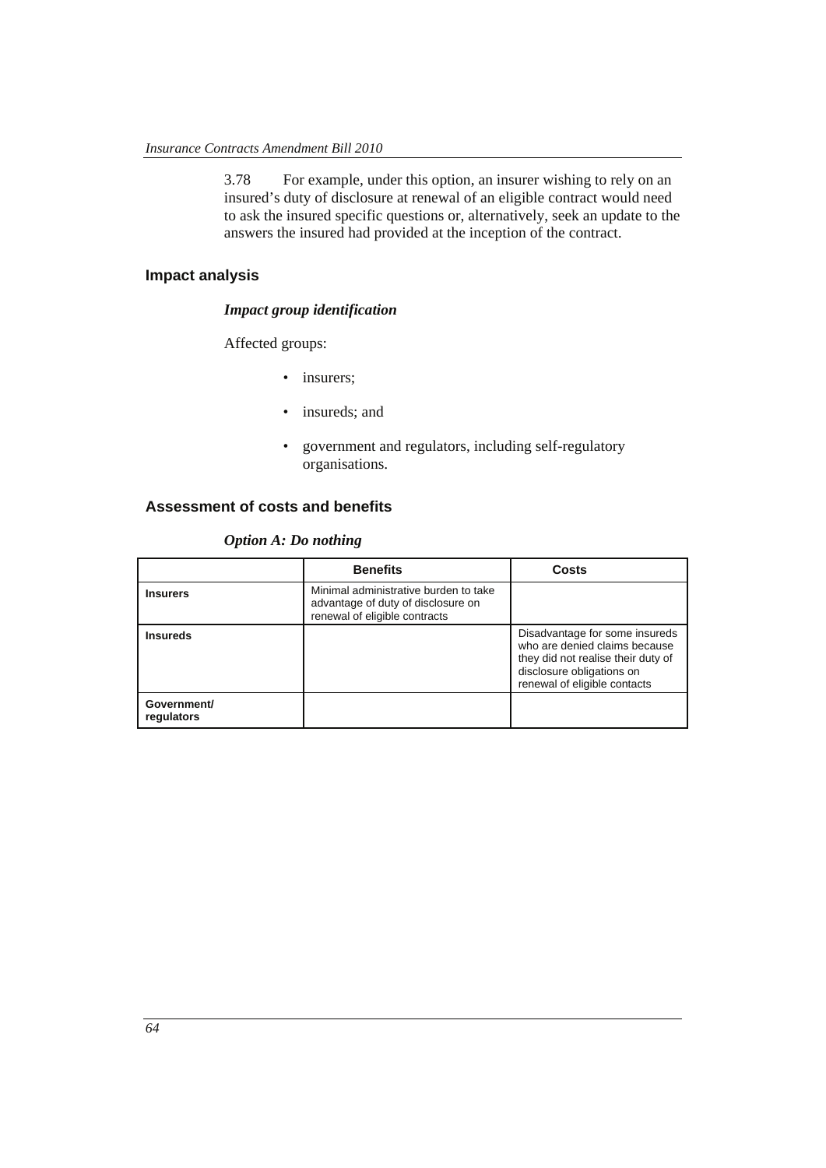3.78 For example, under this option, an insurer wishing to rely on an insured's duty of disclosure at renewal of an eligible contract would need to ask the insured specific questions or, alternatively, seek an update to the answers the insured had provided at the inception of the contract.

# **Impact analysis**

#### *Impact group identification*

Affected groups:

- insurers;
- insureds; and
- government and regulators, including self-regulatory organisations.

### **Assessment of costs and benefits**

*Option A: Do nothing* 

|                           | <b>Benefits</b>                                                                                              | Costs                                                                                                                                                              |
|---------------------------|--------------------------------------------------------------------------------------------------------------|--------------------------------------------------------------------------------------------------------------------------------------------------------------------|
| <b>Insurers</b>           | Minimal administrative burden to take<br>advantage of duty of disclosure on<br>renewal of eligible contracts |                                                                                                                                                                    |
| <b>Insureds</b>           |                                                                                                              | Disadvantage for some insureds<br>who are denied claims because<br>they did not realise their duty of<br>disclosure obligations on<br>renewal of eligible contacts |
| Government/<br>regulators |                                                                                                              |                                                                                                                                                                    |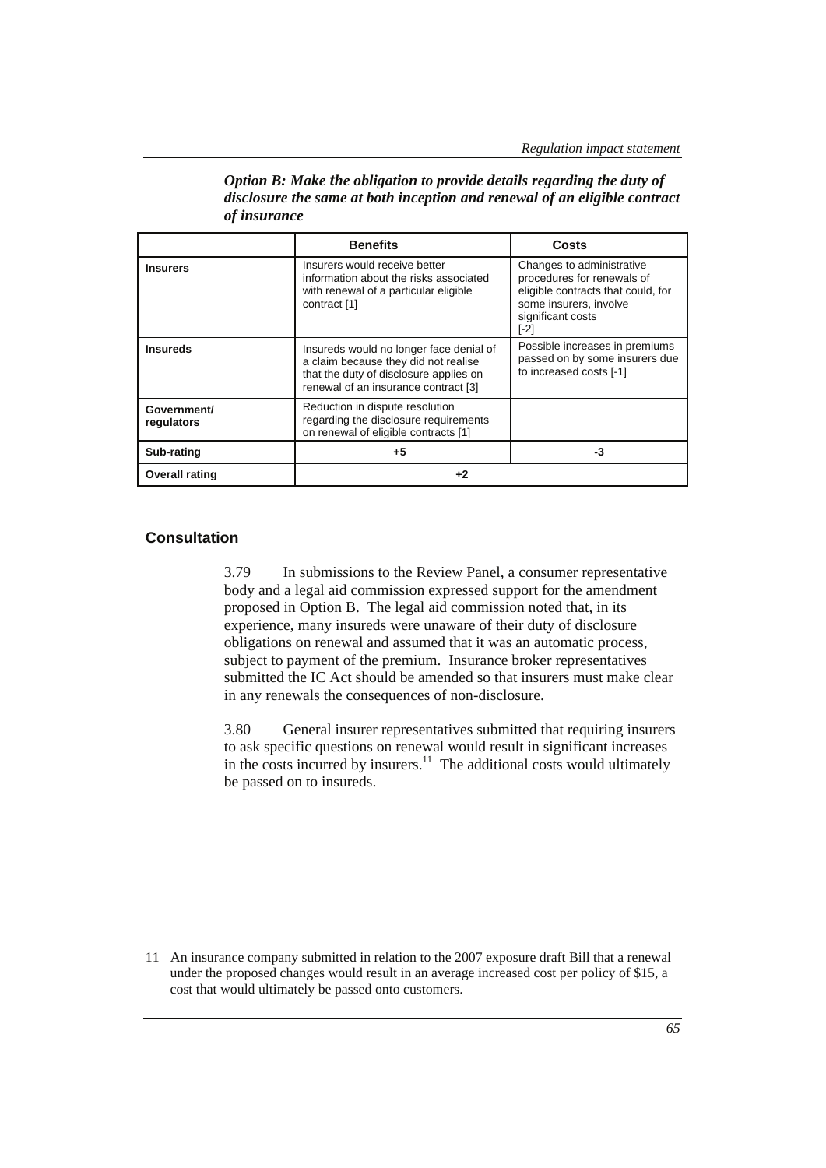|                           | <b>Benefits</b>                                                                                                                                                   | Costs                                                                                                                                                  |
|---------------------------|-------------------------------------------------------------------------------------------------------------------------------------------------------------------|--------------------------------------------------------------------------------------------------------------------------------------------------------|
| <b>Insurers</b>           | Insurers would receive better<br>information about the risks associated<br>with renewal of a particular eligible<br>contract [1]                                  | Changes to administrative<br>procedures for renewals of<br>eligible contracts that could, for<br>some insurers, involve<br>significant costs<br>$[-2]$ |
| <b>Insureds</b>           | Insureds would no longer face denial of<br>a claim because they did not realise<br>that the duty of disclosure applies on<br>renewal of an insurance contract [3] | Possible increases in premiums<br>passed on by some insurers due<br>to increased costs [-1]                                                            |
| Government/<br>regulators | Reduction in dispute resolution<br>regarding the disclosure requirements<br>on renewal of eligible contracts [1]                                                  |                                                                                                                                                        |
| Sub-rating                | +5                                                                                                                                                                | -3                                                                                                                                                     |
| <b>Overall rating</b>     | +2                                                                                                                                                                |                                                                                                                                                        |

*Option B: Make the obligation to provide details regarding the duty of disclosure the same at both inception and renewal of an eligible contract of insurance* 

#### **Consultation**

 $\overline{a}$ 

3.79 In submissions to the Review Panel, a consumer representative body and a legal aid commission expressed support for the amendment proposed in Option B. The legal aid commission noted that, in its experience, many insureds were unaware of their duty of disclosure obligations on renewal and assumed that it was an automatic process, subject to payment of the premium. Insurance broker representatives submitted the IC Act should be amended so that insurers must make clear in any renewals the consequences of non-disclosure.

3.80 General insurer representatives submitted that requiring insurers to ask specific questions on renewal would result in significant increases in the costs incurred by insurers.<sup>11</sup> The additional costs would ultimately be passed on to insureds.

<sup>11</sup> An insurance company submitted in relation to the 2007 exposure draft Bill that a renewal under the proposed changes would result in an average increased cost per policy of \$15, a cost that would ultimately be passed onto customers.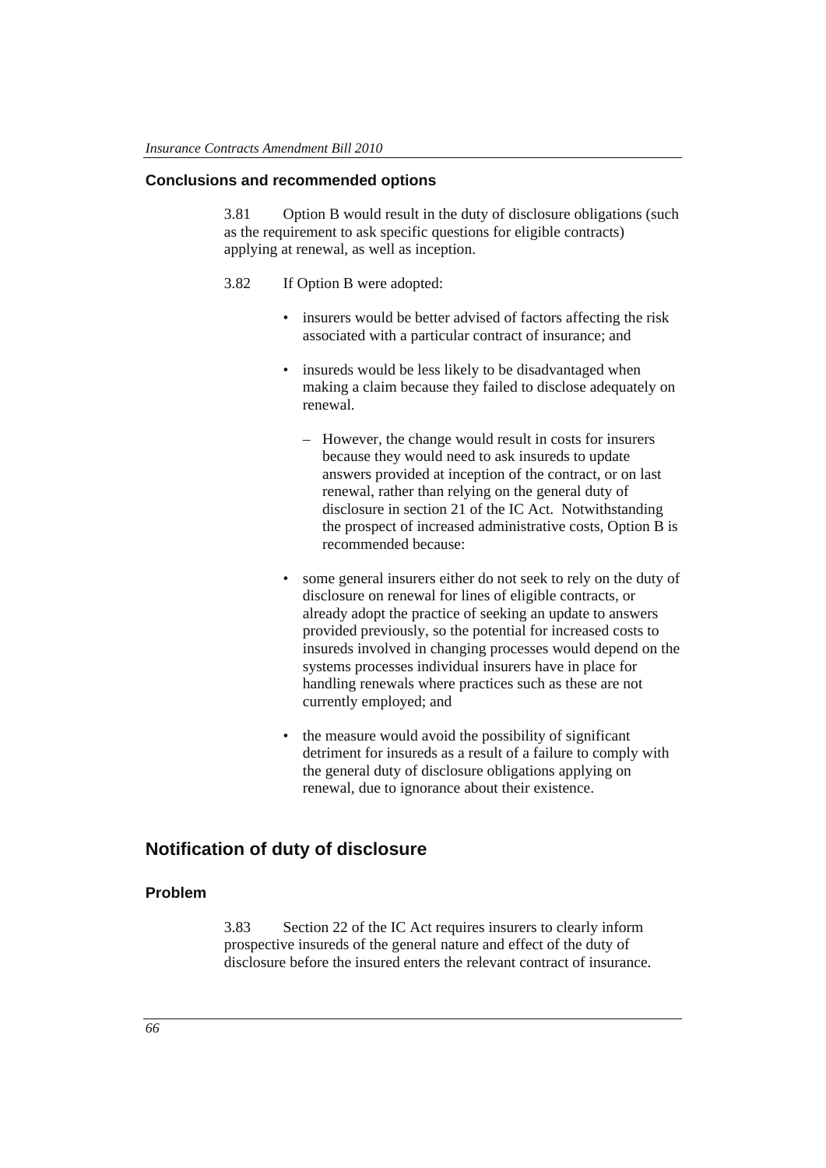### **Conclusions and recommended options**

3.81 Option B would result in the duty of disclosure obligations (such as the requirement to ask specific questions for eligible contracts) applying at renewal, as well as inception.

- 3.82 If Option B were adopted:
	- insurers would be better advised of factors affecting the risk associated with a particular contract of insurance; and
	- insureds would be less likely to be disadvantaged when making a claim because they failed to disclose adequately on renewal.
		- However, the change would result in costs for insurers because they would need to ask insureds to update answers provided at inception of the contract, or on last renewal, rather than relying on the general duty of disclosure in section 21 of the IC Act. Notwithstanding the prospect of increased administrative costs, Option B is recommended because:
	- some general insurers either do not seek to rely on the duty of disclosure on renewal for lines of eligible contracts, or already adopt the practice of seeking an update to answers provided previously, so the potential for increased costs to insureds involved in changing processes would depend on the systems processes individual insurers have in place for handling renewals where practices such as these are not currently employed; and
	- the measure would avoid the possibility of significant detriment for insureds as a result of a failure to comply with the general duty of disclosure obligations applying on renewal, due to ignorance about their existence.

# **Notification of duty of disclosure**

### **Problem**

3.83 Section 22 of the IC Act requires insurers to clearly inform prospective insureds of the general nature and effect of the duty of disclosure before the insured enters the relevant contract of insurance.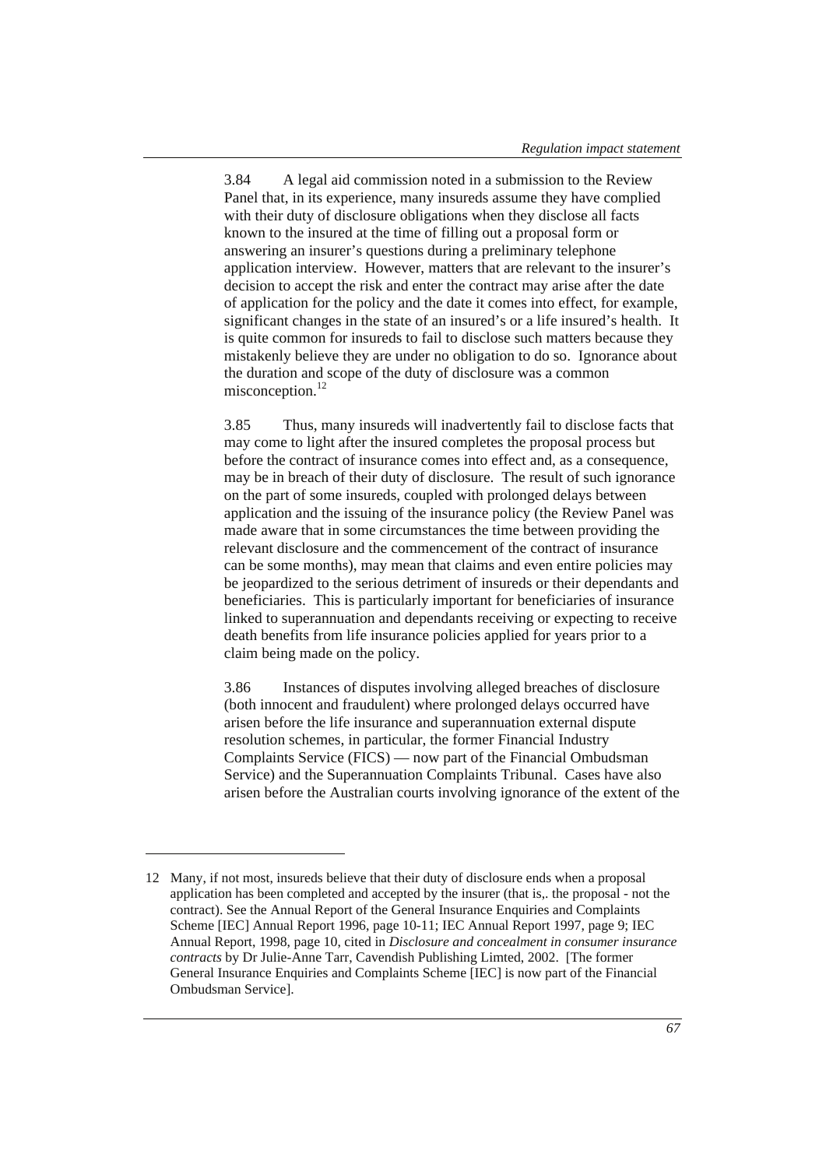3.84 A legal aid commission noted in a submission to the Review Panel that, in its experience, many insureds assume they have complied with their duty of disclosure obligations when they disclose all facts known to the insured at the time of filling out a proposal form or answering an insurer's questions during a preliminary telephone application interview. However, matters that are relevant to the insurer's decision to accept the risk and enter the contract may arise after the date of application for the policy and the date it comes into effect, for example, significant changes in the state of an insured's or a life insured's health. It is quite common for insureds to fail to disclose such matters because they mistakenly believe they are under no obligation to do so. Ignorance about the duration and scope of the duty of disclosure was a common misconception.<sup>12</sup>

3.85 Thus, many insureds will inadvertently fail to disclose facts that may come to light after the insured completes the proposal process but before the contract of insurance comes into effect and, as a consequence, may be in breach of their duty of disclosure. The result of such ignorance on the part of some insureds, coupled with prolonged delays between application and the issuing of the insurance policy (the Review Panel was made aware that in some circumstances the time between providing the relevant disclosure and the commencement of the contract of insurance can be some months), may mean that claims and even entire policies may be jeopardized to the serious detriment of insureds or their dependants and beneficiaries. This is particularly important for beneficiaries of insurance linked to superannuation and dependants receiving or expecting to receive death benefits from life insurance policies applied for years prior to a claim being made on the policy.

3.86 Instances of disputes involving alleged breaches of disclosure (both innocent and fraudulent) where prolonged delays occurred have arisen before the life insurance and superannuation external dispute resolution schemes, in particular, the former Financial Industry Complaints Service (FICS) — now part of the Financial Ombudsman Service) and the Superannuation Complaints Tribunal. Cases have also arisen before the Australian courts involving ignorance of the extent of the

 $\overline{a}$ 

<sup>12</sup> Many, if not most, insureds believe that their duty of disclosure ends when a proposal application has been completed and accepted by the insurer (that is,. the proposal - not the contract). See the Annual Report of the General Insurance Enquiries and Complaints Scheme [IEC] Annual Report 1996, page 10-11; IEC Annual Report 1997, page 9; IEC Annual Report, 1998, page 10, cited in *Disclosure and concealment in consumer insurance contracts* by Dr Julie-Anne Tarr, Cavendish Publishing Limted, 2002. [The former General Insurance Enquiries and Complaints Scheme [IEC] is now part of the Financial Ombudsman Service].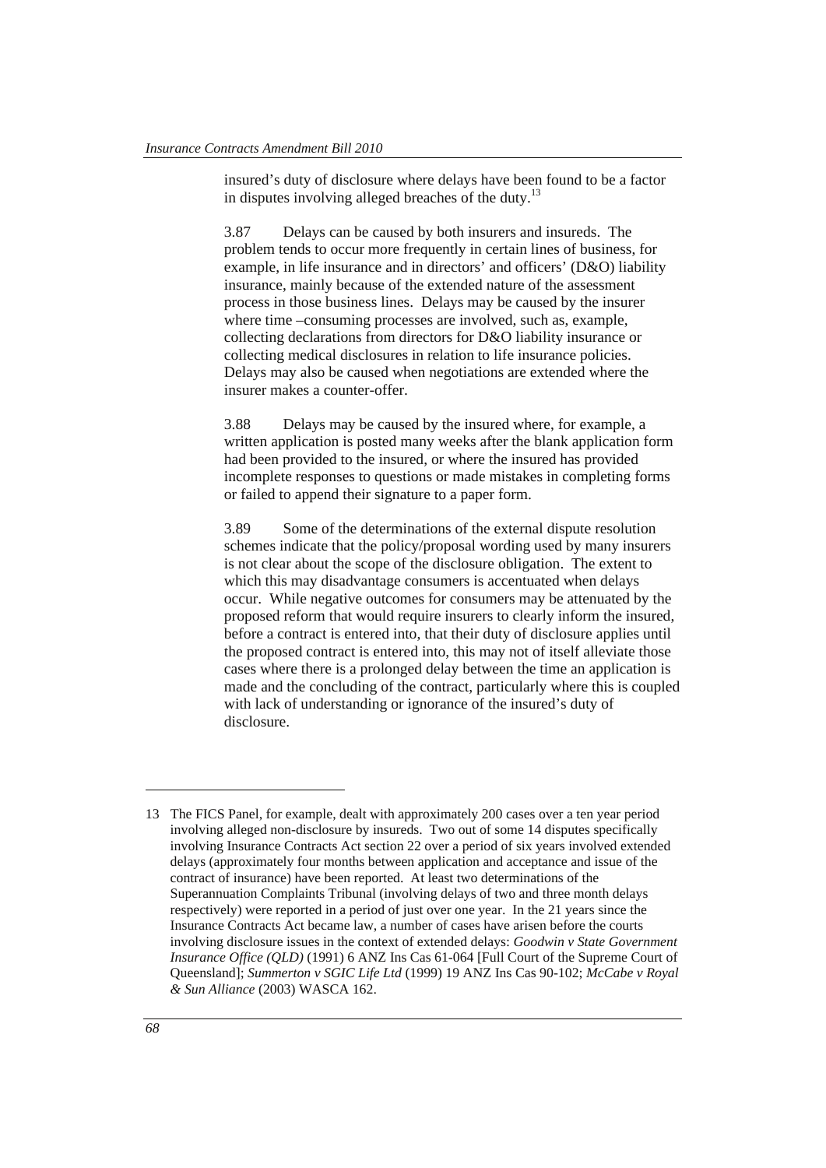insured's duty of disclosure where delays have been found to be a factor in disputes involving alleged breaches of the duty.<sup>13</sup>

3.87 Delays can be caused by both insurers and insureds. The problem tends to occur more frequently in certain lines of business, for example, in life insurance and in directors' and officers' (D&O) liability insurance, mainly because of the extended nature of the assessment process in those business lines. Delays may be caused by the insurer where time –consuming processes are involved, such as, example, collecting declarations from directors for D&O liability insurance or collecting medical disclosures in relation to life insurance policies. Delays may also be caused when negotiations are extended where the insurer makes a counter-offer.

3.88 Delays may be caused by the insured where, for example, a written application is posted many weeks after the blank application form had been provided to the insured, or where the insured has provided incomplete responses to questions or made mistakes in completing forms or failed to append their signature to a paper form.

3.89 Some of the determinations of the external dispute resolution schemes indicate that the policy/proposal wording used by many insurers is not clear about the scope of the disclosure obligation. The extent to which this may disadvantage consumers is accentuated when delays occur. While negative outcomes for consumers may be attenuated by the proposed reform that would require insurers to clearly inform the insured, before a contract is entered into, that their duty of disclosure applies until the proposed contract is entered into, this may not of itself alleviate those cases where there is a prolonged delay between the time an application is made and the concluding of the contract, particularly where this is coupled with lack of understanding or ignorance of the insured's duty of disclosure.

 $\overline{a}$ 

<sup>13</sup> The FICS Panel, for example, dealt with approximately 200 cases over a ten year period involving alleged non-disclosure by insureds. Two out of some 14 disputes specifically involving Insurance Contracts Act section 22 over a period of six years involved extended delays (approximately four months between application and acceptance and issue of the contract of insurance) have been reported. At least two determinations of the Superannuation Complaints Tribunal (involving delays of two and three month delays respectively) were reported in a period of just over one year. In the 21 years since the Insurance Contracts Act became law, a number of cases have arisen before the courts involving disclosure issues in the context of extended delays: *Goodwin v State Government Insurance Office (QLD)* (1991) 6 ANZ Ins Cas 61-064 [Full Court of the Supreme Court of Queensland]; *Summerton v SGIC Life Ltd* (1999) 19 ANZ Ins Cas 90-102; *McCabe v Royal & Sun Alliance* (2003) WASCA 162.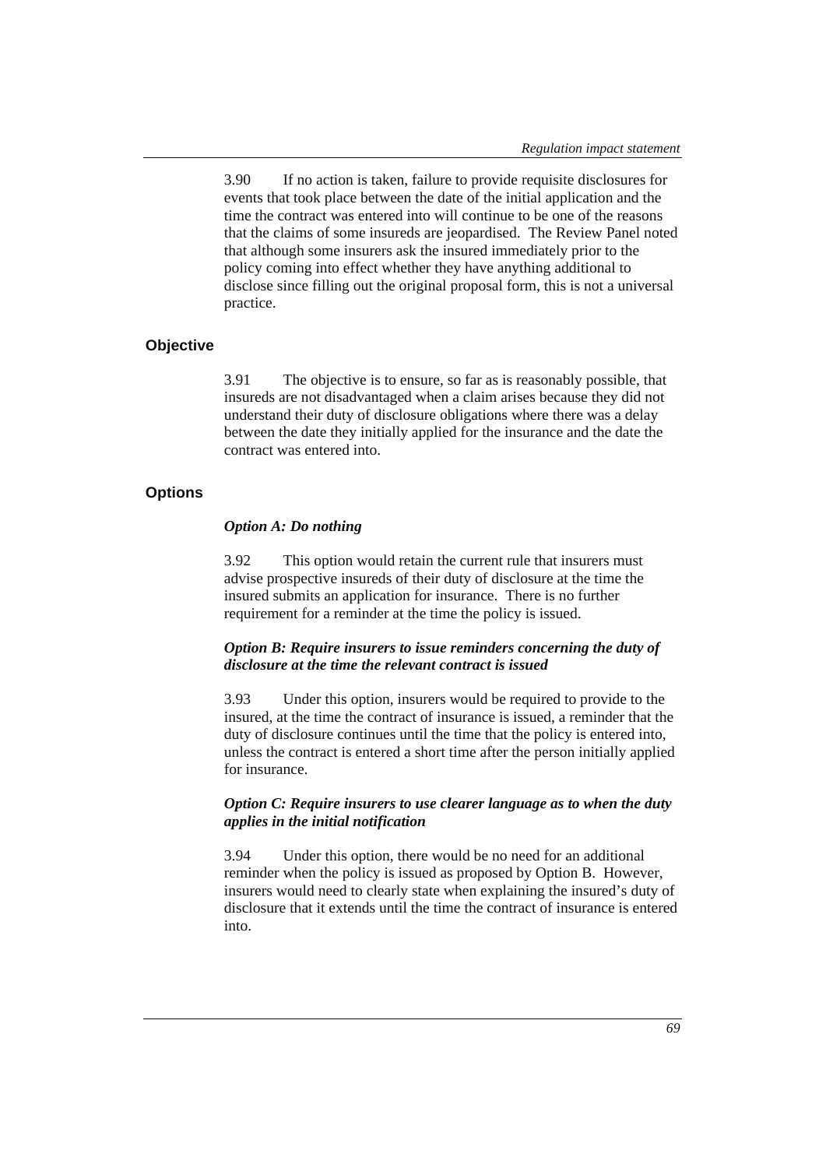3.90 If no action is taken, failure to provide requisite disclosures for events that took place between the date of the initial application and the time the contract was entered into will continue to be one of the reasons that the claims of some insureds are jeopardised. The Review Panel noted that although some insurers ask the insured immediately prior to the policy coming into effect whether they have anything additional to disclose since filling out the original proposal form, this is not a universal practice.

#### **Objective**

3.91 The objective is to ensure, so far as is reasonably possible, that insureds are not disadvantaged when a claim arises because they did not understand their duty of disclosure obligations where there was a delay between the date they initially applied for the insurance and the date the contract was entered into.

# **Options**

#### *Option A: Do nothing*

3.92 This option would retain the current rule that insurers must advise prospective insureds of their duty of disclosure at the time the insured submits an application for insurance. There is no further requirement for a reminder at the time the policy is issued.

### *Option B: Require insurers to issue reminders concerning the duty of disclosure at the time the relevant contract is issued*

3.93 Under this option, insurers would be required to provide to the insured, at the time the contract of insurance is issued, a reminder that the duty of disclosure continues until the time that the policy is entered into, unless the contract is entered a short time after the person initially applied for insurance.

#### *Option C: Require insurers to use clearer language as to when the duty applies in the initial notification*

3.94 Under this option, there would be no need for an additional reminder when the policy is issued as proposed by Option B. However, insurers would need to clearly state when explaining the insured's duty of disclosure that it extends until the time the contract of insurance is entered into.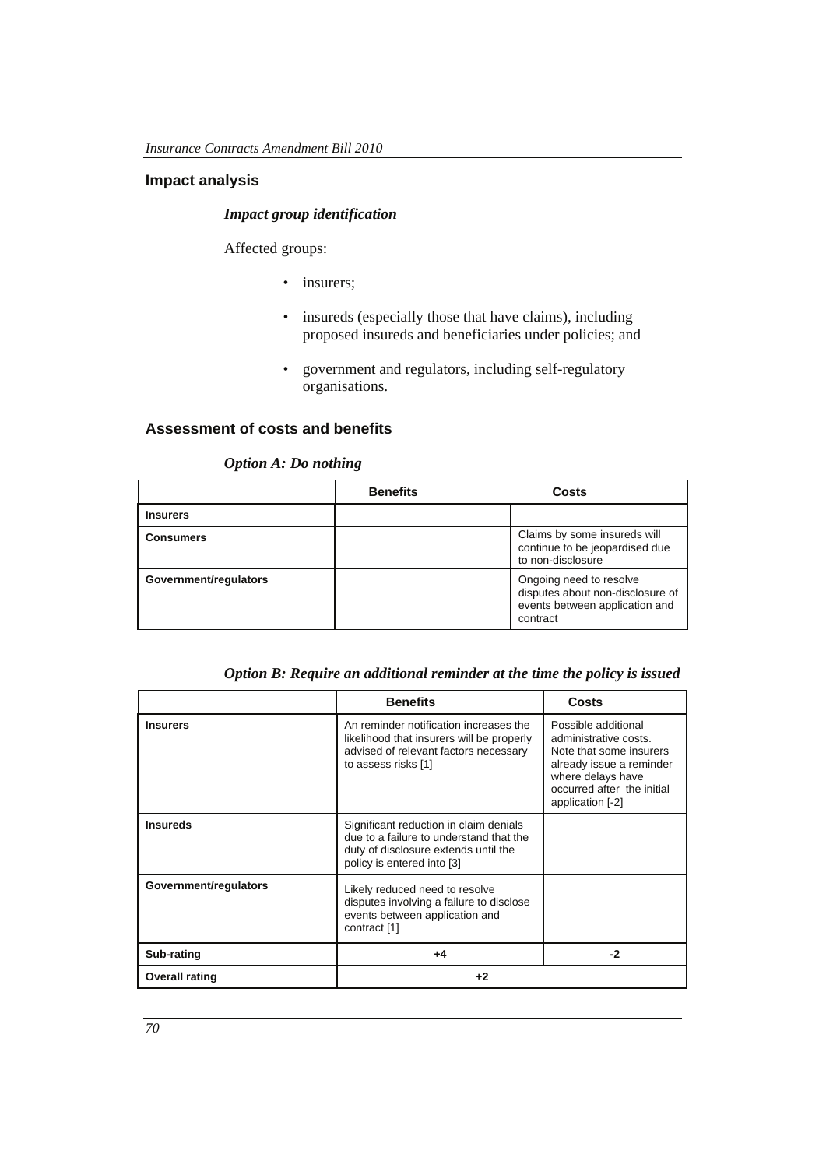# **Impact analysis**

# *Impact group identification*

Affected groups:

- insurers;
- insureds (especially those that have claims), including proposed insureds and beneficiaries under policies; and
- government and regulators, including self-regulatory organisations.

#### **Assessment of costs and benefits**

### *Option A: Do nothing*

|                       | <b>Benefits</b> | Costs                                                                                                     |
|-----------------------|-----------------|-----------------------------------------------------------------------------------------------------------|
| <b>Insurers</b>       |                 |                                                                                                           |
| <b>Consumers</b>      |                 | Claims by some insureds will<br>continue to be jeopardised due<br>to non-disclosure                       |
| Government/requiators |                 | Ongoing need to resolve<br>disputes about non-disclosure of<br>events between application and<br>contract |

|  | Option B: Require an additional reminder at the time the policy is issued |  |  |  |  |
|--|---------------------------------------------------------------------------|--|--|--|--|
|  |                                                                           |  |  |  |  |

|                       | <b>Benefits</b>                                                                                                                                         | Costs                                                                                                                                                                      |
|-----------------------|---------------------------------------------------------------------------------------------------------------------------------------------------------|----------------------------------------------------------------------------------------------------------------------------------------------------------------------------|
| <b>Insurers</b>       | An reminder notification increases the<br>likelihood that insurers will be properly<br>advised of relevant factors necessary<br>to assess risks [1]     | Possible additional<br>administrative costs.<br>Note that some insurers<br>already issue a reminder<br>where delays have<br>occurred after the initial<br>application [-2] |
| <b>Insureds</b>       | Significant reduction in claim denials<br>due to a failure to understand that the<br>duty of disclosure extends until the<br>policy is entered into [3] |                                                                                                                                                                            |
| Government/regulators | Likely reduced need to resolve<br>disputes involving a failure to disclose<br>events between application and<br>contract [1]                            |                                                                                                                                                                            |
| Sub-rating            | $+4$                                                                                                                                                    | -2                                                                                                                                                                         |
| <b>Overall rating</b> | $+2$                                                                                                                                                    |                                                                                                                                                                            |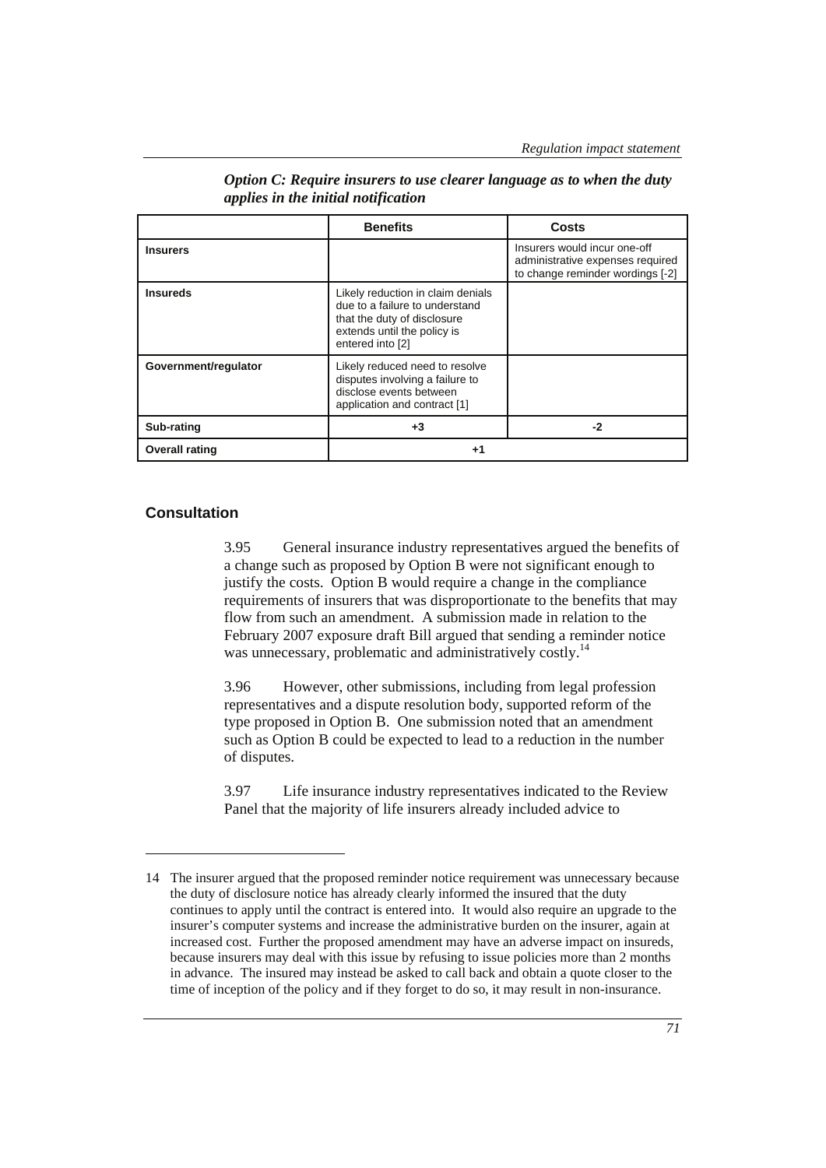|                       | <b>Benefits</b>                                                                                                                                       | Costs                                                                                                |
|-----------------------|-------------------------------------------------------------------------------------------------------------------------------------------------------|------------------------------------------------------------------------------------------------------|
| <b>Insurers</b>       |                                                                                                                                                       | Insurers would incur one-off<br>administrative expenses required<br>to change reminder wordings [-2] |
| <b>Insureds</b>       | Likely reduction in claim denials<br>due to a failure to understand<br>that the duty of disclosure<br>extends until the policy is<br>entered into [2] |                                                                                                      |
| Government/requlator  | Likely reduced need to resolve<br>disputes involving a failure to<br>disclose events between<br>application and contract [1]                          |                                                                                                      |
| Sub-rating            | +3                                                                                                                                                    | -2                                                                                                   |
| <b>Overall rating</b> | +1                                                                                                                                                    |                                                                                                      |

*Option C: Require insurers to use clearer language as to when the duty applies in the initial notification* 

# **Consultation**

 $\overline{a}$ 

3.95 General insurance industry representatives argued the benefits of a change such as proposed by Option B were not significant enough to justify the costs. Option B would require a change in the compliance requirements of insurers that was disproportionate to the benefits that may flow from such an amendment. A submission made in relation to the February 2007 exposure draft Bill argued that sending a reminder notice was unnecessary, problematic and administratively costly.<sup>14</sup>

3.96 However, other submissions, including from legal profession representatives and a dispute resolution body, supported reform of the type proposed in Option B. One submission noted that an amendment such as Option B could be expected to lead to a reduction in the number of disputes.

3.97 Life insurance industry representatives indicated to the Review Panel that the majority of life insurers already included advice to

<sup>14</sup> The insurer argued that the proposed reminder notice requirement was unnecessary because the duty of disclosure notice has already clearly informed the insured that the duty continues to apply until the contract is entered into. It would also require an upgrade to the insurer's computer systems and increase the administrative burden on the insurer, again at increased cost. Further the proposed amendment may have an adverse impact on insureds, because insurers may deal with this issue by refusing to issue policies more than 2 months in advance. The insured may instead be asked to call back and obtain a quote closer to the time of inception of the policy and if they forget to do so, it may result in non-insurance.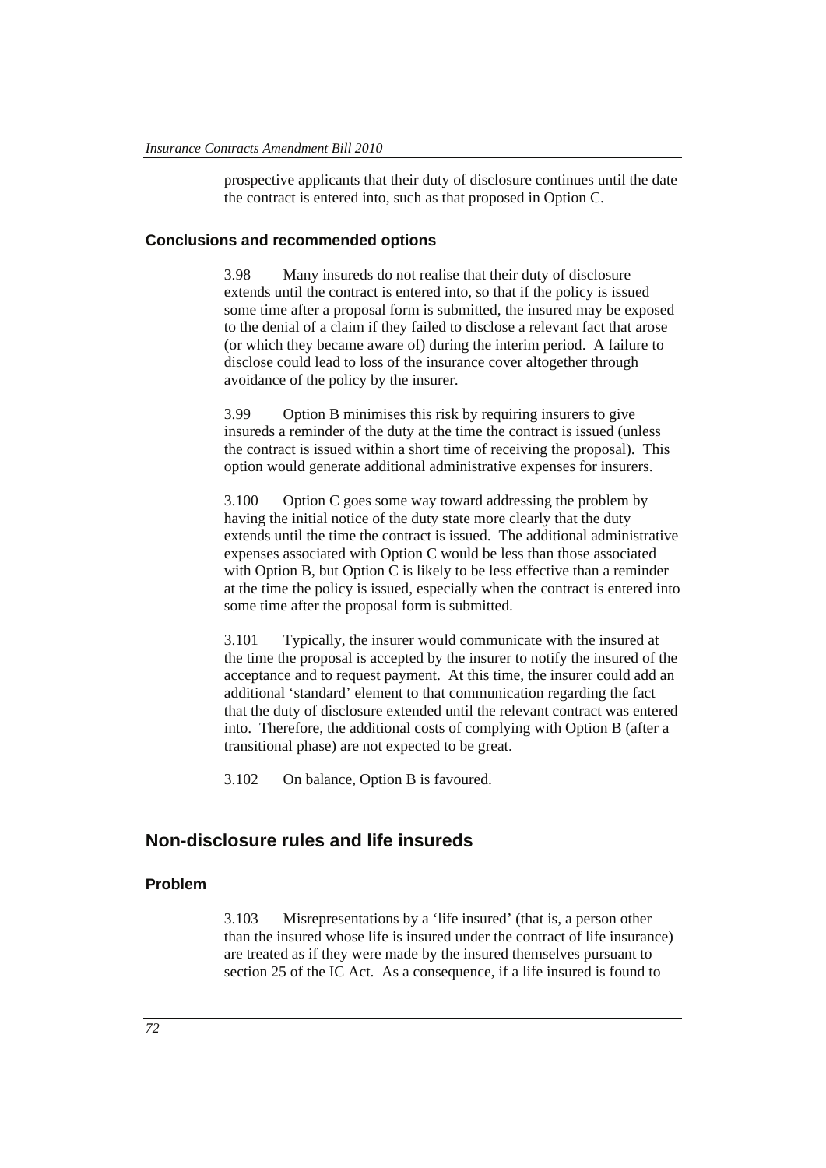prospective applicants that their duty of disclosure continues until the date the contract is entered into, such as that proposed in Option C.

#### **Conclusions and recommended options**

3.98 Many insureds do not realise that their duty of disclosure extends until the contract is entered into, so that if the policy is issued some time after a proposal form is submitted, the insured may be exposed to the denial of a claim if they failed to disclose a relevant fact that arose (or which they became aware of) during the interim period. A failure to disclose could lead to loss of the insurance cover altogether through avoidance of the policy by the insurer.

3.99 Option B minimises this risk by requiring insurers to give insureds a reminder of the duty at the time the contract is issued (unless the contract is issued within a short time of receiving the proposal). This option would generate additional administrative expenses for insurers.

3.100 Option C goes some way toward addressing the problem by having the initial notice of the duty state more clearly that the duty extends until the time the contract is issued. The additional administrative expenses associated with Option C would be less than those associated with Option B, but Option C is likely to be less effective than a reminder at the time the policy is issued, especially when the contract is entered into some time after the proposal form is submitted.

3.101 Typically, the insurer would communicate with the insured at the time the proposal is accepted by the insurer to notify the insured of the acceptance and to request payment. At this time, the insurer could add an additional 'standard' element to that communication regarding the fact that the duty of disclosure extended until the relevant contract was entered into. Therefore, the additional costs of complying with Option B (after a transitional phase) are not expected to be great.

3.102 On balance, Option B is favoured.

# **Non-disclosure rules and life insureds**

#### **Problem**

3.103 Misrepresentations by a 'life insured' (that is, a person other than the insured whose life is insured under the contract of life insurance) are treated as if they were made by the insured themselves pursuant to section 25 of the IC Act. As a consequence, if a life insured is found to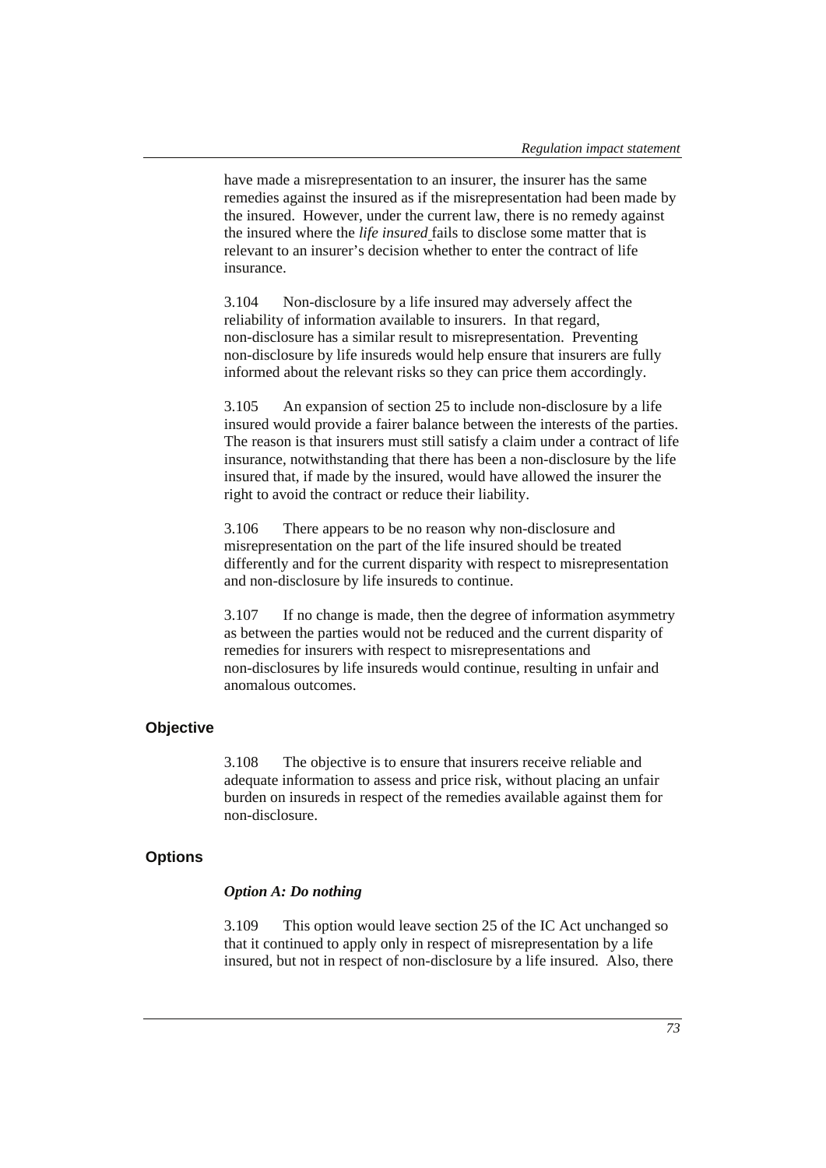have made a misrepresentation to an insurer, the insurer has the same remedies against the insured as if the misrepresentation had been made by the insured. However, under the current law, there is no remedy against the insured where the *life insured* fails to disclose some matter that is relevant to an insurer's decision whether to enter the contract of life insurance.

3.104 Non-disclosure by a life insured may adversely affect the reliability of information available to insurers. In that regard, non-disclosure has a similar result to misrepresentation. Preventing non-disclosure by life insureds would help ensure that insurers are fully informed about the relevant risks so they can price them accordingly.

3.105 An expansion of section 25 to include non-disclosure by a life insured would provide a fairer balance between the interests of the parties. The reason is that insurers must still satisfy a claim under a contract of life insurance, notwithstanding that there has been a non-disclosure by the life insured that, if made by the insured, would have allowed the insurer the right to avoid the contract or reduce their liability.

3.106 There appears to be no reason why non-disclosure and misrepresentation on the part of the life insured should be treated differently and for the current disparity with respect to misrepresentation and non-disclosure by life insureds to continue.

3.107 If no change is made, then the degree of information asymmetry as between the parties would not be reduced and the current disparity of remedies for insurers with respect to misrepresentations and non-disclosures by life insureds would continue, resulting in unfair and anomalous outcomes.

### **Objective**

3.108 The objective is to ensure that insurers receive reliable and adequate information to assess and price risk, without placing an unfair burden on insureds in respect of the remedies available against them for non-disclosure.

#### **Options**

#### *Option A: Do nothing*

3.109 This option would leave section 25 of the IC Act unchanged so that it continued to apply only in respect of misrepresentation by a life insured, but not in respect of non-disclosure by a life insured. Also, there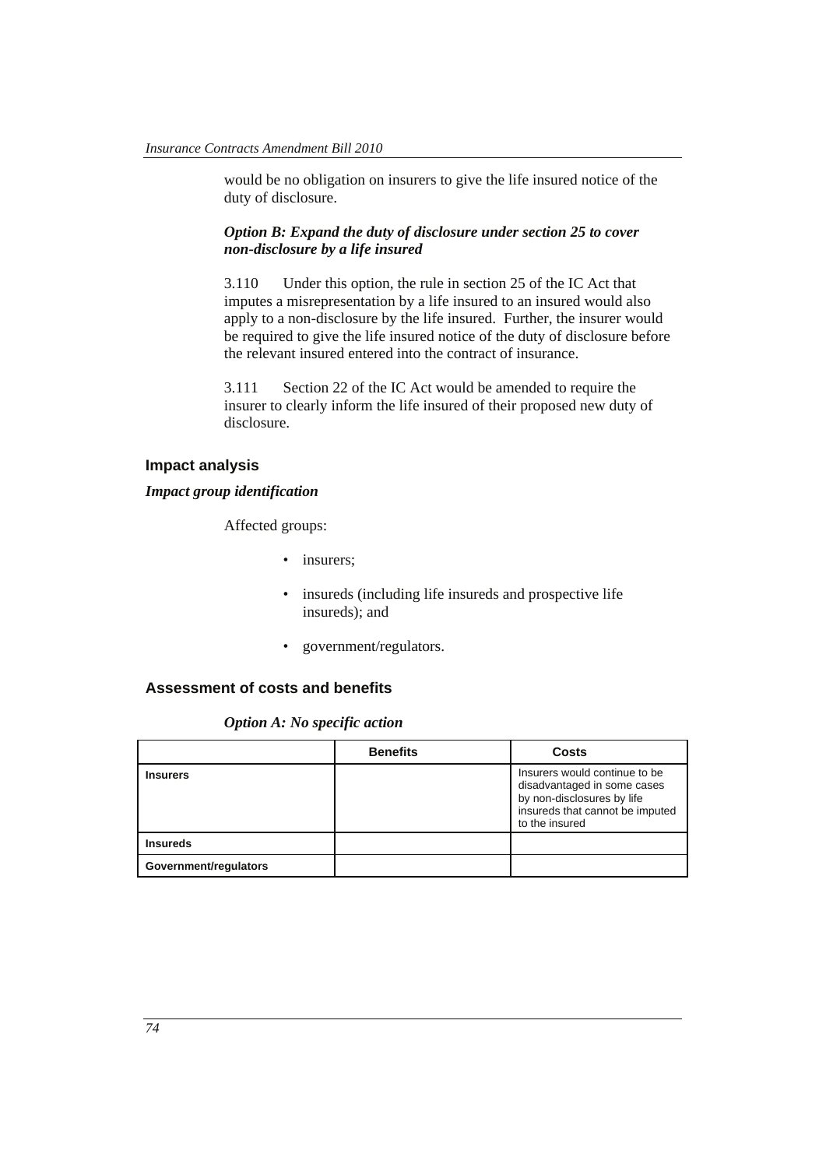would be no obligation on insurers to give the life insured notice of the duty of disclosure.

#### *Option B: Expand the duty of disclosure under section 25 to cover non-disclosure by a life insured*

3.110 Under this option, the rule in section 25 of the IC Act that imputes a misrepresentation by a life insured to an insured would also apply to a non-disclosure by the life insured. Further, the insurer would be required to give the life insured notice of the duty of disclosure before the relevant insured entered into the contract of insurance.

3.111 Section 22 of the IC Act would be amended to require the insurer to clearly inform the life insured of their proposed new duty of disclosure.

# **Impact analysis**

#### *Impact group identification*

Affected groups:

- insurers:
- insureds (including life insureds and prospective life insureds); and
- government/regulators.

#### **Assessment of costs and benefits**

*Option A: No specific action* 

|                       | <b>Benefits</b> | Costs                                                                                                                                           |
|-----------------------|-----------------|-------------------------------------------------------------------------------------------------------------------------------------------------|
| <b>Insurers</b>       |                 | Insurers would continue to be<br>disadvantaged in some cases<br>by non-disclosures by life<br>insureds that cannot be imputed<br>to the insured |
| <b>Insureds</b>       |                 |                                                                                                                                                 |
| Government/regulators |                 |                                                                                                                                                 |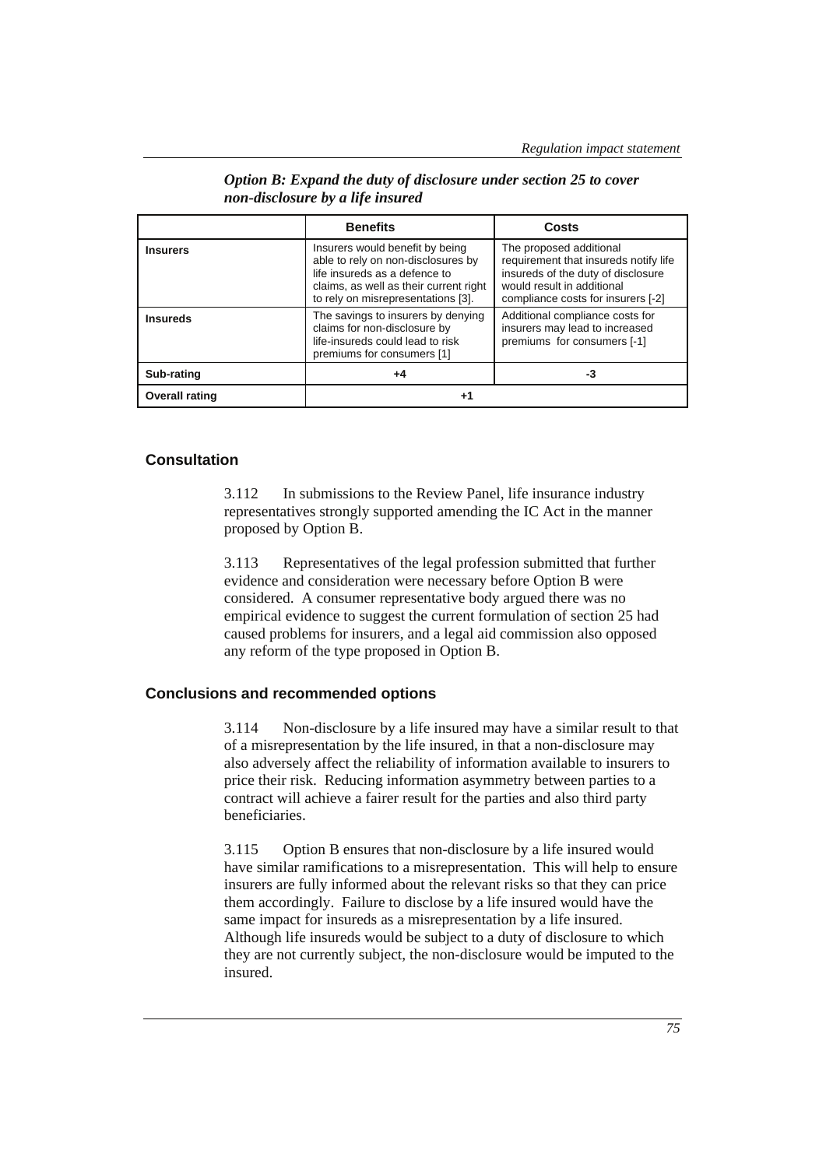|                       | <b>Benefits</b>                                                                                                                                                                        | Costs                                                                                                                                                                      |
|-----------------------|----------------------------------------------------------------------------------------------------------------------------------------------------------------------------------------|----------------------------------------------------------------------------------------------------------------------------------------------------------------------------|
| <b>Insurers</b>       | Insurers would benefit by being<br>able to rely on non-disclosures by<br>life insureds as a defence to<br>claims, as well as their current right<br>to rely on misrepresentations [3]. | The proposed additional<br>requirement that insureds notify life<br>insureds of the duty of disclosure<br>would result in additional<br>compliance costs for insurers [-2] |
| <b>Insureds</b>       | The savings to insurers by denying<br>claims for non-disclosure by<br>life-insureds could lead to risk<br>premiums for consumers [1]                                                   | Additional compliance costs for<br>insurers may lead to increased<br>premiums for consumers [-1]                                                                           |
| Sub-rating            | +4                                                                                                                                                                                     | -3                                                                                                                                                                         |
| <b>Overall rating</b> | $+1$                                                                                                                                                                                   |                                                                                                                                                                            |

*Option B: Expand the duty of disclosure under section 25 to cover non-disclosure by a life insured* 

# **Consultation**

3.112 In submissions to the Review Panel, life insurance industry representatives strongly supported amending the IC Act in the manner proposed by Option B.

3.113 Representatives of the legal profession submitted that further evidence and consideration were necessary before Option B were considered. A consumer representative body argued there was no empirical evidence to suggest the current formulation of section 25 had caused problems for insurers, and a legal aid commission also opposed any reform of the type proposed in Option B.

### **Conclusions and recommended options**

3.114 Non-disclosure by a life insured may have a similar result to that of a misrepresentation by the life insured, in that a non-disclosure may also adversely affect the reliability of information available to insurers to price their risk. Reducing information asymmetry between parties to a contract will achieve a fairer result for the parties and also third party beneficiaries.

3.115 Option B ensures that non-disclosure by a life insured would have similar ramifications to a misrepresentation. This will help to ensure insurers are fully informed about the relevant risks so that they can price them accordingly. Failure to disclose by a life insured would have the same impact for insureds as a misrepresentation by a life insured. Although life insureds would be subject to a duty of disclosure to which they are not currently subject, the non-disclosure would be imputed to the insured.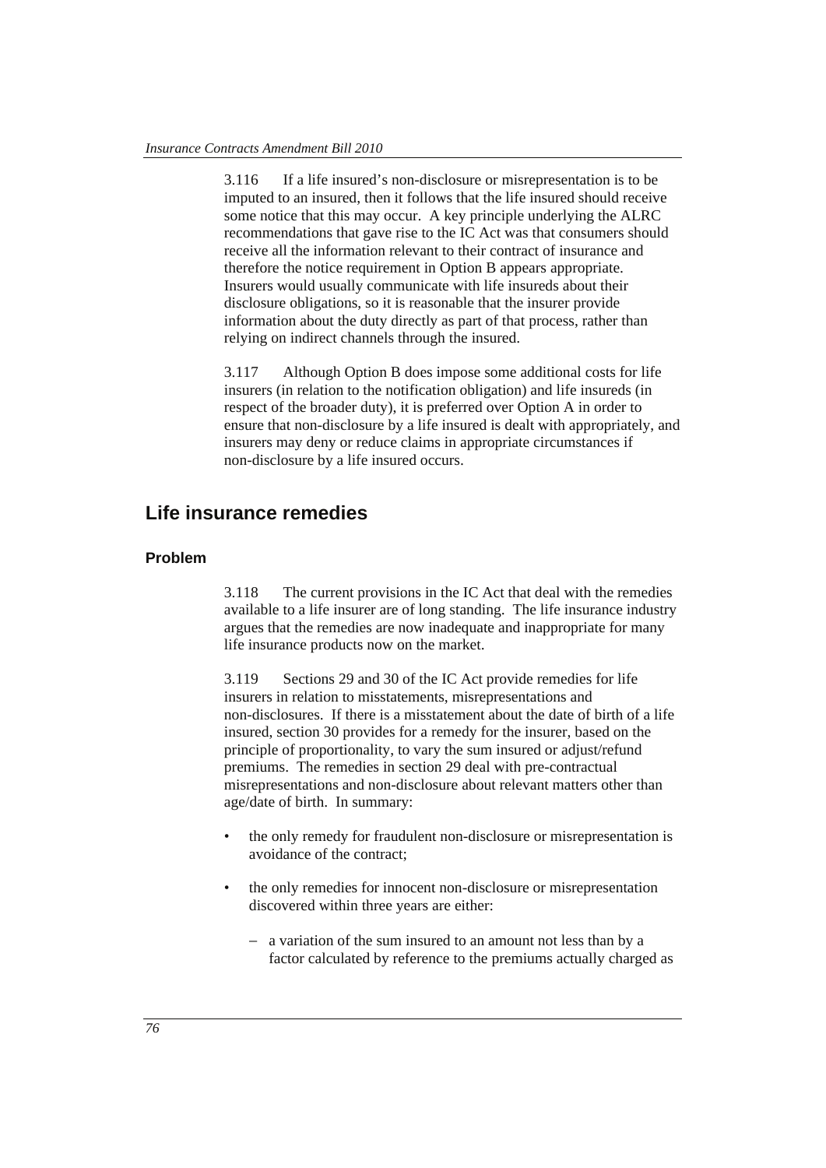3.116 If a life insured's non-disclosure or misrepresentation is to be imputed to an insured, then it follows that the life insured should receive some notice that this may occur. A key principle underlying the ALRC recommendations that gave rise to the IC Act was that consumers should receive all the information relevant to their contract of insurance and therefore the notice requirement in Option B appears appropriate. Insurers would usually communicate with life insureds about their disclosure obligations, so it is reasonable that the insurer provide information about the duty directly as part of that process, rather than relying on indirect channels through the insured.

3.117 Although Option B does impose some additional costs for life insurers (in relation to the notification obligation) and life insureds (in respect of the broader duty), it is preferred over Option A in order to ensure that non-disclosure by a life insured is dealt with appropriately, and insurers may deny or reduce claims in appropriate circumstances if non-disclosure by a life insured occurs.

# **Life insurance remedies**

### **Problem**

3.118 The current provisions in the IC Act that deal with the remedies available to a life insurer are of long standing. The life insurance industry argues that the remedies are now inadequate and inappropriate for many life insurance products now on the market.

3.119 Sections 29 and 30 of the IC Act provide remedies for life insurers in relation to misstatements, misrepresentations and non-disclosures. If there is a misstatement about the date of birth of a life insured, section 30 provides for a remedy for the insurer, based on the principle of proportionality, to vary the sum insured or adjust/refund premiums. The remedies in section 29 deal with pre-contractual misrepresentations and non-disclosure about relevant matters other than age/date of birth. In summary:

- the only remedy for fraudulent non-disclosure or misrepresentation is avoidance of the contract;
- the only remedies for innocent non-disclosure or misrepresentation discovered within three years are either:
	- − a variation of the sum insured to an amount not less than by a factor calculated by reference to the premiums actually charged as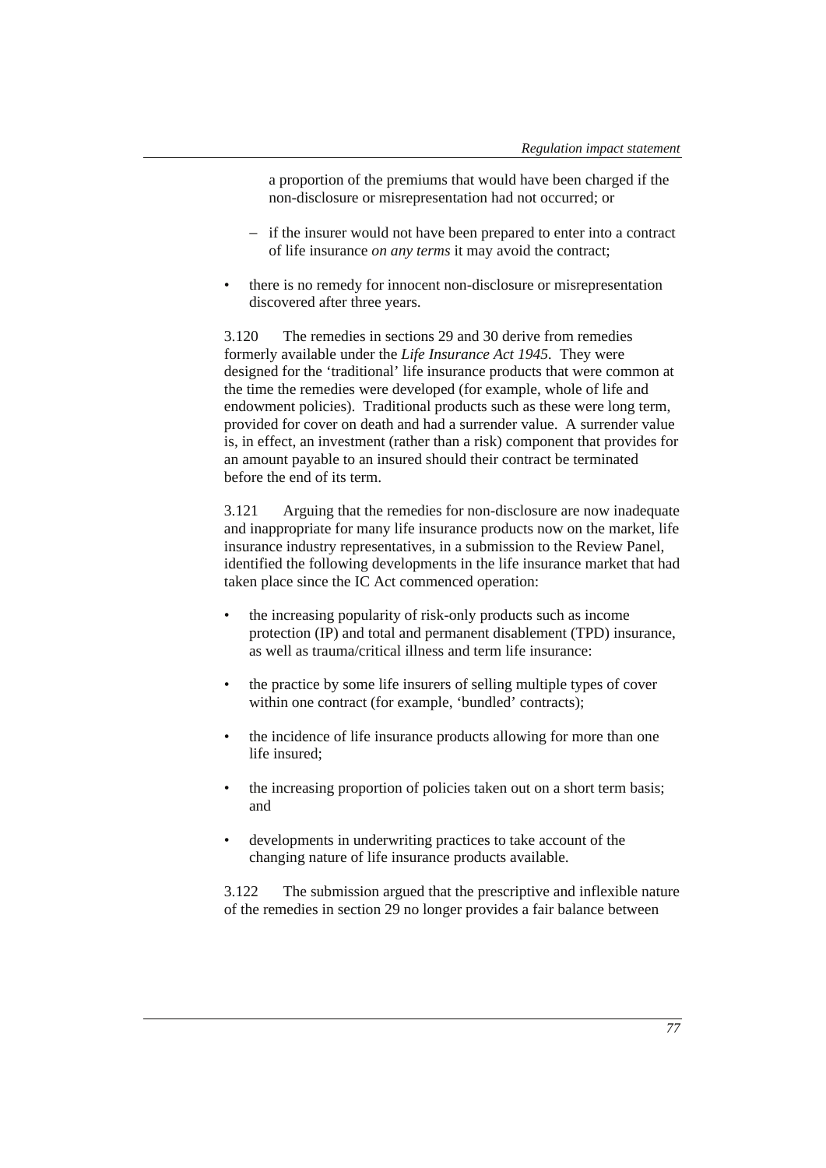a proportion of the premiums that would have been charged if the non-disclosure or misrepresentation had not occurred; or

- − if the insurer would not have been prepared to enter into a contract of life insurance *on any terms* it may avoid the contract;
- there is no remedy for innocent non-disclosure or misrepresentation discovered after three years.

3.120 The remedies in sections 29 and 30 derive from remedies formerly available under the *Life Insurance Act 1945.* They were designed for the 'traditional' life insurance products that were common at the time the remedies were developed (for example, whole of life and endowment policies). Traditional products such as these were long term, provided for cover on death and had a surrender value. A surrender value is, in effect, an investment (rather than a risk) component that provides for an amount payable to an insured should their contract be terminated before the end of its term.

3.121 Arguing that the remedies for non-disclosure are now inadequate and inappropriate for many life insurance products now on the market, life insurance industry representatives, in a submission to the Review Panel, identified the following developments in the life insurance market that had taken place since the IC Act commenced operation:

- the increasing popularity of risk-only products such as income protection (IP) and total and permanent disablement (TPD) insurance, as well as trauma/critical illness and term life insurance:
- the practice by some life insurers of selling multiple types of cover within one contract (for example, 'bundled' contracts);
- the incidence of life insurance products allowing for more than one life insured;
- the increasing proportion of policies taken out on a short term basis; and
- developments in underwriting practices to take account of the changing nature of life insurance products available.

3.122 The submission argued that the prescriptive and inflexible nature of the remedies in section 29 no longer provides a fair balance between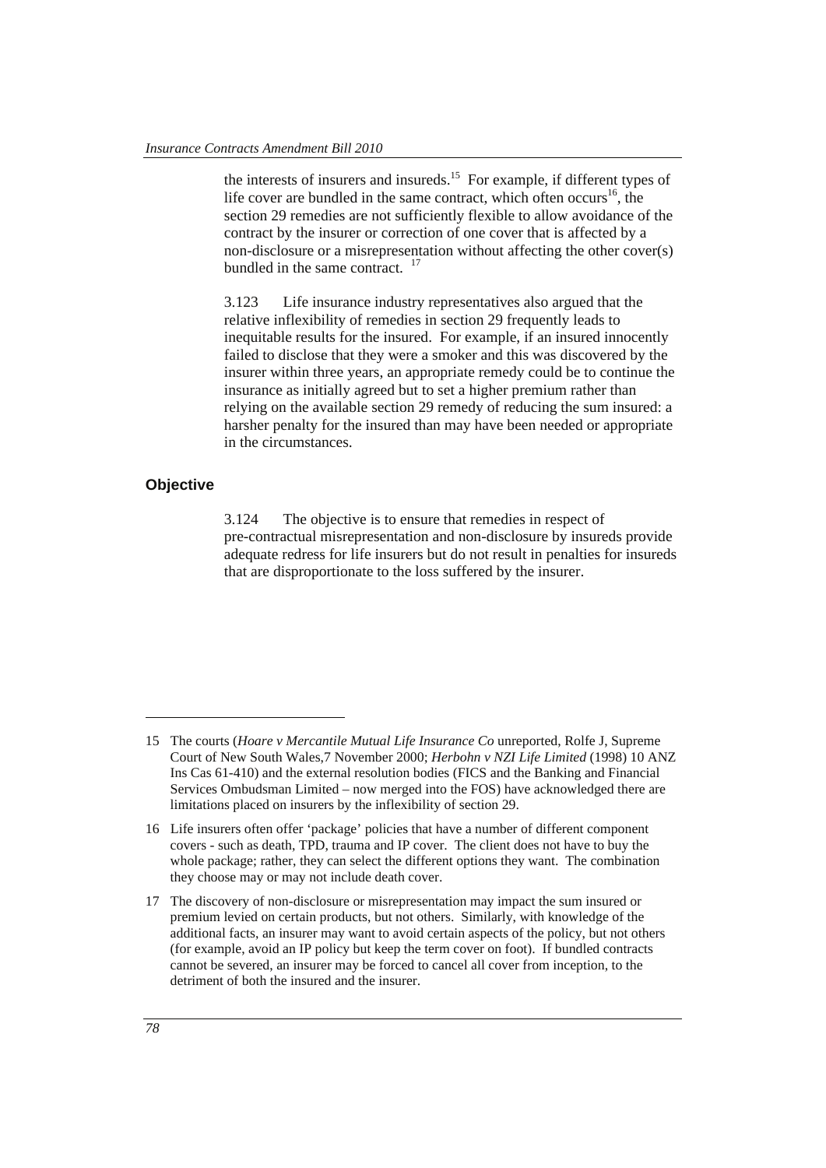the interests of insurers and insureds.15 For example, if different types of life cover are bundled in the same contract, which often occurs<sup>16</sup>, the section 29 remedies are not sufficiently flexible to allow avoidance of the contract by the insurer or correction of one cover that is affected by a non-disclosure or a misrepresentation without affecting the other cover(s) bundled in the same contract. <sup>17</sup>

3.123 Life insurance industry representatives also argued that the relative inflexibility of remedies in section 29 frequently leads to inequitable results for the insured. For example, if an insured innocently failed to disclose that they were a smoker and this was discovered by the insurer within three years, an appropriate remedy could be to continue the insurance as initially agreed but to set a higher premium rather than relying on the available section 29 remedy of reducing the sum insured: a harsher penalty for the insured than may have been needed or appropriate in the circumstances.

### **Objective**

3.124 The objective is to ensure that remedies in respect of pre-contractual misrepresentation and non-disclosure by insureds provide adequate redress for life insurers but do not result in penalties for insureds that are disproportionate to the loss suffered by the insurer.

 $\overline{a}$ 

<sup>15</sup> The courts (*Hoare v Mercantile Mutual Life Insurance Co* unreported, Rolfe J, Supreme Court of New South Wales,7 November 2000; *Herbohn v NZI Life Limited* (1998) 10 ANZ Ins Cas 61-410) and the external resolution bodies (FICS and the Banking and Financial Services Ombudsman Limited – now merged into the FOS) have acknowledged there are limitations placed on insurers by the inflexibility of section 29.

<sup>16</sup> Life insurers often offer 'package' policies that have a number of different component covers - such as death, TPD, trauma and IP cover. The client does not have to buy the whole package; rather, they can select the different options they want. The combination they choose may or may not include death cover.

<sup>17</sup> The discovery of non-disclosure or misrepresentation may impact the sum insured or premium levied on certain products, but not others. Similarly, with knowledge of the additional facts, an insurer may want to avoid certain aspects of the policy, but not others (for example, avoid an IP policy but keep the term cover on foot). If bundled contracts cannot be severed, an insurer may be forced to cancel all cover from inception, to the detriment of both the insured and the insurer.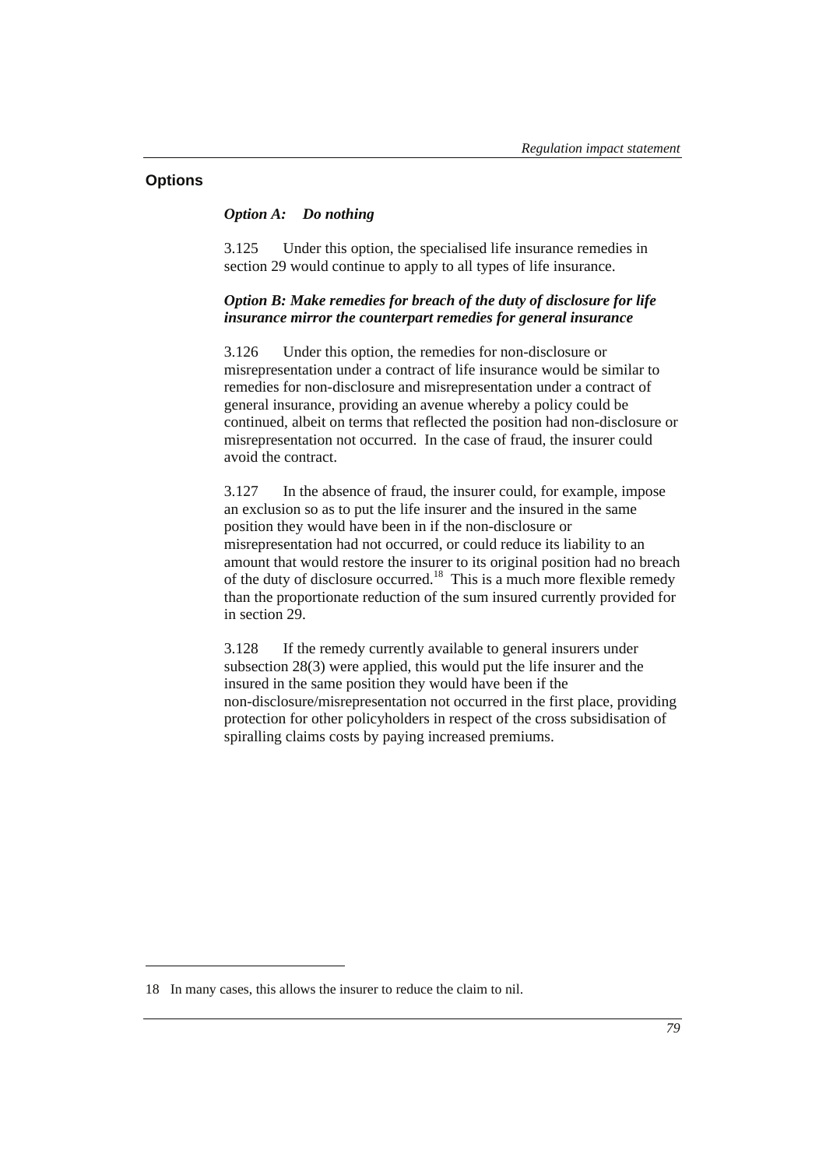### **Options**

 $\overline{a}$ 

#### *Option A: Do nothing*

3.125 Under this option, the specialised life insurance remedies in section 29 would continue to apply to all types of life insurance.

### *Option B: Make remedies for breach of the duty of disclosure for life insurance mirror the counterpart remedies for general insurance*

3.126 Under this option, the remedies for non-disclosure or misrepresentation under a contract of life insurance would be similar to remedies for non-disclosure and misrepresentation under a contract of general insurance, providing an avenue whereby a policy could be continued, albeit on terms that reflected the position had non-disclosure or misrepresentation not occurred. In the case of fraud, the insurer could avoid the contract.

3.127 In the absence of fraud, the insurer could, for example, impose an exclusion so as to put the life insurer and the insured in the same position they would have been in if the non-disclosure or misrepresentation had not occurred, or could reduce its liability to an amount that would restore the insurer to its original position had no breach of the duty of disclosure occurred.18 This is a much more flexible remedy than the proportionate reduction of the sum insured currently provided for in section 29.

3.128 If the remedy currently available to general insurers under subsection 28(3) were applied, this would put the life insurer and the insured in the same position they would have been if the non-disclosure/misrepresentation not occurred in the first place, providing protection for other policyholders in respect of the cross subsidisation of spiralling claims costs by paying increased premiums.

<sup>18</sup> In many cases, this allows the insurer to reduce the claim to nil.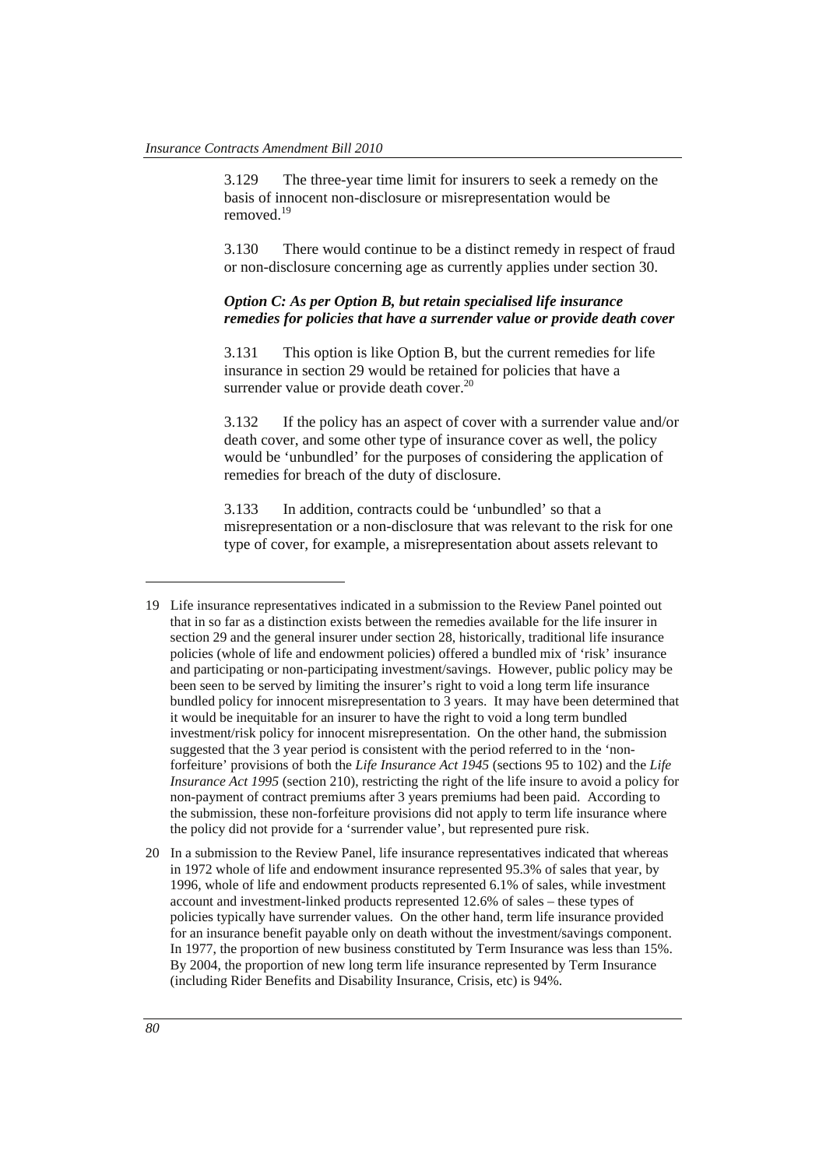3.129 The three-year time limit for insurers to seek a remedy on the basis of innocent non-disclosure or misrepresentation would be removed<sup>19</sup>

3.130 There would continue to be a distinct remedy in respect of fraud or non-disclosure concerning age as currently applies under section 30.

### *Option C: As per Option B, but retain specialised life insurance remedies for policies that have a surrender value or provide death cover*

3.131 This option is like Option B, but the current remedies for life insurance in section 29 would be retained for policies that have a surrender value or provide death cover.<sup>20</sup>

3.132 If the policy has an aspect of cover with a surrender value and/or death cover, and some other type of insurance cover as well, the policy would be 'unbundled' for the purposes of considering the application of remedies for breach of the duty of disclosure.

3.133 In addition, contracts could be 'unbundled' so that a misrepresentation or a non-disclosure that was relevant to the risk for one type of cover, for example, a misrepresentation about assets relevant to

 $\overline{a}$ 

<sup>19</sup> Life insurance representatives indicated in a submission to the Review Panel pointed out that in so far as a distinction exists between the remedies available for the life insurer in section 29 and the general insurer under section 28, historically, traditional life insurance policies (whole of life and endowment policies) offered a bundled mix of 'risk' insurance and participating or non-participating investment/savings. However, public policy may be been seen to be served by limiting the insurer's right to void a long term life insurance bundled policy for innocent misrepresentation to 3 years. It may have been determined that it would be inequitable for an insurer to have the right to void a long term bundled investment/risk policy for innocent misrepresentation. On the other hand, the submission suggested that the 3 year period is consistent with the period referred to in the 'nonforfeiture' provisions of both the *Life Insurance Act 1945* (sections 95 to 102) and the *Life Insurance Act 1995* (section 210), restricting the right of the life insure to avoid a policy for non-payment of contract premiums after 3 years premiums had been paid. According to the submission, these non-forfeiture provisions did not apply to term life insurance where the policy did not provide for a 'surrender value', but represented pure risk.

<sup>20</sup> In a submission to the Review Panel, life insurance representatives indicated that whereas in 1972 whole of life and endowment insurance represented 95.3% of sales that year, by 1996, whole of life and endowment products represented 6.1% of sales, while investment account and investment-linked products represented 12.6% of sales – these types of policies typically have surrender values. On the other hand, term life insurance provided for an insurance benefit payable only on death without the investment/savings component. In 1977, the proportion of new business constituted by Term Insurance was less than 15%. By 2004, the proportion of new long term life insurance represented by Term Insurance (including Rider Benefits and Disability Insurance, Crisis, etc) is 94%.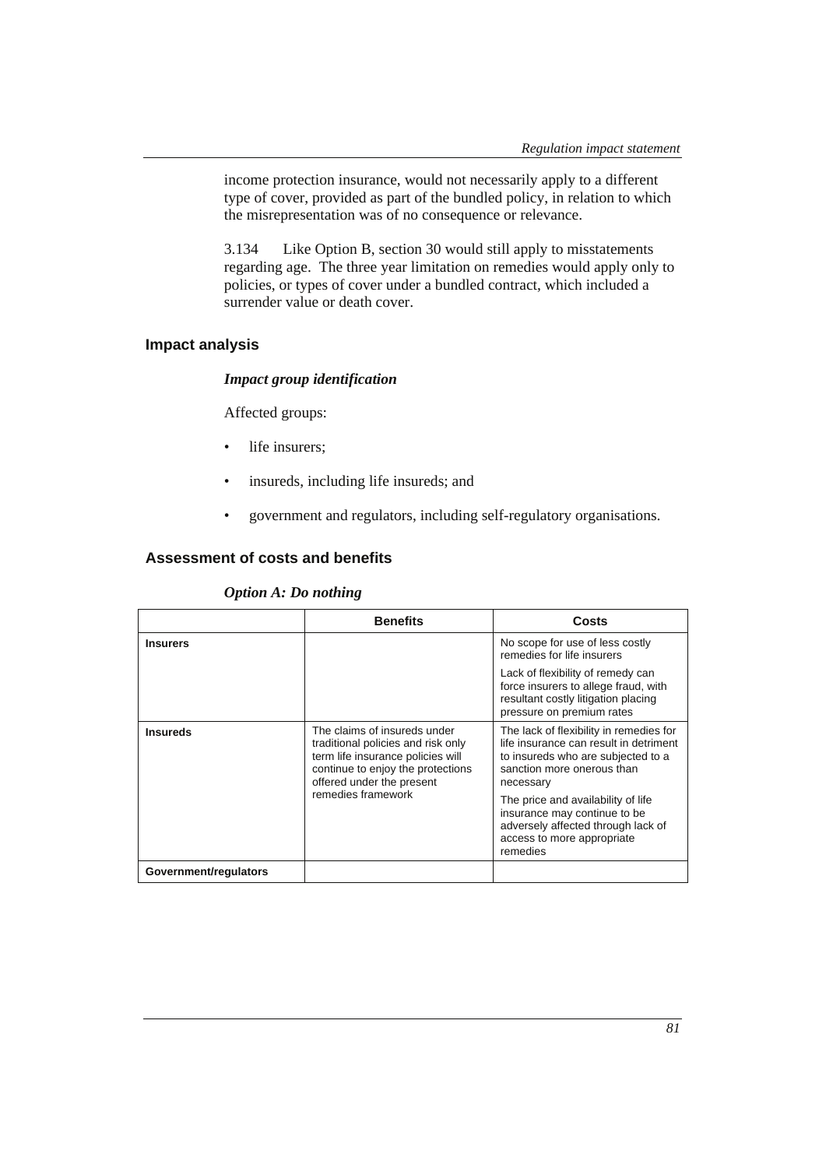income protection insurance, would not necessarily apply to a different type of cover, provided as part of the bundled policy, in relation to which the misrepresentation was of no consequence or relevance.

3.134 Like Option B, section 30 would still apply to misstatements regarding age. The three year limitation on remedies would apply only to policies, or types of cover under a bundled contract, which included a surrender value or death cover.

### **Impact analysis**

#### *Impact group identification*

Affected groups:

- life insurers;
- insureds, including life insureds; and
- government and regulators, including self-regulatory organisations.

# **Assessment of costs and benefits**

#### *Option A: Do nothing*

|                       | <b>Benefits</b>                                                                                                                                                                                 | Costs                                                                                                                                                                                                                                                                                                                    |
|-----------------------|-------------------------------------------------------------------------------------------------------------------------------------------------------------------------------------------------|--------------------------------------------------------------------------------------------------------------------------------------------------------------------------------------------------------------------------------------------------------------------------------------------------------------------------|
| <b>Insurers</b>       |                                                                                                                                                                                                 | No scope for use of less costly<br>remedies for life insurers                                                                                                                                                                                                                                                            |
|                       |                                                                                                                                                                                                 | Lack of flexibility of remedy can<br>force insurers to allege fraud, with<br>resultant costly litigation placing<br>pressure on premium rates                                                                                                                                                                            |
| <b>Insureds</b>       | The claims of insureds under<br>traditional policies and risk only<br>term life insurance policies will<br>continue to enjoy the protections<br>offered under the present<br>remedies framework | The lack of flexibility in remedies for<br>life insurance can result in detriment<br>to insureds who are subjected to a<br>sanction more onerous than<br>necessary<br>The price and availability of life<br>insurance may continue to be<br>adversely affected through lack of<br>access to more appropriate<br>remedies |
| Government/regulators |                                                                                                                                                                                                 |                                                                                                                                                                                                                                                                                                                          |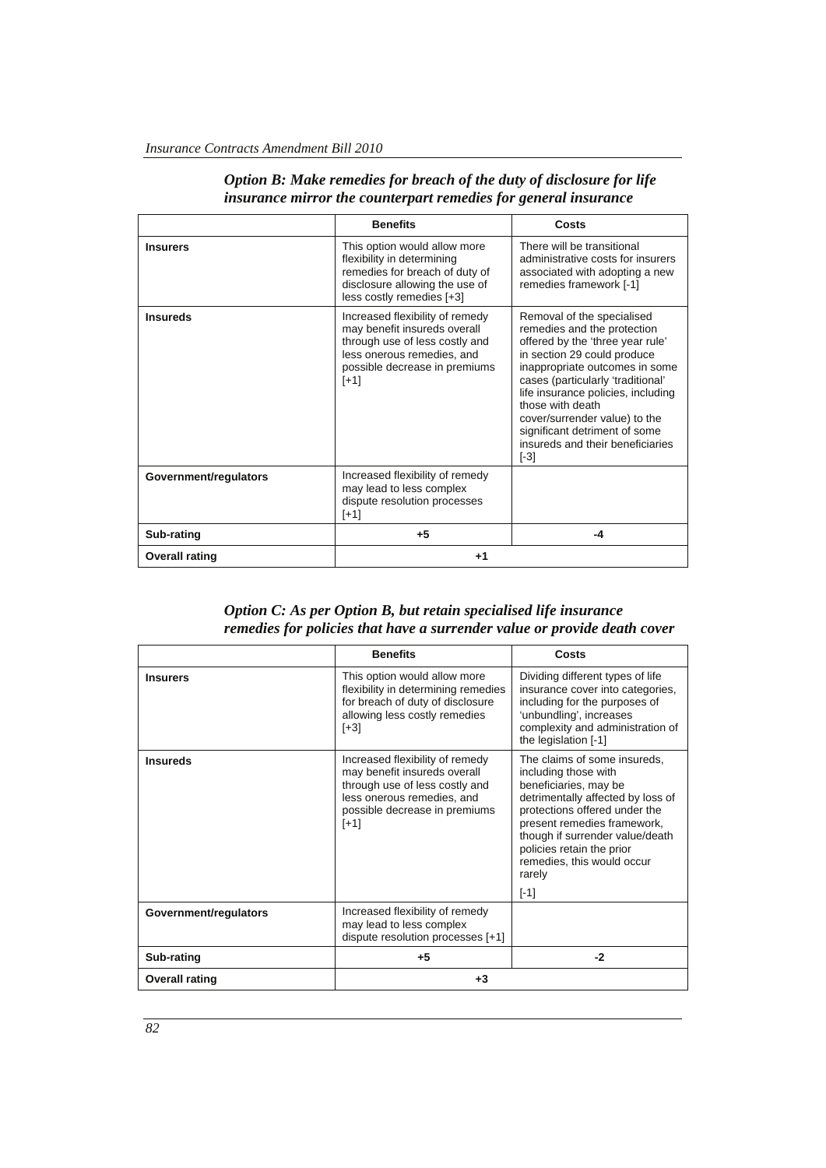|                       | <b>Benefits</b>                                                                                                                                                            | Costs                                                                                                                                                                                                                                                                                                                                                                         |
|-----------------------|----------------------------------------------------------------------------------------------------------------------------------------------------------------------------|-------------------------------------------------------------------------------------------------------------------------------------------------------------------------------------------------------------------------------------------------------------------------------------------------------------------------------------------------------------------------------|
| <b>Insurers</b>       | This option would allow more<br>flexibility in determining<br>remedies for breach of duty of<br>disclosure allowing the use of<br>less costly remedies [+3]                | There will be transitional<br>administrative costs for insurers<br>associated with adopting a new<br>remedies framework [-1]                                                                                                                                                                                                                                                  |
| <b>Insureds</b>       | Increased flexibility of remedy<br>may benefit insureds overall<br>through use of less costly and<br>less onerous remedies, and<br>possible decrease in premiums<br>$[+1]$ | Removal of the specialised<br>remedies and the protection<br>offered by the 'three year rule'<br>in section 29 could produce<br>inappropriate outcomes in some<br>cases (particularly 'traditional'<br>life insurance policies, including<br>those with death<br>cover/surrender value) to the<br>significant detriment of some<br>insureds and their beneficiaries<br>$[-3]$ |
| Government/regulators | Increased flexibility of remedy<br>may lead to less complex<br>dispute resolution processes<br>[+1]                                                                        |                                                                                                                                                                                                                                                                                                                                                                               |
| Sub-rating            | $+5$                                                                                                                                                                       | $-4$                                                                                                                                                                                                                                                                                                                                                                          |
| <b>Overall rating</b> | +1                                                                                                                                                                         |                                                                                                                                                                                                                                                                                                                                                                               |

### *Option B: Make remedies for breach of the duty of disclosure for life insurance mirror the counterpart remedies for general insurance*

*Option C: As per Option B, but retain specialised life insurance remedies for policies that have a surrender value or provide death cover* 

|                       | <b>Benefits</b>                                                                                                                                                            | Costs                                                                                                                                                                                                                                                                                                |
|-----------------------|----------------------------------------------------------------------------------------------------------------------------------------------------------------------------|------------------------------------------------------------------------------------------------------------------------------------------------------------------------------------------------------------------------------------------------------------------------------------------------------|
| <b>Insurers</b>       | This option would allow more<br>flexibility in determining remedies<br>for breach of duty of disclosure<br>allowing less costly remedies<br>$[+3]$                         | Dividing different types of life<br>insurance cover into categories,<br>including for the purposes of<br>'unbundling', increases<br>complexity and administration of<br>the legislation $[-1]$                                                                                                       |
| <b>Insureds</b>       | Increased flexibility of remedy<br>may benefit insureds overall<br>through use of less costly and<br>less onerous remedies, and<br>possible decrease in premiums<br>$[+1]$ | The claims of some insureds,<br>including those with<br>beneficiaries, may be<br>detrimentally affected by loss of<br>protections offered under the<br>present remedies framework,<br>though if surrender value/death<br>policies retain the prior<br>remedies, this would occur<br>rarely<br>$[-1]$ |
| Government/regulators | Increased flexibility of remedy<br>may lead to less complex<br>dispute resolution processes [+1]                                                                           |                                                                                                                                                                                                                                                                                                      |
| Sub-rating            | $+5$                                                                                                                                                                       | $-2$                                                                                                                                                                                                                                                                                                 |
| <b>Overall rating</b> | $+3$                                                                                                                                                                       |                                                                                                                                                                                                                                                                                                      |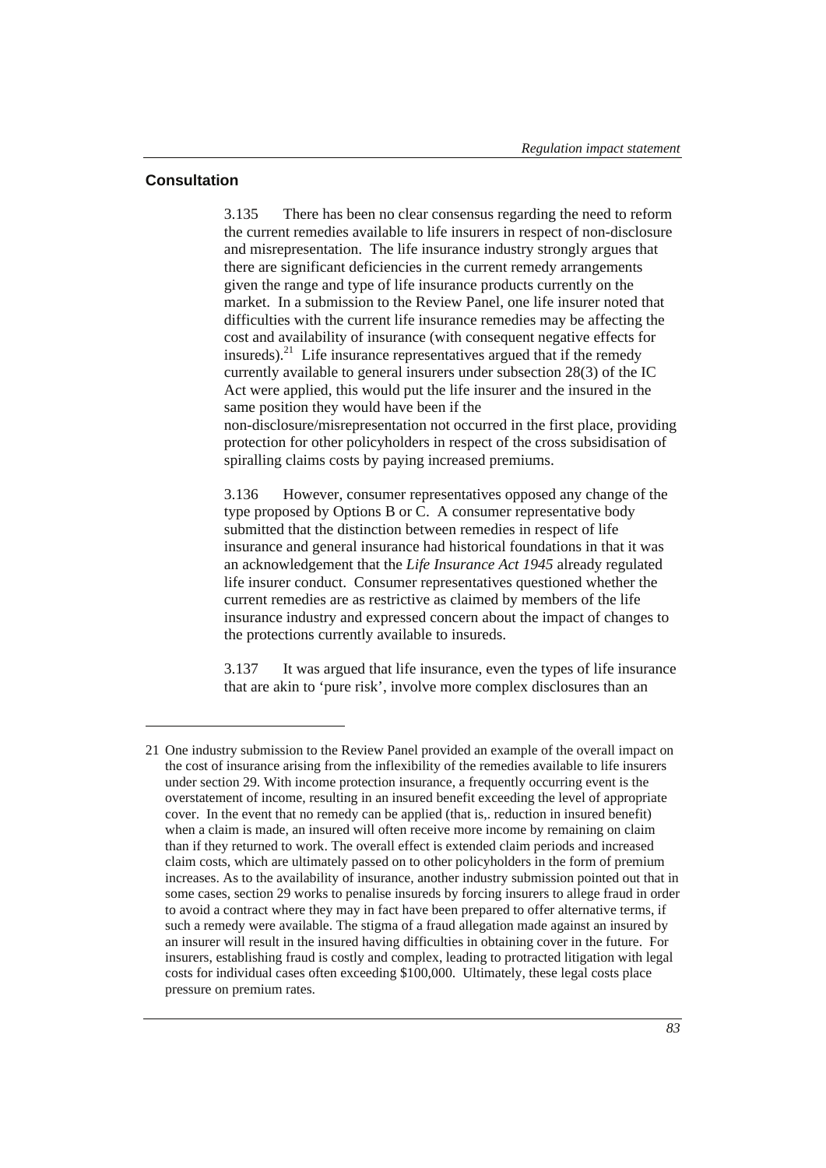### **Consultation**

 $\overline{a}$ 

3.135 There has been no clear consensus regarding the need to reform the current remedies available to life insurers in respect of non-disclosure and misrepresentation. The life insurance industry strongly argues that there are significant deficiencies in the current remedy arrangements given the range and type of life insurance products currently on the market. In a submission to the Review Panel, one life insurer noted that difficulties with the current life insurance remedies may be affecting the cost and availability of insurance (with consequent negative effects for insureds).<sup>21</sup> Life insurance representatives argued that if the remedy currently available to general insurers under subsection 28(3) of the IC Act were applied, this would put the life insurer and the insured in the same position they would have been if the non-disclosure/misrepresentation not occurred in the first place, providing protection for other policyholders in respect of the cross subsidisation of spiralling claims costs by paying increased premiums.

3.136 However, consumer representatives opposed any change of the type proposed by Options B or C. A consumer representative body submitted that the distinction between remedies in respect of life insurance and general insurance had historical foundations in that it was an acknowledgement that the *Life Insurance Act 1945* already regulated life insurer conduct. Consumer representatives questioned whether the current remedies are as restrictive as claimed by members of the life insurance industry and expressed concern about the impact of changes to the protections currently available to insureds.

3.137 It was argued that life insurance, even the types of life insurance that are akin to 'pure risk', involve more complex disclosures than an

<sup>21</sup> One industry submission to the Review Panel provided an example of the overall impact on the cost of insurance arising from the inflexibility of the remedies available to life insurers under section 29. With income protection insurance, a frequently occurring event is the overstatement of income, resulting in an insured benefit exceeding the level of appropriate cover. In the event that no remedy can be applied (that is,. reduction in insured benefit) when a claim is made, an insured will often receive more income by remaining on claim than if they returned to work. The overall effect is extended claim periods and increased claim costs, which are ultimately passed on to other policyholders in the form of premium increases. As to the availability of insurance, another industry submission pointed out that in some cases, section 29 works to penalise insureds by forcing insurers to allege fraud in order to avoid a contract where they may in fact have been prepared to offer alternative terms, if such a remedy were available. The stigma of a fraud allegation made against an insured by an insurer will result in the insured having difficulties in obtaining cover in the future. For insurers, establishing fraud is costly and complex, leading to protracted litigation with legal costs for individual cases often exceeding \$100,000. Ultimately, these legal costs place pressure on premium rates.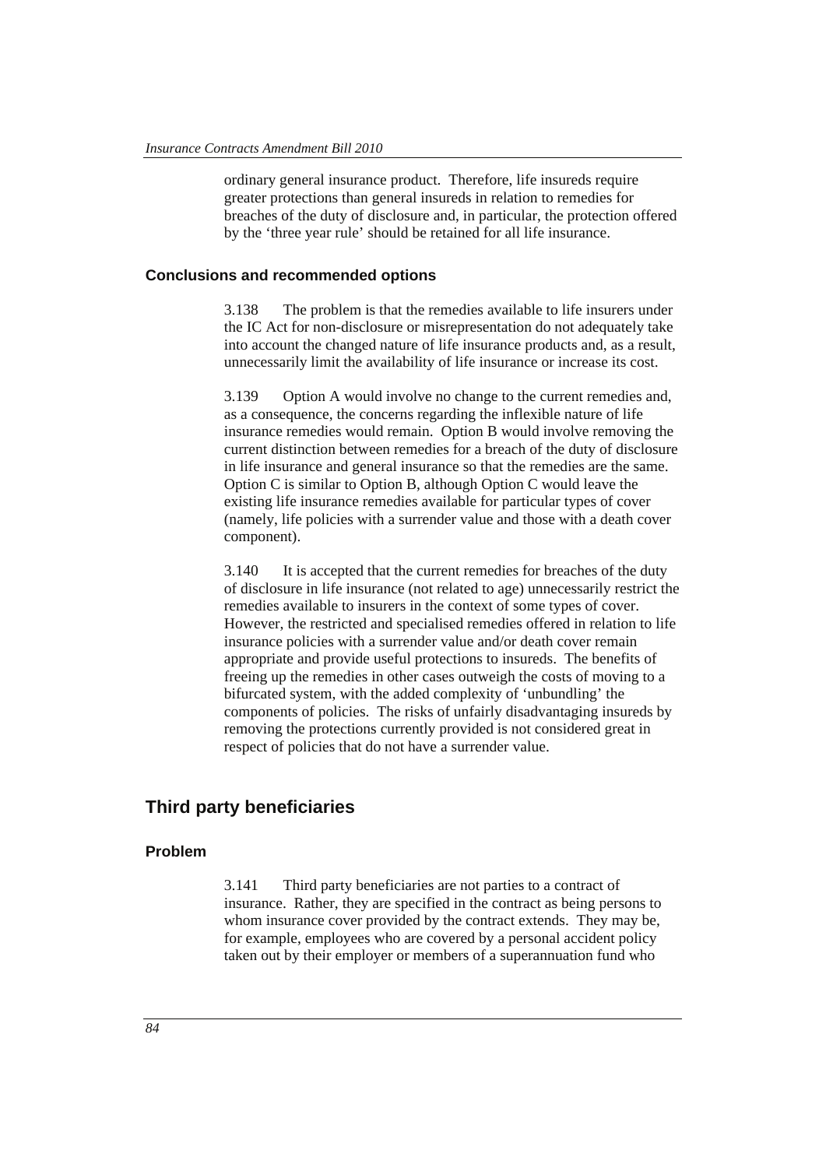ordinary general insurance product. Therefore, life insureds require greater protections than general insureds in relation to remedies for breaches of the duty of disclosure and, in particular, the protection offered by the 'three year rule' should be retained for all life insurance.

#### **Conclusions and recommended options**

3.138 The problem is that the remedies available to life insurers under the IC Act for non-disclosure or misrepresentation do not adequately take into account the changed nature of life insurance products and, as a result, unnecessarily limit the availability of life insurance or increase its cost.

3.139 Option A would involve no change to the current remedies and, as a consequence, the concerns regarding the inflexible nature of life insurance remedies would remain. Option B would involve removing the current distinction between remedies for a breach of the duty of disclosure in life insurance and general insurance so that the remedies are the same. Option C is similar to Option B, although Option C would leave the existing life insurance remedies available for particular types of cover (namely, life policies with a surrender value and those with a death cover component).

3.140 It is accepted that the current remedies for breaches of the duty of disclosure in life insurance (not related to age) unnecessarily restrict the remedies available to insurers in the context of some types of cover. However, the restricted and specialised remedies offered in relation to life insurance policies with a surrender value and/or death cover remain appropriate and provide useful protections to insureds. The benefits of freeing up the remedies in other cases outweigh the costs of moving to a bifurcated system, with the added complexity of 'unbundling' the components of policies. The risks of unfairly disadvantaging insureds by removing the protections currently provided is not considered great in respect of policies that do not have a surrender value.

# **Third party beneficiaries**

### **Problem**

3.141 Third party beneficiaries are not parties to a contract of insurance. Rather, they are specified in the contract as being persons to whom insurance cover provided by the contract extends. They may be, for example, employees who are covered by a personal accident policy taken out by their employer or members of a superannuation fund who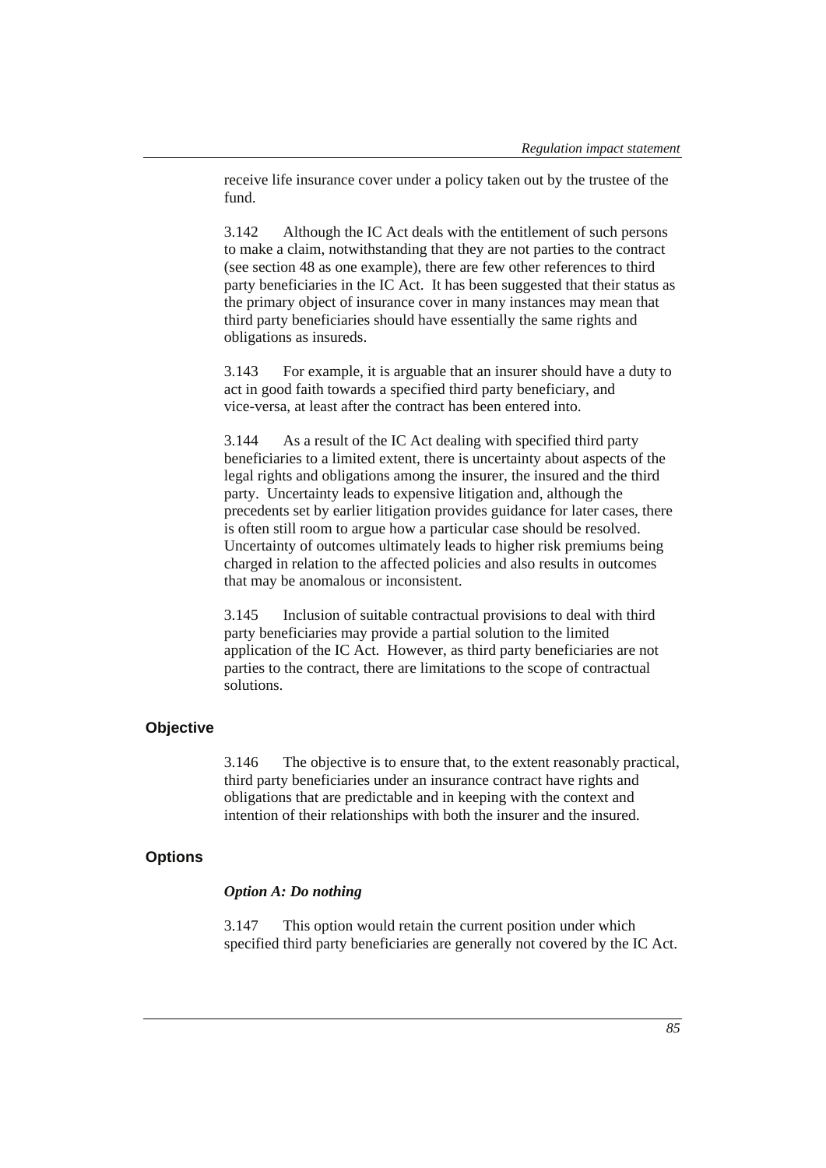receive life insurance cover under a policy taken out by the trustee of the fund.

3.142 Although the IC Act deals with the entitlement of such persons to make a claim, notwithstanding that they are not parties to the contract (see section 48 as one example), there are few other references to third party beneficiaries in the IC Act. It has been suggested that their status as the primary object of insurance cover in many instances may mean that third party beneficiaries should have essentially the same rights and obligations as insureds.

3.143 For example, it is arguable that an insurer should have a duty to act in good faith towards a specified third party beneficiary, and vice-versa, at least after the contract has been entered into.

3.144 As a result of the IC Act dealing with specified third party beneficiaries to a limited extent, there is uncertainty about aspects of the legal rights and obligations among the insurer, the insured and the third party. Uncertainty leads to expensive litigation and, although the precedents set by earlier litigation provides guidance for later cases, there is often still room to argue how a particular case should be resolved. Uncertainty of outcomes ultimately leads to higher risk premiums being charged in relation to the affected policies and also results in outcomes that may be anomalous or inconsistent.

3.145 Inclusion of suitable contractual provisions to deal with third party beneficiaries may provide a partial solution to the limited application of the IC Act. However, as third party beneficiaries are not parties to the contract, there are limitations to the scope of contractual solutions.

### **Objective**

3.146 The objective is to ensure that, to the extent reasonably practical, third party beneficiaries under an insurance contract have rights and obligations that are predictable and in keeping with the context and intention of their relationships with both the insurer and the insured.

#### **Options**

#### *Option A: Do nothing*

3.147 This option would retain the current position under which specified third party beneficiaries are generally not covered by the IC Act.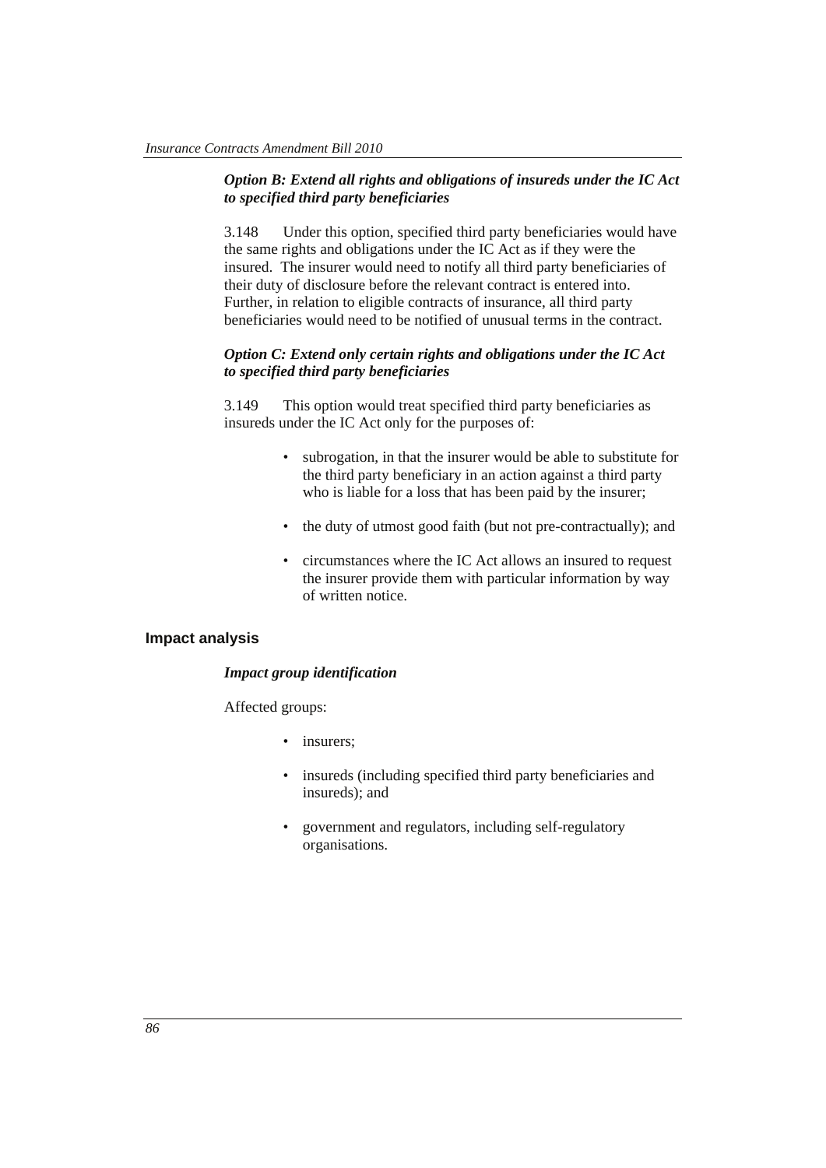### *Option B: Extend all rights and obligations of insureds under the IC Act to specified third party beneficiaries*

3.148 Under this option, specified third party beneficiaries would have the same rights and obligations under the IC Act as if they were the insured. The insurer would need to notify all third party beneficiaries of their duty of disclosure before the relevant contract is entered into. Further, in relation to eligible contracts of insurance, all third party beneficiaries would need to be notified of unusual terms in the contract.

### *Option C: Extend only certain rights and obligations under the IC Act to specified third party beneficiaries*

3.149 This option would treat specified third party beneficiaries as insureds under the IC Act only for the purposes of:

- subrogation, in that the insurer would be able to substitute for the third party beneficiary in an action against a third party who is liable for a loss that has been paid by the insurer;
- the duty of utmost good faith (but not pre-contractually); and
- circumstances where the IC Act allows an insured to request the insurer provide them with particular information by way of written notice.

#### **Impact analysis**

#### *Impact group identification*

Affected groups:

- insurers:
- insureds (including specified third party beneficiaries and insureds); and
- government and regulators, including self-regulatory organisations.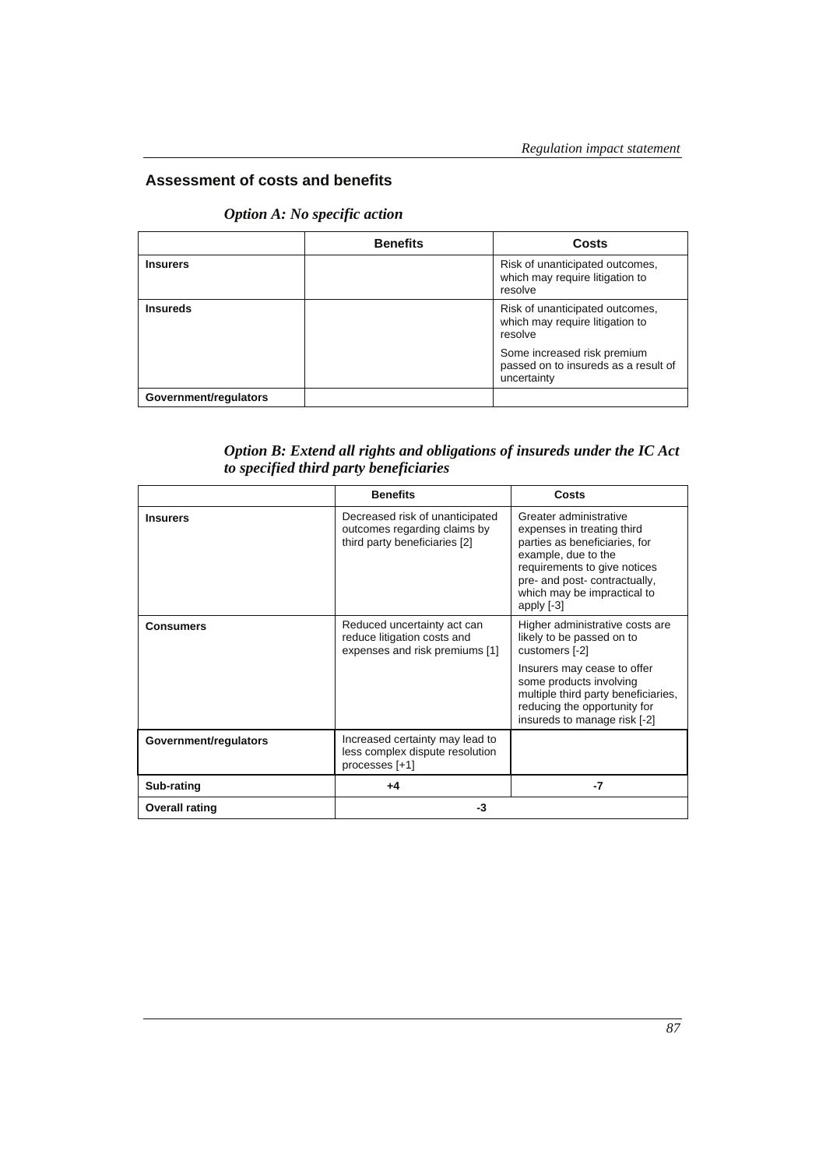# **Assessment of costs and benefits**

### *Option A: No specific action*

|                       | <b>Benefits</b> | Costs                                                                              |
|-----------------------|-----------------|------------------------------------------------------------------------------------|
| <b>Insurers</b>       |                 | Risk of unanticipated outcomes,<br>which may require litigation to<br>resolve      |
| <b>Insureds</b>       |                 | Risk of unanticipated outcomes,<br>which may require litigation to<br>resolve      |
|                       |                 | Some increased risk premium<br>passed on to insureds as a result of<br>uncertainty |
| Government/regulators |                 |                                                                                    |

*Option B: Extend all rights and obligations of insureds under the IC Act to specified third party beneficiaries* 

|                       | <b>Benefits</b>                                                                                  | Costs                                                                                                                                                                                                                        |
|-----------------------|--------------------------------------------------------------------------------------------------|------------------------------------------------------------------------------------------------------------------------------------------------------------------------------------------------------------------------------|
| <b>Insurers</b>       | Decreased risk of unanticipated<br>outcomes regarding claims by<br>third party beneficiaries [2] | Greater administrative<br>expenses in treating third<br>parties as beneficiaries, for<br>example, due to the<br>requirements to give notices<br>pre- and post- contractually,<br>which may be impractical to<br>apply $[-3]$ |
| <b>Consumers</b>      | Reduced uncertainty act can<br>reduce litigation costs and<br>expenses and risk premiums [1]     | Higher administrative costs are<br>likely to be passed on to<br>customers [-2]                                                                                                                                               |
|                       |                                                                                                  | Insurers may cease to offer<br>some products involving<br>multiple third party beneficiaries,<br>reducing the opportunity for<br>insureds to manage risk [-2]                                                                |
| Government/regulators | Increased certainty may lead to<br>less complex dispute resolution<br>processes [+1]             |                                                                                                                                                                                                                              |
| Sub-rating            | +4                                                                                               | -7                                                                                                                                                                                                                           |
| <b>Overall rating</b> | -3                                                                                               |                                                                                                                                                                                                                              |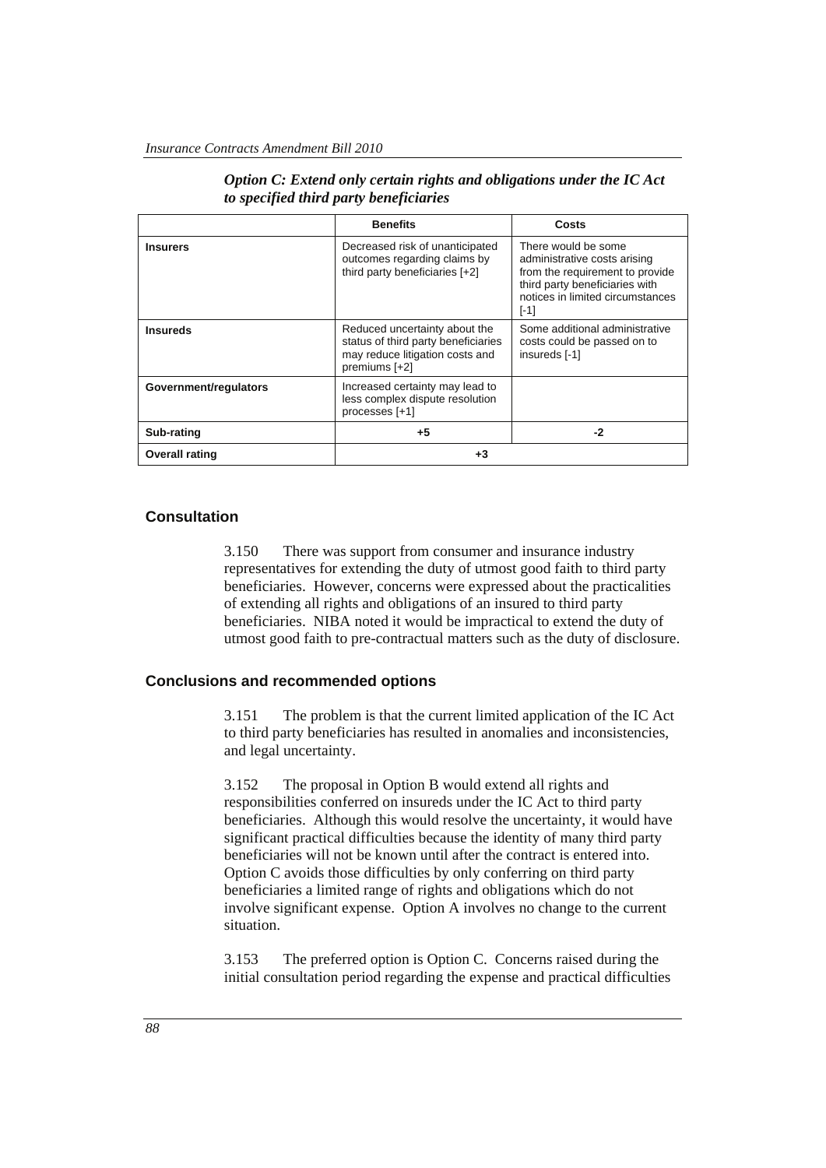|                       | <b>Benefits</b>                                                                                                          | Costs                                                                                                                                                                  |
|-----------------------|--------------------------------------------------------------------------------------------------------------------------|------------------------------------------------------------------------------------------------------------------------------------------------------------------------|
| <b>Insurers</b>       | Decreased risk of unanticipated<br>outcomes regarding claims by<br>third party beneficiaries [+2]                        | There would be some<br>administrative costs arising<br>from the requirement to provide<br>third party beneficiaries with<br>notices in limited circumstances<br>$[-1]$ |
| <b>Insureds</b>       | Reduced uncertainty about the<br>status of third party beneficiaries<br>may reduce litigation costs and<br>premiums [+2] | Some additional administrative<br>costs could be passed on to<br>insureds [-1]                                                                                         |
| Government/regulators | Increased certainty may lead to<br>less complex dispute resolution<br>processes [+1]                                     |                                                                                                                                                                        |
| Sub-rating            | $+5$                                                                                                                     | -2                                                                                                                                                                     |
| <b>Overall rating</b> | +3                                                                                                                       |                                                                                                                                                                        |

|  |  |                                        |  | Option C: Extend only certain rights and obligations under the IC Act |  |  |
|--|--|----------------------------------------|--|-----------------------------------------------------------------------|--|--|
|  |  | to specified third party beneficiaries |  |                                                                       |  |  |

#### **Consultation**

3.150 There was support from consumer and insurance industry representatives for extending the duty of utmost good faith to third party beneficiaries. However, concerns were expressed about the practicalities of extending all rights and obligations of an insured to third party beneficiaries. NIBA noted it would be impractical to extend the duty of utmost good faith to pre-contractual matters such as the duty of disclosure.

#### **Conclusions and recommended options**

3.151 The problem is that the current limited application of the IC Act to third party beneficiaries has resulted in anomalies and inconsistencies, and legal uncertainty.

3.152 The proposal in Option B would extend all rights and responsibilities conferred on insureds under the IC Act to third party beneficiaries. Although this would resolve the uncertainty, it would have significant practical difficulties because the identity of many third party beneficiaries will not be known until after the contract is entered into. Option C avoids those difficulties by only conferring on third party beneficiaries a limited range of rights and obligations which do not involve significant expense. Option A involves no change to the current situation.

3.153 The preferred option is Option C. Concerns raised during the initial consultation period regarding the expense and practical difficulties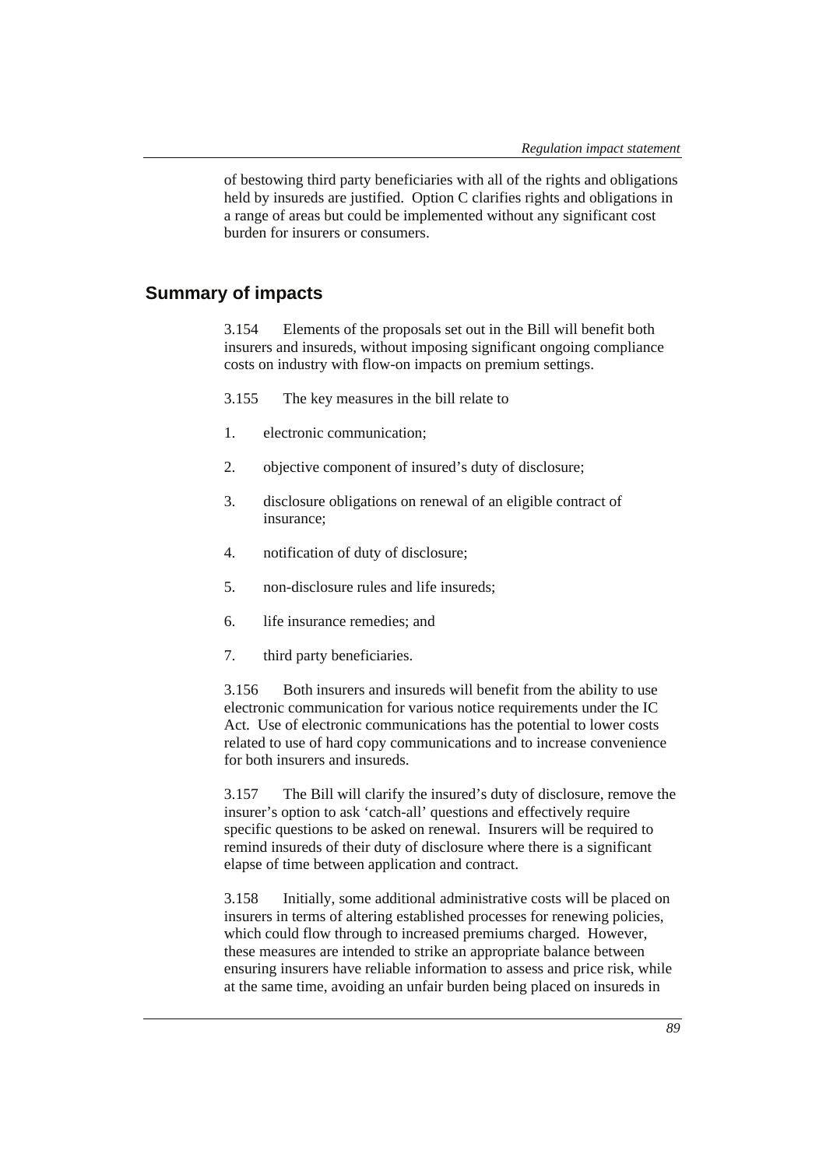of bestowing third party beneficiaries with all of the rights and obligations held by insureds are justified. Option C clarifies rights and obligations in a range of areas but could be implemented without any significant cost burden for insurers or consumers.

# **Summary of impacts**

3.154 Elements of the proposals set out in the Bill will benefit both insurers and insureds, without imposing significant ongoing compliance costs on industry with flow-on impacts on premium settings.

- 3.155 The key measures in the bill relate to
- 1. electronic communication;
- 2. objective component of insured's duty of disclosure;
- 3. disclosure obligations on renewal of an eligible contract of insurance;
- 4. notification of duty of disclosure;
- 5. non-disclosure rules and life insureds;
- 6. life insurance remedies; and
- 7. third party beneficiaries.

3.156 Both insurers and insureds will benefit from the ability to use electronic communication for various notice requirements under the IC Act. Use of electronic communications has the potential to lower costs related to use of hard copy communications and to increase convenience for both insurers and insureds.

3.157 The Bill will clarify the insured's duty of disclosure, remove the insurer's option to ask 'catch-all' questions and effectively require specific questions to be asked on renewal. Insurers will be required to remind insureds of their duty of disclosure where there is a significant elapse of time between application and contract.

3.158 Initially, some additional administrative costs will be placed on insurers in terms of altering established processes for renewing policies, which could flow through to increased premiums charged. However, these measures are intended to strike an appropriate balance between ensuring insurers have reliable information to assess and price risk, while at the same time, avoiding an unfair burden being placed on insureds in